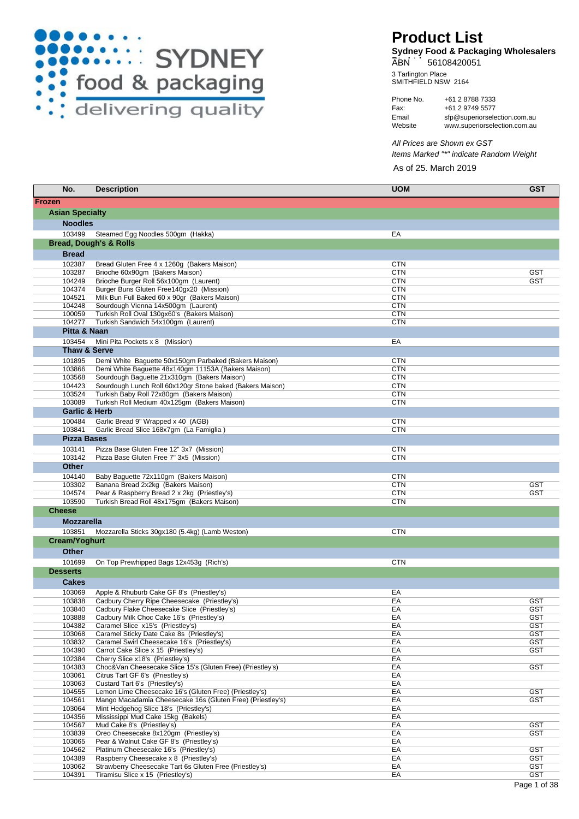

## **Product List**

**Sydney Food & Packaging Wholesalers**  ABN 56108420051

SMITHFIELD NSW 2164 3 Tarlington Place

Fax: Phone No. +61 2 9749 5577 +61 2 8788 7333 Website Email www.superiorselection.com.au sfp@superiorselection.com.au

As of 25. March 2019 All Prices are Shown ex GST Items Marked "\*" indicate Random Weight

| No.                                | <b>Description</b>                                                                                   | <b>UOM</b>               | <b>GST</b>        |
|------------------------------------|------------------------------------------------------------------------------------------------------|--------------------------|-------------------|
| <b>Frozen</b>                      |                                                                                                      |                          |                   |
| <b>Asian Specialty</b>             |                                                                                                      |                          |                   |
| <b>Noodles</b>                     |                                                                                                      |                          |                   |
| 103499                             | Steamed Egg Noodles 500gm (Hakka)<br><b>Bread, Dough's &amp; Rolls</b>                               | EA                       |                   |
|                                    |                                                                                                      |                          |                   |
| <b>Bread</b><br>102387             |                                                                                                      | <b>CTN</b>               |                   |
| 103287                             | Bread Gluten Free 4 x 1260g (Bakers Maison)<br>Brioche 60x90gm (Bakers Maison)                       | <b>CTN</b>               | GST               |
| 104249                             | Brioche Burger Roll 56x100gm (Laurent)                                                               | <b>CTN</b>               | <b>GST</b>        |
| 104374                             | Burger Buns Gluten Free140gx20 (Mission)                                                             | <b>CTN</b>               |                   |
| 104521                             | Milk Bun Full Baked 60 x 90gr (Bakers Maison)                                                        | <b>CTN</b>               |                   |
| 104248<br>100059                   | Sourdough Vienna 14x500gm (Laurent)                                                                  | <b>CTN</b><br><b>CTN</b> |                   |
| 104277                             | Turkish Roll Oval 130gx60's (Bakers Maison)<br>Turkish Sandwich 54x100gm (Laurent)                   | <b>CTN</b>               |                   |
| Pitta & Naan                       |                                                                                                      |                          |                   |
| 103454                             | Mini Pita Pockets x 8 (Mission)                                                                      | EA                       |                   |
| Thaw & Serve                       |                                                                                                      |                          |                   |
| 101895                             | Demi White Baguette 50x150gm Parbaked (Bakers Maison)                                                | <b>CTN</b>               |                   |
| 103866                             | Demi White Baguette 48x140gm 11153A (Bakers Maison)                                                  | <b>CTN</b>               |                   |
| 103568                             | Sourdough Baguette 21x310gm (Bakers Maison)                                                          | <b>CTN</b>               |                   |
| 104423                             | Sourdough Lunch Roll 60x120gr Stone baked (Bakers Maison)                                            | <b>CTN</b>               |                   |
| 103524                             | Turkish Baby Roll 72x80qm (Bakers Maison)                                                            | <b>CTN</b>               |                   |
| 103089<br><b>Garlic &amp; Herb</b> | Turkish Roll Medium 40x125gm (Bakers Maison)                                                         | <b>CTN</b>               |                   |
| 100484                             | Garlic Bread 9" Wrapped x 40 (AGB)                                                                   | <b>CTN</b>               |                   |
| 103841                             | Garlic Bread Slice 168x7gm (La Famiglia)                                                             | <b>CTN</b>               |                   |
| <b>Pizza Bases</b>                 |                                                                                                      |                          |                   |
| 103141                             | Pizza Base Gluten Free 12" 3x7 (Mission)                                                             | <b>CTN</b>               |                   |
| 103142                             | Pizza Base Gluten Free 7" 3x5 (Mission)                                                              | <b>CTN</b>               |                   |
| <b>Other</b>                       |                                                                                                      |                          |                   |
| 104140                             | Baby Baguette 72x110gm (Bakers Maison)                                                               | <b>CTN</b>               |                   |
| 103302                             | Banana Bread 2x2kg (Bakers Maison)                                                                   | <b>CTN</b>               | <b>GST</b>        |
| 104574                             | Pear & Raspberry Bread 2 x 2kg (Priestley's)                                                         | <b>CTN</b>               | GST               |
| 103590<br><b>Cheese</b>            | Turkish Bread Roll 48x175gm (Bakers Maison)                                                          | <b>CTN</b>               |                   |
| <b>Mozzarella</b>                  |                                                                                                      |                          |                   |
|                                    |                                                                                                      |                          |                   |
| 103851<br>Cream/Yoghurt            | Mozzarella Sticks 30gx180 (5.4kg) (Lamb Weston)                                                      | <b>CTN</b>               |                   |
| <b>Other</b>                       |                                                                                                      |                          |                   |
| 101699                             |                                                                                                      | <b>CTN</b>               |                   |
| <b>Desserts</b>                    | On Top Prewhipped Bags 12x453g (Rich's)                                                              |                          |                   |
| <b>Cakes</b>                       |                                                                                                      |                          |                   |
| 103069                             |                                                                                                      |                          |                   |
| 103838                             | Apple & Rhuburb Cake GF 8's (Priestley's)<br>Cadbury Cherry Ripe Cheesecake (Priestley's)            | EA<br>EA                 | GST               |
| 103840                             | Cadbury Flake Cheesecake Slice (Priestley's)                                                         | EA                       | <b>GST</b>        |
| 103888                             | Cadbury Milk Choc Cake 16's (Priestley's)                                                            | EA                       | GST               |
| 104382                             | Caramel Slice x15's (Priestley's)                                                                    | EA                       | <b>GST</b>        |
| 103068                             | Caramel Sticky Date Cake 8s (Priestley's)                                                            | EA                       | <b>GST</b>        |
| 103832<br>104390                   | Caramel Swirl Cheesecake 16's (Priestley's)<br>Carrot Cake Slice x 15 (Priestley's)                  | EA<br>EA                 | <b>GST</b><br>GST |
| 102384                             | Cherry Slice x18's (Priestley's)                                                                     | EA                       |                   |
| 104383                             | Choc&Van Cheesecake Slice 15's (Gluten Free) (Priestley's)                                           | EA                       | <b>GST</b>        |
| 103061                             | Citrus Tart GF 6's (Priestley's)                                                                     | EA                       |                   |
| 103063                             | Custard Tart 6's (Priestley's)                                                                       | EA                       |                   |
| 104555<br>104561                   | Lemon Lime Cheesecake 16's (Gluten Free) (Priestley's)                                               | EA<br>EA                 | <b>GST</b>        |
| 103064                             | Mango Macadamia Cheesecake 16s (Gluten Free) (Priestley's)<br>Mint Hedgehog Slice 18's (Priestley's) | EA                       | GST               |
| 104356                             | Mississippi Mud Cake 15kg (Bakels)                                                                   | EA                       |                   |
| 104567                             | Mud Cake 8's (Priestley's)                                                                           | EA                       | GST               |
| 103839                             | Oreo Cheesecake 8x120qm (Priestley's)                                                                | EA                       | <b>GST</b>        |
| 103065                             | Pear & Walnut Cake GF 8's (Priestley's)                                                              | EA                       |                   |
| 104562<br>104389                   | Platinum Cheesecake 16's (Priestley's)<br>Raspberry Cheesecake x 8 (Priestley's)                     | EA<br>EA                 | GST<br><b>GST</b> |
| 103062                             | Strawberry Cheesecake Tart 6s Gluten Free (Priestley's)                                              | EA                       | <b>GST</b>        |
| 104391                             | Tiramisu Slice x 15 (Priestley's)                                                                    | EA                       | <b>GST</b>        |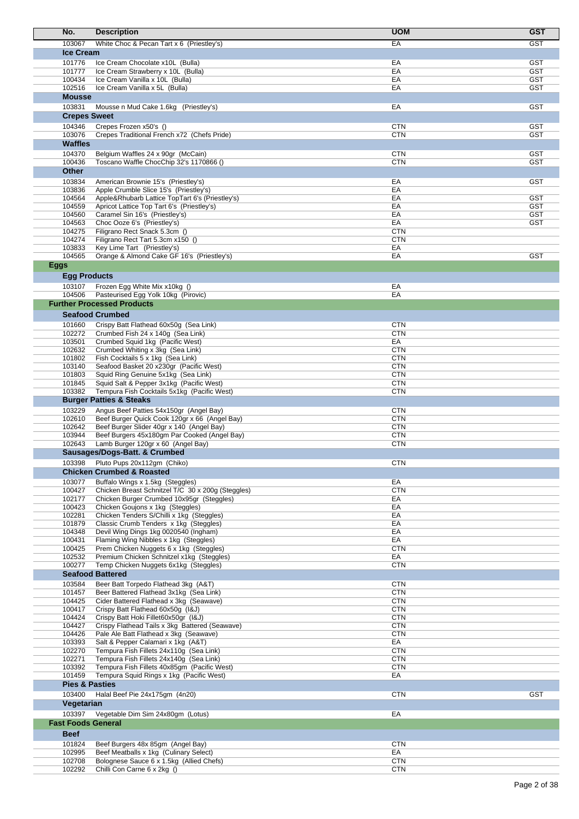| No.                       | <b>Description</b>                                                                             | <b>UOM</b>               | <b>GST</b>               |
|---------------------------|------------------------------------------------------------------------------------------------|--------------------------|--------------------------|
| 103067                    | White Choc & Pecan Tart x 6 (Priestley's)                                                      | EA                       | <b>GST</b>               |
| <b>Ice Cream</b>          |                                                                                                |                          |                          |
| 101776                    | Ice Cream Chocolate x10L (Bulla)                                                               | EA                       | <b>GST</b>               |
| 101777                    | Ice Cream Strawberry x 10L (Bulla)                                                             | EA                       | GST                      |
| 100434<br>102516          | Ice Cream Vanilla x 10L (Bulla)<br>Ice Cream Vanilla x 5L (Bulla)                              | EA<br>EA                 | <b>GST</b><br><b>GST</b> |
| <b>Mousse</b>             |                                                                                                |                          |                          |
| 103831                    | Mousse n Mud Cake 1.6kg (Priestley's)                                                          | EA                       | <b>GST</b>               |
| <b>Crepes Sweet</b>       |                                                                                                |                          |                          |
| 104346                    | Crepes Frozen x50's ()                                                                         | <b>CTN</b>               | GST                      |
| 103076                    | Crepes Traditional French x72 (Chefs Pride)                                                    | <b>CTN</b>               | <b>GST</b>               |
| <b>Waffles</b>            |                                                                                                |                          |                          |
| 104370<br>100436          | Belgium Waffles 24 x 90gr (McCain)                                                             | <b>CTN</b>               | <b>GST</b>               |
| <b>Other</b>              | Toscano Waffle ChocChip 32's 1170866 ()                                                        | <b>CTN</b>               | <b>GST</b>               |
| 103834                    | American Brownie 15's (Priestley's)                                                            | EA                       | <b>GST</b>               |
| 103836                    | Apple Crumble Slice 15's (Priestley's)                                                         | EA                       |                          |
| 104564                    | Apple&Rhubarb Lattice TopTart 6's (Priestley's)                                                | EA                       | GST                      |
| 104559                    | Apricot Lattice Top Tart 6's (Priestley's)                                                     | EA<br>EA                 | <b>GST</b><br>GST        |
| 104560<br>104563          | Caramel Sin 16's (Priestley's)<br>Choc Ooze 6's (Priestley's)                                  | EA                       | GST                      |
| 104275                    | Filigrano Rect Snack 5.3cm ()                                                                  | <b>CTN</b>               |                          |
| 104274                    | Filigrano Rect Tart 5.3cm x150 ()                                                              | <b>CTN</b>               |                          |
| 103833<br>104565          | Key Lime Tart (Priestley's)<br>Orange & Almond Cake GF 16's (Priestley's)                      | EA<br>EA                 | <b>GST</b>               |
| <b>Eggs</b>               |                                                                                                |                          |                          |
| <b>Egg Products</b>       |                                                                                                |                          |                          |
| 103107                    | Frozen Egg White Mix x10kg ()                                                                  | EA                       |                          |
| 104506                    | Pasteurised Egg Yolk 10kg (Pirovic)                                                            | EA                       |                          |
|                           | <b>Further Processed Products</b>                                                              |                          |                          |
|                           | <b>Seafood Crumbed</b>                                                                         |                          |                          |
| 101660                    | Crispy Batt Flathead 60x50g (Sea Link)                                                         | <b>CTN</b>               |                          |
| 102272                    | Crumbed Fish 24 x 140g (Sea Link)                                                              | <b>CTN</b>               |                          |
| 103501<br>102632          | Crumbed Squid 1kg (Pacific West)<br>Crumbed Whiting x 3kg (Sea Link)                           | EA<br><b>CTN</b>         |                          |
| 101802                    | Fish Cocktails 5 x 1kg (Sea Link)                                                              | <b>CTN</b>               |                          |
| 103140                    | Seafood Basket 20 x230gr (Pacific West)                                                        | <b>CTN</b>               |                          |
| 101803                    | Squid Ring Genuine 5x1kg (Sea Link)                                                            | <b>CTN</b>               |                          |
| 101845<br>103382          | Squid Salt & Pepper 3x1kg (Pacific West)<br>Tempura Fish Cocktails 5x1kg (Pacific West)        | <b>CTN</b><br><b>CTN</b> |                          |
|                           | <b>Burger Patties &amp; Steaks</b>                                                             |                          |                          |
| 103229                    | Angus Beef Patties 54x150gr (Angel Bay)                                                        | <b>CTN</b>               |                          |
| 102610                    | Beef Burger Quick Cook 120gr x 66 (Angel Bay)                                                  | <b>CTN</b>               |                          |
| 102642<br>103944          | Beef Burger Slider 40gr x 140 (Angel Bay)<br>Beef Burgers 45x180gm Par Cooked (Angel Bay)      | <b>CTN</b><br><b>CTN</b> |                          |
| 102643                    | Lamb Burger 120gr x 60 (Angel Bay)                                                             | <b>CTN</b>               |                          |
|                           | Sausages/Dogs-Batt. & Crumbed                                                                  |                          |                          |
|                           | 103398 Pluto Pups 20x112gm (Chiko)                                                             | <b>CTN</b>               |                          |
|                           | <b>Chicken Crumbed &amp; Roasted</b>                                                           |                          |                          |
| 103077                    | Buffalo Wings x 1.5kg (Steggles)                                                               | EA                       |                          |
| 100427<br>102177          | Chicken Breast Schnitzel T/C 30 x 200g (Steggles)<br>Chicken Burger Crumbed 10x95gr (Steggles) | <b>CTN</b><br>EA         |                          |
| 100423                    | Chicken Goujons x 1kg (Steggles)                                                               | EA                       |                          |
| 102281                    | Chicken Tenders S/Chilli x 1kg (Steggles)                                                      | EA                       |                          |
| 101879                    | Classic Crumb Tenders x 1kg (Steggles)                                                         | EA                       |                          |
| 104348<br>100431          | Devil Wing Dings 1kg 0020540 (Ingham)<br>Flaming Wing Nibbles x 1kg (Steggles)                 | EA<br>EA                 |                          |
| 100425                    | Prem Chicken Nuggets 6 x 1kg (Steggles)                                                        | <b>CTN</b>               |                          |
| 102532                    | Premium Chicken Schnitzel x1kg (Steggles)                                                      | EA                       |                          |
| 100277                    | Temp Chicken Nuggets 6x1kg (Steggles)<br><b>Seafood Battered</b>                               | <b>CTN</b>               |                          |
|                           |                                                                                                |                          |                          |
| 103584<br>101457          | Beer Batt Torpedo Flathead 3kg (A&T)<br>Beer Battered Flathead 3x1kg (Sea Link)                | <b>CTN</b><br><b>CTN</b> |                          |
| 104425                    | Cider Battered Flathead x 3kg (Seawave)                                                        | <b>CTN</b>               |                          |
| 100417                    | Crispy Batt Flathead 60x50g (I&J)                                                              | <b>CTN</b>               |                          |
| 104424<br>104427          | Crispy Batt Hoki Fillet60x50gr (I&J)<br>Crispy Flathead Tails x 3kg Battered (Seawave)         | <b>CTN</b><br><b>CTN</b> |                          |
| 104426                    | Pale Ale Batt Flathead x 3kg (Seawave)                                                         | <b>CTN</b>               |                          |
| 103393                    | Salt & Pepper Calamari x 1kg (A&T)                                                             | EA                       |                          |
| 102270                    | Tempura Fish Fillets 24x110g (Sea Link)                                                        | <b>CTN</b>               |                          |
| 102271<br>103392          | Tempura Fish Fillets 24x140g (Sea Link)<br>Tempura Fish Fillets 40x85gm (Pacific West)         | <b>CTN</b><br><b>CTN</b> |                          |
| 101459                    | Tempura Squid Rings x 1kg (Pacific West)                                                       | EA                       |                          |
| <b>Pies &amp; Pasties</b> |                                                                                                |                          |                          |
| 103400                    | Halal Beef Pie 24x175gm (4n20)                                                                 | <b>CTN</b>               | <b>GST</b>               |
| Vegetarian                |                                                                                                |                          |                          |
| 103397                    | Vegetable Dim Sim 24x80gm (Lotus)                                                              | EA                       |                          |
| <b>Fast Foods General</b> |                                                                                                |                          |                          |
| <b>Beef</b>               |                                                                                                |                          |                          |
| 101824<br>102995          | Beef Burgers 48x 85gm (Angel Bay)<br>Beef Meatballs x 1kg (Culinary Select)                    | <b>CTN</b><br>EA         |                          |
| 102708                    | Bolognese Sauce 6 x 1.5kg (Allied Chefs)                                                       | <b>CTN</b>               |                          |
| 102292                    | Chilli Con Carne 6 x 2kg ()                                                                    | <b>CTN</b>               |                          |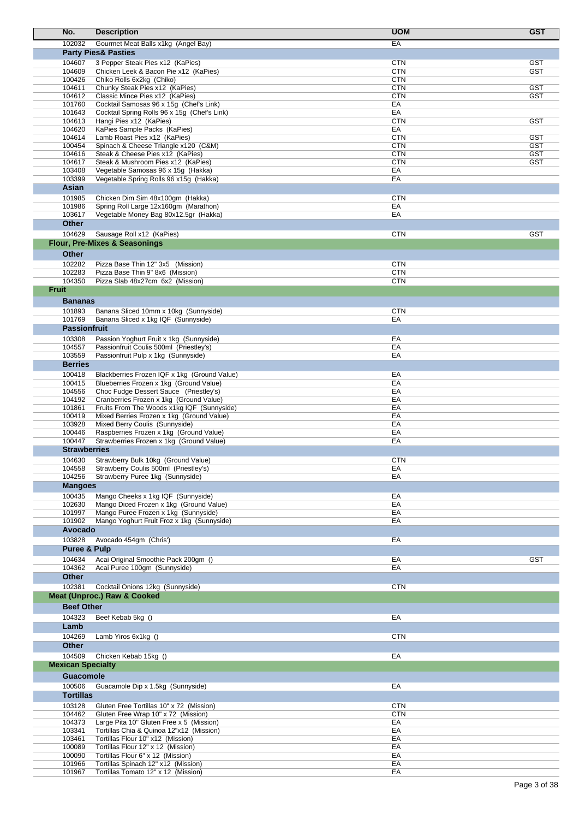| No.                      | <b>Description</b>                                                                 | <b>UOM</b>               | <b>GST</b>        |
|--------------------------|------------------------------------------------------------------------------------|--------------------------|-------------------|
| 102032                   | Gourmet Meat Balls x1kg (Angel Bay)                                                | EA                       |                   |
|                          | <b>Party Pies&amp; Pasties</b>                                                     |                          |                   |
| 104607                   | 3 Pepper Steak Pies x12 (KaPies)                                                   | <b>CTN</b>               | GST               |
| 104609<br>100426         | Chicken Leek & Bacon Pie x12 (KaPies)<br>Chiko Rolls 6x2kg (Chiko)                 | <b>CTN</b><br><b>CTN</b> | <b>GST</b>        |
| 104611                   | Chunky Steak Pies x12 (KaPies)                                                     | <b>CTN</b>               | <b>GST</b>        |
| 104612                   | Classic Mince Pies x12 (KaPies)                                                    | <b>CTN</b>               | <b>GST</b>        |
| 101760                   | Cocktail Samosas 96 x 15g (Chef's Link)                                            | EA                       |                   |
| 101643                   | Cocktail Spring Rolls 96 x 15g (Chef's Link)                                       | EA                       |                   |
| 104613                   | Hangi Pies x12 (KaPies)                                                            | <b>CTN</b>               | <b>GST</b>        |
| 104620                   | KaPies Sample Packs (KaPies)                                                       | EA                       |                   |
| 104614<br>100454         | Lamb Roast Pies x12 (KaPies)<br>Spinach & Cheese Triangle x120 (C&M)               | <b>CTN</b><br><b>CTN</b> | GST<br><b>GST</b> |
| 104616                   | Steak & Cheese Pies x12 (KaPies)                                                   | <b>CTN</b>               | <b>GST</b>        |
| 104617                   | Steak & Mushroom Pies x12 (KaPies)                                                 | <b>CTN</b>               | GST               |
| 103408                   | Vegetable Samosas 96 x 15g (Hakka)                                                 | EA                       |                   |
| 103399                   | Vegetable Spring Rolls 96 x15g (Hakka)                                             | EA                       |                   |
| Asian                    |                                                                                    |                          |                   |
| 101985                   | Chicken Dim Sim 48x100gm (Hakka)                                                   | <b>CTN</b>               |                   |
| 101986                   | Spring Roll Large 12x160gm (Marathon)                                              | EA                       |                   |
| 103617                   | Vegetable Money Bag 80x12.5gr (Hakka)                                              | EA                       |                   |
| <b>Other</b>             |                                                                                    |                          |                   |
| 104629                   | Sausage Roll x12 (KaPies)                                                          | <b>CTN</b>               | <b>GST</b>        |
|                          | <b>Flour, Pre-Mixes &amp; Seasonings</b>                                           |                          |                   |
| <b>Other</b>             |                                                                                    |                          |                   |
| 102282                   | Pizza Base Thin 12" 3x5 (Mission)                                                  | <b>CTN</b>               |                   |
| 102283                   | Pizza Base Thin 9" 8x6 (Mission)                                                   | <b>CTN</b>               |                   |
| 104350                   | Pizza Slab 48x27cm 6x2 (Mission)                                                   | <b>CTN</b>               |                   |
| <b>Fruit</b>             |                                                                                    |                          |                   |
| <b>Bananas</b>           |                                                                                    |                          |                   |
| 101893                   | Banana Sliced 10mm x 10kg (Sunnyside)                                              | <b>CTN</b>               |                   |
| 101769                   | Banana Sliced x 1kg IQF (Sunnyside)                                                | EA                       |                   |
|                          | <b>Passionfruit</b>                                                                |                          |                   |
| 103308<br>104557         | Passion Yoghurt Fruit x 1kg (Sunnyside)<br>Passionfruit Coulis 500ml (Priestley's) | EA<br>EA                 |                   |
| 103559                   | Passionfruit Pulp x 1kg (Sunnyside)                                                | EA                       |                   |
| <b>Berries</b>           |                                                                                    |                          |                   |
| 100418                   | Blackberries Frozen IQF x 1kg (Ground Value)                                       | EA                       |                   |
| 100415                   | Blueberries Frozen x 1kg (Ground Value)                                            | EA                       |                   |
| 104556                   | Choc Fudge Dessert Sauce (Priestley's)                                             | EA                       |                   |
| 104192                   | Cranberries Frozen x 1kg (Ground Value)                                            | EA                       |                   |
| 101861                   | Fruits From The Woods x1kg IQF (Sunnyside)                                         | EA                       |                   |
| 100419                   | Mixed Berries Frozen x 1kg (Ground Value)                                          | EA                       |                   |
| 103928<br>100446         | Mixed Berry Coulis (Sunnyside)<br>Raspberries Frozen x 1kg (Ground Value)          | EA<br>EA                 |                   |
| 100447                   | Strawberries Frozen x 1kg (Ground Value)                                           | EA                       |                   |
|                          | <b>Strawberries</b>                                                                |                          |                   |
| 104630                   | Strawberry Bulk 10kg (Ground Value)                                                | <b>CTN</b>               |                   |
| 104558                   | Strawberry Coulis 500ml (Priestley's)                                              | EA                       |                   |
| 104256                   | Strawberry Puree 1kg (Sunnyside)                                                   | EA                       |                   |
| <b>Mangoes</b>           |                                                                                    |                          |                   |
| 100435                   | Mango Cheeks x 1kg IQF (Sunnyside)                                                 | EA                       |                   |
| 102630                   | Mango Diced Frozen x 1kg (Ground Value)                                            | EA                       |                   |
| 101997                   | Mango Puree Frozen x 1kg (Sunnyside)                                               | EA                       |                   |
| 101902                   | Mango Yoghurt Fruit Froz x 1kg (Sunnyside)                                         | EA                       |                   |
| Avocado                  |                                                                                    |                          |                   |
| 103828                   | Avocado 454gm (Chris')                                                             | EA                       |                   |
|                          | <b>Puree &amp; Pulp</b>                                                            |                          |                   |
| 104634                   | Acai Original Smoothie Pack 200gm ()                                               | EA                       | <b>GST</b>        |
| 104362                   | Acai Puree 100gm (Sunnyside)                                                       | EA                       |                   |
| Other                    |                                                                                    |                          |                   |
| 102381                   | Cocktail Onions 12kg (Sunnyside)                                                   | <b>CTN</b>               |                   |
|                          | <b>Meat (Unproc.) Raw &amp; Cooked</b>                                             |                          |                   |
| <b>Beef Other</b>        |                                                                                    |                          |                   |
| 104323                   | Beef Kebab 5kg ()                                                                  | EA                       |                   |
| Lamb                     |                                                                                    |                          |                   |
| 104269                   | Lamb Yiros 6x1kg ()                                                                | <b>CTN</b>               |                   |
| <b>Other</b>             |                                                                                    |                          |                   |
| 104509                   | Chicken Kebab 15kg ()                                                              | EA                       |                   |
| <b>Mexican Specialty</b> |                                                                                    |                          |                   |
| <b>Guacomole</b>         |                                                                                    |                          |                   |
| 100506                   | Guacamole Dip x 1.5kg (Sunnyside)                                                  | EA                       |                   |
| <b>Tortillas</b>         |                                                                                    |                          |                   |
| 103128                   | Gluten Free Tortillas 10" x 72 (Mission)                                           | <b>CTN</b>               |                   |
| 104462                   | Gluten Free Wrap 10" x 72 (Mission)                                                | <b>CTN</b>               |                   |
| 104373                   | Large Pita 10" Gluten Free x 5 (Mission)                                           | EA                       |                   |
| 103341                   | Tortillas Chia & Quinoa 12"x12 (Mission)                                           | EA                       |                   |
| 103461                   | Tortillas Flour 10" x12 (Mission)                                                  | EA                       |                   |
| 100089<br>100090         | Tortillas Flour 12" x 12 (Mission)<br>Tortillas Flour 6" x 12 (Mission)            | EA<br>EA                 |                   |
| 101966                   | Tortillas Spinach 12" x12 (Mission)                                                | EA                       |                   |
| 101967                   | Tortillas Tomato 12" x 12 (Mission)                                                | EA                       |                   |
|                          |                                                                                    |                          |                   |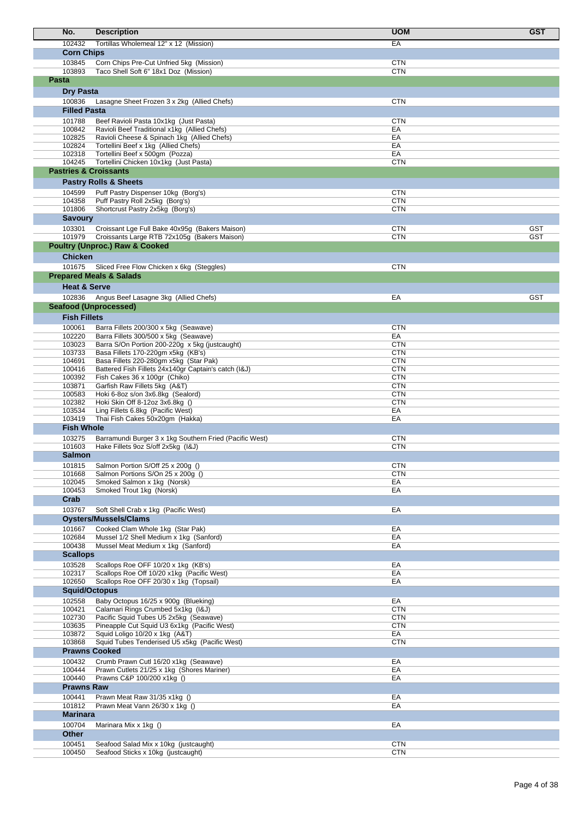| No.                               | <b>Description</b>                                                                            | <b>UOM</b>               | <b>GST</b> |
|-----------------------------------|-----------------------------------------------------------------------------------------------|--------------------------|------------|
| 102432                            | Tortillas Wholemeal 12" x 12 (Mission)                                                        | EA                       |            |
| <b>Corn Chips</b>                 |                                                                                               |                          |            |
| 103845                            | Corn Chips Pre-Cut Unfried 5kg (Mission)                                                      | <b>CTN</b>               |            |
| 103893<br>Pasta                   | Taco Shell Soft 6" 18x1 Doz (Mission)                                                         | <b>CTN</b>               |            |
| <b>Dry Pasta</b>                  |                                                                                               |                          |            |
| 100836                            | Lasagne Sheet Frozen 3 x 2kg (Allied Chefs)                                                   | <b>CTN</b>               |            |
| <b>Filled Pasta</b>               |                                                                                               |                          |            |
| 101788                            | Beef Ravioli Pasta 10x1kg (Just Pasta)                                                        | <b>CTN</b>               |            |
| 100842                            | Ravioli Beef Traditional x1kg (Allied Chefs)                                                  | EA                       |            |
| 102825<br>102824                  | Ravioli Cheese & Spinach 1kg (Allied Chefs)<br>Tortellini Beef x 1kg (Allied Chefs)           | EA<br>EA                 |            |
| 102318                            | Tortellini Beef x 500gm (Pozza)                                                               | EA                       |            |
| 104245                            | Tortellini Chicken 10x1kg (Just Pasta)                                                        | <b>CTN</b>               |            |
| <b>Pastries &amp; Croissants</b>  |                                                                                               |                          |            |
|                                   | <b>Pastry Rolls &amp; Sheets</b>                                                              |                          |            |
| 104599                            | Puff Pastry Dispenser 10kg (Borg's)                                                           | <b>CTN</b>               |            |
| 104358<br>101806                  | Puff Pastry Roll 2x5kg (Borg's)<br>Shortcrust Pastry 2x5kg (Borg's)                           | <b>CTN</b><br><b>CTN</b> |            |
| <b>Savoury</b>                    |                                                                                               |                          |            |
| 103301                            | Croissant Lge Full Bake 40x95g (Bakers Maison)                                                | <b>CTN</b>               | <b>GST</b> |
| 101979                            | Croissants Large RTB 72x105g (Bakers Maison)                                                  | <b>CTN</b>               | <b>GST</b> |
|                                   | <b>Poultry (Unproc.) Raw &amp; Cooked</b>                                                     |                          |            |
| <b>Chicken</b>                    |                                                                                               |                          |            |
| 101675                            | Sliced Free Flow Chicken x 6kg (Steggles)                                                     | <b>CTN</b>               |            |
|                                   | <b>Prepared Meals &amp; Salads</b>                                                            |                          |            |
| <b>Heat &amp; Serve</b><br>102836 |                                                                                               |                          | <b>GST</b> |
|                                   | Angus Beef Lasagne 3kg (Allied Chefs)<br><b>Seafood (Unprocessed)</b>                         | EA                       |            |
| <b>Fish Fillets</b>               |                                                                                               |                          |            |
| 100061                            | Barra Fillets 200/300 x 5kg (Seawave)                                                         | <b>CTN</b>               |            |
| 102220                            | Barra Fillets 300/500 x 5kg (Seawave)                                                         | EA                       |            |
| 103023                            | Barra S/On Portion 200-220g x 5kg (justcaught)                                                | <b>CTN</b>               |            |
| 103733<br>104691                  | Basa Fillets 170-220gm x5kg (KB's)<br>Basa Fillets 220-280gm x5kg (Star Pak)                  | <b>CTN</b><br><b>CTN</b> |            |
| 100416                            | Battered Fish Fillets 24x140gr Captain's catch (I&J)                                          | <b>CTN</b>               |            |
| 100392                            | Fish Cakes 36 x 100gr (Chiko)                                                                 | <b>CTN</b>               |            |
| 103871                            | Garfish Raw Fillets 5kg (A&T)                                                                 | <b>CTN</b>               |            |
| 100583<br>102382                  | Hoki 6-8oz s/on 3x6.8kg (Sealord)<br>Hoki Skin Off 8-12oz 3x6.8kg ()                          | <b>CTN</b><br><b>CTN</b> |            |
| 103534                            | Ling Fillets 6.8kg (Pacific West)                                                             | EA                       |            |
| 103419                            | Thai Fish Cakes 50x20gm (Hakka)                                                               | EA                       |            |
| <b>Fish Whole</b>                 |                                                                                               |                          |            |
| 103275<br>101603                  | Barramundi Burger 3 x 1kg Southern Fried (Pacific West)<br>Hake Fillets 9oz S/off 2x5kg (I&J) | <b>CTN</b><br><b>CTN</b> |            |
| <b>Salmon</b>                     |                                                                                               |                          |            |
| 101815                            | Salmon Portion S/Off 25 x 200g ()                                                             | <b>CTN</b>               |            |
| 101668                            | Salmon Portions S/On 25 x 200g ()                                                             | <b>CTN</b>               |            |
| 102045                            | Smoked Salmon x 1kg (Norsk)                                                                   | EA                       |            |
| 100453<br>Crab                    | Smoked Trout 1kg (Norsk)                                                                      | EA                       |            |
| 103767                            | Soft Shell Crab x 1kg (Pacific West)                                                          | EA                       |            |
|                                   | <b>Oysters/Mussels/Clams</b>                                                                  |                          |            |
| 101667                            | Cooked Clam Whole 1kg (Star Pak)                                                              | EA                       |            |
| 102684                            | Mussel 1/2 Shell Medium x 1kg (Sanford)                                                       | EA                       |            |
| 100438                            | Mussel Meat Medium x 1kg (Sanford)                                                            | EA                       |            |
| <b>Scallops</b>                   |                                                                                               |                          |            |
| 103528<br>102317                  | Scallops Roe OFF 10/20 x 1kg (KB's)<br>Scallops Roe Off 10/20 x1kg (Pacific West)             | EA<br>EA                 |            |
| 102650                            | Scallops Roe OFF 20/30 x 1kg (Topsail)                                                        | EA                       |            |
| <b>Squid/Octopus</b>              |                                                                                               |                          |            |
| 102558                            | Baby Octopus 16/25 x 900g (Blueking)                                                          | EA                       |            |
| 100421<br>102730                  | Calamari Rings Crumbed 5x1kg (I&J)<br>Pacific Squid Tubes U5 2x5kg (Seawave)                  | <b>CTN</b><br><b>CTN</b> |            |
| 103635                            | Pineapple Cut Squid U3 6x1kg (Pacific West)                                                   | <b>CTN</b>               |            |
| 103872                            | Squid Loligo 10/20 x 1kg (A&T)                                                                | EA                       |            |
| 103868                            | Squid Tubes Tenderised U5 x5kg (Pacific West)                                                 | <b>CTN</b>               |            |
|                                   | <b>Prawns Cooked</b>                                                                          |                          |            |
| 100432<br>100444                  | Crumb Prawn Cutl 16/20 x1kg (Seawave)<br>Prawn Cutlets 21/25 x 1kg (Shores Mariner)           | EA<br>EA                 |            |
| 100440                            | Prawns C&P 100/200 x1kg ()                                                                    | EA                       |            |
| <b>Prawns Raw</b>                 |                                                                                               |                          |            |
| 100441                            | Prawn Meat Raw 31/35 x1kg ()                                                                  | EA                       |            |
| 101812                            | Prawn Meat Vann 26/30 x 1kg ()                                                                | EA                       |            |
| <b>Marinara</b>                   |                                                                                               |                          |            |
| 100704                            | Marinara Mix x 1kg ()                                                                         | EA                       |            |
| Other<br>100451                   | Seafood Salad Mix x 10kg (justcaught)                                                         | <b>CTN</b>               |            |
| 100450                            | Seafood Sticks x 10kg (justcaught)                                                            | <b>CTN</b>               |            |
|                                   |                                                                                               |                          |            |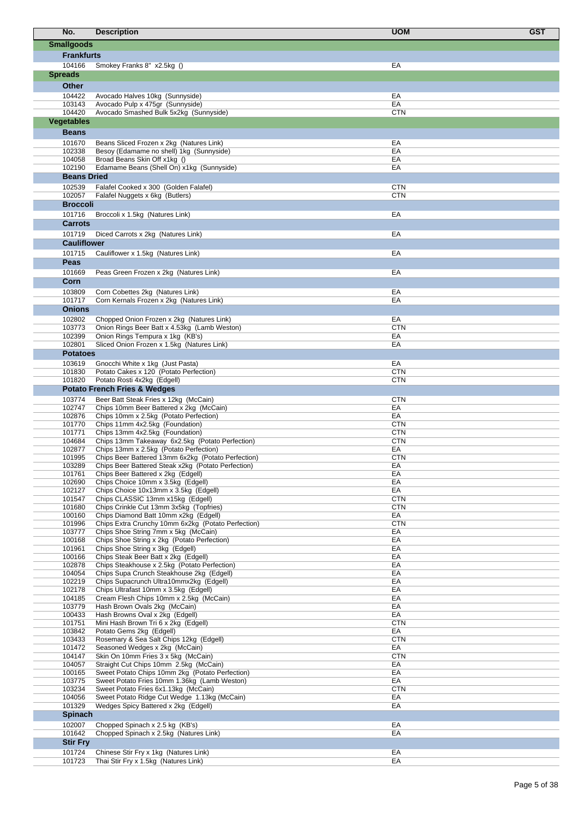| No.                       | <b>Description</b>                                                                          | <b>GST</b><br><b>UOM</b> |  |
|---------------------------|---------------------------------------------------------------------------------------------|--------------------------|--|
| <b>Smallgoods</b>         |                                                                                             |                          |  |
| <b>Frankfurts</b>         |                                                                                             |                          |  |
| 104166                    | Smokey Franks 8" x2.5kg ()                                                                  | EA                       |  |
| <b>Spreads</b>            |                                                                                             |                          |  |
| <b>Other</b>              |                                                                                             |                          |  |
| 104422                    | Avocado Halves 10kg (Sunnyside)                                                             | EA                       |  |
| 103143                    | Avocado Pulp x 475gr (Sunnyside)                                                            | EA                       |  |
| 104420                    | Avocado Smashed Bulk 5x2kg (Sunnyside)                                                      | <b>CTN</b>               |  |
| <b>Vegetables</b>         |                                                                                             |                          |  |
| <b>Beans</b>              |                                                                                             |                          |  |
| 101670                    | Beans Sliced Frozen x 2kg (Natures Link)                                                    | EA                       |  |
| 102338<br>104058          | Besoy (Edamame no shell) 1kg (Sunnyside)<br>Broad Beans Skin Off x1kg ()                    | EA<br>EA                 |  |
| 102190                    | Edamame Beans (Shell On) x1kg (Sunnyside)                                                   | EA                       |  |
| <b>Beans Dried</b>        |                                                                                             |                          |  |
| 102539                    | Falafel Cooked x 300 (Golden Falafel)                                                       | <b>CTN</b>               |  |
| 102057                    | Falafel Nuggets x 6kg (Butlers)                                                             | <b>CTN</b>               |  |
| <b>Broccoli</b>           |                                                                                             |                          |  |
| 101716<br><b>Carrots</b>  | Broccoli x 1.5kg (Natures Link)                                                             | EA                       |  |
| 101719                    | Diced Carrots x 2kg (Natures Link)                                                          | EA                       |  |
| <b>Cauliflower</b>        |                                                                                             |                          |  |
| 101715                    | Cauliflower x 1.5kg (Natures Link)                                                          | EA                       |  |
| Peas                      |                                                                                             |                          |  |
| 101669                    | Peas Green Frozen x 2kg (Natures Link)                                                      | EA                       |  |
| Corn                      |                                                                                             |                          |  |
| 103809                    | Corn Cobettes 2kg (Natures Link)                                                            | EA                       |  |
| 101717                    | Corn Kernals Frozen x 2kg (Natures Link)                                                    | EA                       |  |
| <b>Onions</b>             |                                                                                             |                          |  |
| 102802                    | Chopped Onion Frozen x 2kg (Natures Link)                                                   | EA<br><b>CTN</b>         |  |
| 103773<br>102399          | Onion Rings Beer Batt x 4.53kg (Lamb Weston)<br>Onion Rings Tempura x 1kg (KB's)            | EA                       |  |
| 102801                    | Sliced Onion Frozen x 1.5kg (Natures Link)                                                  | EA                       |  |
| <b>Potatoes</b>           |                                                                                             |                          |  |
| 103619                    | Gnocchi White x 1kg (Just Pasta)                                                            | EA                       |  |
| 101830                    | Potato Cakes x 120 (Potato Perfection)                                                      | <b>CTN</b>               |  |
| 101820                    | Potato Rosti 4x2kg (Edgell)<br><b>Potato French Fries &amp; Wedges</b>                      | <b>CTN</b>               |  |
| 103774                    | Beer Batt Steak Fries x 12kg (McCain)                                                       | <b>CTN</b>               |  |
| 102747                    | Chips 10mm Beer Battered x 2kg (McCain)                                                     | EA                       |  |
| 102876                    | Chips 10mm x 2.5kg (Potato Perfection)                                                      | EA                       |  |
| 101770                    | Chips 11mm 4x2.5kg (Foundation)                                                             | <b>CTN</b>               |  |
| 101771<br>104684          | Chips 13mm 4x2.5kg (Foundation)<br>Chips 13mm Takeaway 6x2.5kg (Potato Perfection)          | <b>CTN</b><br><b>CTN</b> |  |
| 102877                    | Chips 13mm x 2.5kg (Potato Perfection)                                                      | EA                       |  |
| 101995                    | Chips Beer Battered 13mm 6x2kg (Potato Perfection)                                          | <b>CTN</b>               |  |
| 103289                    | Chips Beer Battered Steak x2kg (Potato Perfection)                                          | EA                       |  |
| 101761<br>102690          | Chips Beer Battered x 2kg (Edgell)<br>Chips Choice 10mm x 3.5kg (Edgell)                    | EA<br>EA                 |  |
| 102127                    | Chips Choice 10x13mm x 3.5kg (Edgell)                                                       | EA                       |  |
| 101547                    | Chips CLASSIC 13mm x15kg (Edgell)                                                           | <b>CTN</b>               |  |
| 101680                    | Chips Crinkle Cut 13mm 3x5kg (Topfries)                                                     | <b>CTN</b>               |  |
| 100160<br>101996          | Chips Diamond Batt 10mm x2kg (Edgell)<br>Chips Extra Crunchy 10mm 6x2kg (Potato Perfection) | EA<br><b>CTN</b>         |  |
| 103777                    | Chips Shoe String 7mm x 5kg (McCain)                                                        | EA                       |  |
| 100168                    | Chips Shoe String x 2kg (Potato Perfection)                                                 | EA                       |  |
| 101961<br>100166          | Chips Shoe String x 3kg (Edgell)                                                            | EA                       |  |
| 102878                    | Chips Steak Beer Batt x 2kg (Edgell)<br>Chips Steakhouse x 2.5kg (Potato Perfection)        | EA<br>EA                 |  |
| 104054                    | Chips Supa Crunch Steakhouse 2kg (Edgell)                                                   | EA                       |  |
| 102219                    | Chips Supacrunch Ultra10mmx2kg (Edgell)                                                     | EA                       |  |
| 102178<br>104185          | Chips Ultrafast 10mm x 3.5kg (Edgell)<br>Cream Flesh Chips 10mm x 2.5kg (McCain)            | EA<br>EA                 |  |
| 103779                    | Hash Brown Ovals 2kg (McCain)                                                               | EA                       |  |
| 100433                    | Hash Browns Oval x 2kg (Edgell)                                                             | EA                       |  |
| 101751                    | Mini Hash Brown Tri 6 x 2kg (Edgell)                                                        | <b>CTN</b>               |  |
| 103842<br>103433          | Potato Gems 2kg (Edgell)<br>Rosemary & Sea Salt Chips 12kg (Edgell)                         | EA<br><b>CTN</b>         |  |
| 101472                    | Seasoned Wedges x 2kg (McCain)                                                              | EA                       |  |
| 104147                    | Skin On 10mm Fries 3 x 5kg (McCain)                                                         | <b>CTN</b>               |  |
| 104057                    | Straight Cut Chips 10mm 2.5kg (McCain)                                                      | EA                       |  |
| 100165                    | Sweet Potato Chips 10mm 2kg (Potato Perfection)                                             | EA<br>EA                 |  |
| 103775<br>103234          | Sweet Potato Fries 10mm 1.36kg (Lamb Weston)<br>Sweet Potato Fries 6x1.13kg (McCain)        | <b>CTN</b>               |  |
| 104056                    | Sweet Potato Ridge Cut Wedge 1.13kg (McCain)                                                | EA                       |  |
| 101329                    | Wedges Spicy Battered x 2kg (Edgell)                                                        | EA                       |  |
| <b>Spinach</b>            |                                                                                             |                          |  |
| 102007                    | Chopped Spinach x 2.5 kg (KB's)                                                             | EA                       |  |
| 101642<br><b>Stir Fry</b> | Chopped Spinach x 2.5kg (Natures Link)                                                      | EA                       |  |
| 101724                    | Chinese Stir Fry x 1kg (Natures Link)                                                       | EA                       |  |
| 101723                    | Thai Stir Fry x 1.5kg (Natures Link)                                                        | EA                       |  |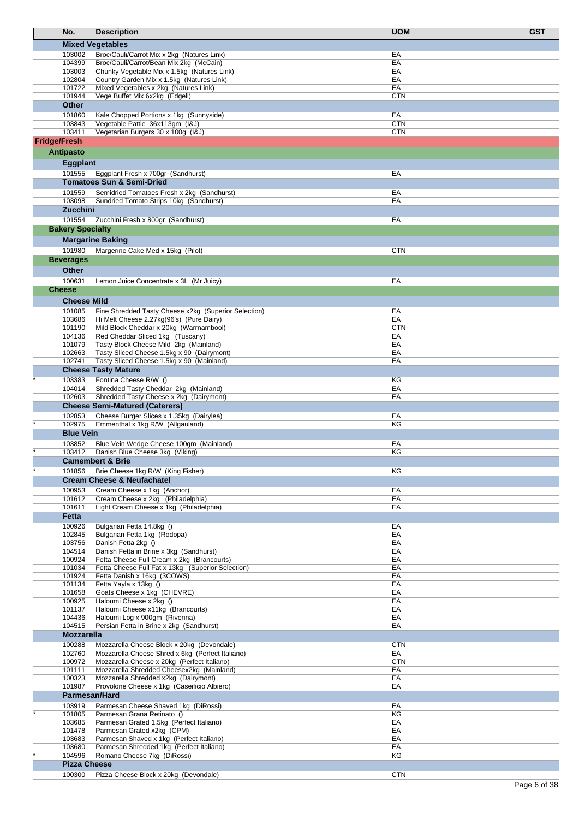|                     | No.                        | <b>Description</b>                                                                               | <b>UOM</b> | <b>GST</b> |
|---------------------|----------------------------|--------------------------------------------------------------------------------------------------|------------|------------|
|                     |                            | <b>Mixed Vegetables</b>                                                                          |            |            |
|                     | 103002                     | Broc/Cauli/Carrot Mix x 2kg (Natures Link)                                                       | EA         |            |
|                     | 104399                     | Broc/Cauli/Carrot/Bean Mix 2kg (McCain)                                                          | EA         |            |
|                     | 103003                     | Chunky Vegetable Mix x 1.5kg (Natures Link)                                                      | EA         |            |
|                     | 102804<br>101722           | Country Garden Mix x 1.5kg (Natures Link)<br>Mixed Vegetables x 2kg (Natures Link)               | EA<br>EA   |            |
|                     | 101944                     | Vege Buffet Mix 6x2kg (Edgell)                                                                   | CTN        |            |
|                     | <b>Other</b>               |                                                                                                  |            |            |
|                     | 101860                     | Kale Chopped Portions x 1kg (Sunnyside)                                                          | ЕA         |            |
|                     | 103843                     | Vegetable Pattie 36x113gm (I&J)                                                                  | <b>CTN</b> |            |
|                     | 103411                     | Vegetarian Burgers 30 x 100g (I&J)                                                               | <b>CTN</b> |            |
| <b>Fridge/Fresh</b> |                            |                                                                                                  |            |            |
|                     | <b>Antipasto</b>           |                                                                                                  |            |            |
|                     | <b>Eggplant</b>            |                                                                                                  |            |            |
|                     | 101555                     | Eggplant Fresh x 700gr (Sandhurst)                                                               | EA         |            |
|                     |                            | <b>Tomatoes Sun &amp; Semi-Dried</b>                                                             |            |            |
|                     | 101559                     | Semidried Tomatoes Fresh x 2kg (Sandhurst)                                                       | EA         |            |
|                     | 103098<br><b>Zucchini</b>  | Sundried Tomato Strips 10kg (Sandhurst)                                                          | EA         |            |
|                     | 101554                     |                                                                                                  |            |            |
|                     | <b>Bakery Specialty</b>    | Zucchini Fresh x 800gr (Sandhurst)                                                               | EA         |            |
|                     |                            | <b>Margarine Baking</b>                                                                          |            |            |
|                     |                            |                                                                                                  |            |            |
|                     | 101980<br><b>Beverages</b> | Margerine Cake Med x 15kg (Pilot)                                                                | <b>CTN</b> |            |
|                     |                            |                                                                                                  |            |            |
|                     | <b>Other</b><br>100631     |                                                                                                  | EA         |            |
|                     | <b>Cheese</b>              | Lemon Juice Concentrate x 3L (Mr Juicy)                                                          |            |            |
|                     |                            |                                                                                                  |            |            |
|                     | <b>Cheese Mild</b>         |                                                                                                  |            |            |
|                     | 101085<br>103686           | Fine Shredded Tasty Cheese x2kg (Superior Selection)<br>Hi Melt Cheese 2.27kg(96's) (Pure Dairy) | EA<br>EA   |            |
|                     | 101190                     | Mild Block Cheddar x 20kg (Warrnambool)                                                          | CTN        |            |
|                     | 104136                     | Red Cheddar Sliced 1kg (Tuscany)                                                                 | EA         |            |
|                     | 101079                     | Tasty Block Cheese Mild 2kg (Mainland)                                                           | EA         |            |
|                     | 102663<br>102741           | Tasty Sliced Cheese 1.5kg x 90 (Dairymont)                                                       | EA<br>EA   |            |
|                     |                            | Tasty Sliced Cheese 1.5kg x 90 (Mainland)<br><b>Cheese Tasty Mature</b>                          |            |            |
|                     | 103383                     | Fontina Cheese R/W ()                                                                            | ΚG         |            |
|                     | 104014                     | Shredded Tasty Cheddar 2kg (Mainland)                                                            | EA         |            |
|                     | 102603                     | Shredded Tasty Cheese x 2kg (Dairymont)                                                          | EA         |            |
|                     |                            | <b>Cheese Semi-Matured (Caterers)</b>                                                            |            |            |
|                     | 102853                     | Cheese Burger Slices x 1.35kg (Dairylea)                                                         | EA         |            |
|                     | 102975                     | Emmenthal x 1kg R/W (Allgauland)                                                                 | KG         |            |
|                     | <b>Blue Vein</b>           |                                                                                                  |            |            |
|                     | 103852<br>103412           | Blue Vein Wedge Cheese 100gm (Mainland)<br>Danish Blue Cheese 3kg (Viking)                       | EA<br>ΚG   |            |
|                     |                            | <b>Camembert &amp; Brie</b>                                                                      |            |            |
|                     | 101856                     | Brie Cheese 1kg R/W (King Fisher)                                                                | KG         |            |
|                     |                            | <b>Cream Cheese &amp; Neufachatel</b>                                                            |            |            |
|                     | 100953                     | Cream Cheese x 1kg (Anchor)                                                                      | EA         |            |
|                     | 101612                     | Cream Cheese x 2kg (Philadelphia)                                                                | EA         |            |
|                     | 101611                     | Light Cream Cheese x 1kg (Philadelphia)                                                          | EA         |            |
|                     | Fetta                      |                                                                                                  |            |            |
|                     | 100926<br>102845           | Bulgarian Fetta 14.8kg ()<br>Bulgarian Fetta 1kg (Rodopa)                                        | ЕA<br>EA   |            |
|                     | 103756                     | Danish Fetta 2kg ()                                                                              | EA         |            |
|                     | 104514                     | Danish Fetta in Brine x 3kg (Sandhurst)                                                          | EA         |            |
|                     | 100924                     | Fetta Cheese Full Cream x 2kg (Brancourts)                                                       | ЕA         |            |
|                     | 101034                     | Fetta Cheese Full Fat x 13kg (Superior Selection)                                                | EA         |            |
|                     | 101924<br>101134           | Fetta Danish x 16kg (3COWS)<br>Fetta Yayla x 13kg ()                                             | EA<br>EA   |            |
|                     | 101658                     | Goats Cheese x 1kg (CHEVRE)                                                                      | EA         |            |
|                     | 100925                     | Haloumi Cheese x 2kg ()                                                                          | EA         |            |
|                     | 101137                     | Haloumi Cheese x11kg (Brancourts)                                                                | EA         |            |
|                     | 104436<br>104515           | Haloumi Log x 900gm (Riverina)<br>Persian Fetta in Brine x 2kg (Sandhurst)                       | EA<br>EA   |            |
|                     | <b>Mozzarella</b>          |                                                                                                  |            |            |
|                     | 100288                     | Mozzarella Cheese Block x 20kg (Devondale)                                                       | <b>CTN</b> |            |
|                     | 102760                     | Mozzarella Cheese Shred x 6kg (Perfect Italiano)                                                 | EA         |            |
|                     | 100972                     | Mozzarella Cheese x 20kg (Perfect Italiano)                                                      | <b>CTN</b> |            |
|                     | 101111                     | Mozzarella Shredded Cheesex2kg (Mainland)                                                        | EA         |            |
|                     | 100323                     | Mozzarella Shredded x2kg (Dairymont)                                                             | EA         |            |
|                     | 101987<br>Parmesan/Hard    | Provolone Cheese x 1kg (Caseificio Albiero)                                                      | EA         |            |
|                     | 103919                     | Parmesan Cheese Shaved 1kg (DiRossi)                                                             | EA         |            |
|                     | 101805                     | Parmesan Grana Retinato ()                                                                       | KG         |            |
|                     | 103685                     | Parmesan Grated 1.5kg (Perfect Italiano)                                                         | EA         |            |
|                     | 101478                     | Parmesan Grated x2kg (CPM)                                                                       | EA         |            |
|                     | 103683                     | Parmesan Shaved x 1kg (Perfect Italiano)                                                         | EA         |            |
|                     | 103680<br>104596           | Parmesan Shredded 1kg (Perfect Italiano)<br>Romano Cheese 7kg (DiRossi)                          | EA<br>KG   |            |
|                     | <b>Pizza Cheese</b>        |                                                                                                  |            |            |
|                     | 100300                     | Pizza Cheese Block x 20kg (Devondale)                                                            | <b>CTN</b> |            |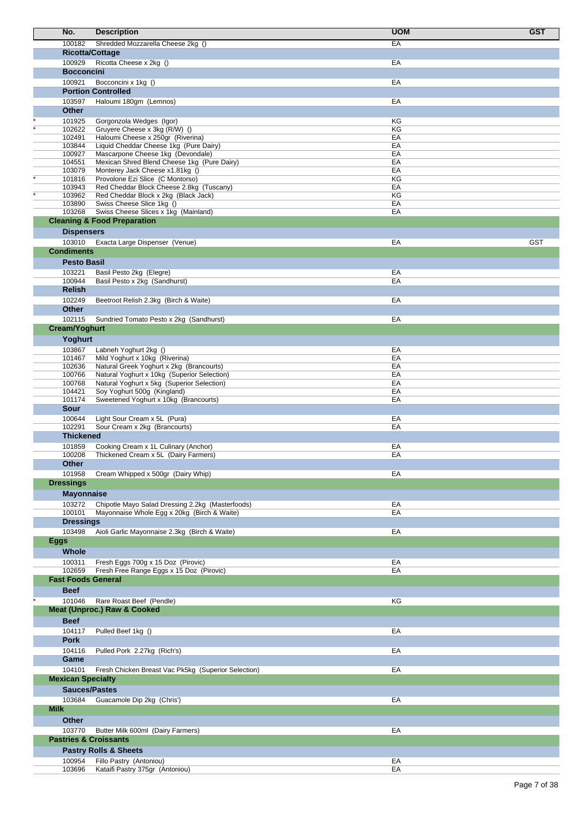| No.                        | <b>Description</b>                                                                        | <b>UOM</b> | <b>GST</b> |
|----------------------------|-------------------------------------------------------------------------------------------|------------|------------|
| 100182                     | Shredded Mozzarella Cheese 2kg ()                                                         | EA         |            |
|                            | <b>Ricotta/Cottage</b>                                                                    |            |            |
| 100929                     | Ricotta Cheese x 2kg ()                                                                   | EA         |            |
| <b>Bocconcini</b>          |                                                                                           |            |            |
| 100921                     | Bocconcini x 1kg ()                                                                       | EA         |            |
|                            | <b>Portion Controlled</b>                                                                 |            |            |
| 103597                     | Haloumi 180gm (Lemnos)                                                                    | EA         |            |
| <b>Other</b>               |                                                                                           |            |            |
| 101925                     | Gorgonzola Wedges (Igor)                                                                  | KG         |            |
| 102622                     | Gruyere Cheese x 3kg (R/W) ()                                                             | KG         |            |
| 102491<br>103844           | Haloumi Cheese x 250gr (Riverina)<br>Liquid Cheddar Cheese 1kg (Pure Dairy)               | EA<br>EA   |            |
| 100927                     | Mascarpone Cheese 1kg (Devondale)                                                         | EA         |            |
| 104551                     | Mexican Shred Blend Cheese 1kg (Pure Dairy)                                               | EA         |            |
| 103079                     | Monterey Jack Cheese x1.81kg ()                                                           | EA         |            |
| 101816                     | Provolone Ezi Slice (C Montorso)                                                          | KG         |            |
| 103943<br>103962           | Red Cheddar Block Cheese 2.8kg (Tuscany)<br>Red Cheddar Block x 2kg (Black Jack)          | EA<br>KG   |            |
| 103890                     | Swiss Cheese Slice 1kg ()                                                                 | EA         |            |
| 103268                     | Swiss Cheese Slices x 1kg (Mainland)                                                      | EA         |            |
|                            | <b>Cleaning &amp; Food Preparation</b>                                                    |            |            |
| <b>Dispensers</b>          |                                                                                           |            |            |
| 103010                     | Exacta Large Dispenser (Venue)                                                            | EA         | <b>GST</b> |
| <b>Condiments</b>          |                                                                                           |            |            |
| <b>Pesto Basil</b>         |                                                                                           |            |            |
| 103221                     | Basil Pesto 2kg (Elegre)                                                                  | EA         |            |
| 100944                     | Basil Pesto x 2kg (Sandhurst)                                                             | EA         |            |
| <b>Relish</b>              |                                                                                           |            |            |
| 102249                     | Beetroot Relish 2.3kg (Birch & Waite)                                                     | EA         |            |
| <b>Other</b>               |                                                                                           |            |            |
| 102115                     | Sundried Tomato Pesto x 2kg (Sandhurst)                                                   | EA         |            |
| <b>Cream/Yoghurt</b>       |                                                                                           |            |            |
| Yoghurt                    |                                                                                           |            |            |
| 103867                     | Labneh Yoghurt 2kg ()                                                                     | EA         |            |
| 101467                     | Mild Yoghurt x 10kg (Riverina)                                                            | EA         |            |
| 102636                     | Natural Greek Yoghurt x 2kg (Brancourts)                                                  | EA         |            |
| 100766<br>100768           | Natural Yoghurt x 10kg (Superior Selection)<br>Natural Yoghurt x 5kg (Superior Selection) | EA<br>EA   |            |
| 104421                     | Soy Yoghurt 500g (Kingland)                                                               | EA         |            |
| 101174                     | Sweetened Yoghurt x 10kg (Brancourts)                                                     | EA         |            |
| Sour                       |                                                                                           |            |            |
| 100644                     | Light Sour Cream x 5L (Pura)                                                              | EA         |            |
| 102291                     | Sour Cream x 2kg (Brancourts)                                                             | EA         |            |
| <b>Thickened</b>           |                                                                                           |            |            |
| 101859                     | Cooking Cream x 1L Culinary (Anchor)                                                      | EA         |            |
| 100208                     | Thickened Cream x 5L (Dairy Farmers)                                                      | EA         |            |
| Other                      |                                                                                           |            |            |
| 101958<br><b>Dressings</b> | Cream Whipped x 500gr (Dairy Whip)                                                        | EA         |            |
|                            |                                                                                           |            |            |
| <b>Mayonnaise</b>          |                                                                                           |            |            |
| 103272                     | Chipotle Mayo Salad Dressing 2.2kg (Masterfoods)                                          | EA         |            |
| 100101<br><b>Dressings</b> | Mayonnaise Whole Egg x 20kg (Birch & Waite)                                               | EA         |            |
| 103498                     | Aioli Garlic Mayonnaise 2.3kg (Birch & Waite)                                             | EA         |            |
| <b>Eggs</b>                |                                                                                           |            |            |
| Whole                      |                                                                                           |            |            |
| 100311                     | Fresh Eggs 700g x 15 Doz (Pirovic)                                                        | EA         |            |
| 102659                     | Fresh Free Range Eggs x 15 Doz (Pirovic)                                                  | EA         |            |
| <b>Fast Foods General</b>  |                                                                                           |            |            |
| <b>Beef</b>                |                                                                                           |            |            |
| 101046                     | Rare Roast Beef (Pendle)                                                                  | KG         |            |
|                            | <b>Meat (Unproc.) Raw &amp; Cooked</b>                                                    |            |            |
| <b>Beef</b>                |                                                                                           |            |            |
|                            |                                                                                           |            |            |
| 104117<br><b>Pork</b>      | Pulled Beef 1kg ()                                                                        | EA         |            |
| 104116                     |                                                                                           | EA         |            |
| Game                       | Pulled Pork 2.27kg (Rich's)                                                               |            |            |
| 104101                     | Fresh Chicken Breast Vac Pk5kg (Superior Selection)                                       | EA         |            |
| <b>Mexican Specialty</b>   |                                                                                           |            |            |
|                            | <b>Sauces/Pastes</b>                                                                      |            |            |
| 103684                     |                                                                                           | EA         |            |
| <b>Milk</b>                | Guacamole Dip 2kg (Chris')                                                                |            |            |
|                            |                                                                                           |            |            |
| <b>Other</b>               |                                                                                           |            |            |
| 103770                     | Butter Milk 600ml (Dairy Farmers)<br><b>Pastries &amp; Croissants</b>                     | EA         |            |
|                            |                                                                                           |            |            |
|                            | <b>Pastry Rolls &amp; Sheets</b>                                                          |            |            |
| 100954<br>103696           | Fillo Pastry (Antoniou)<br>Kataifi Pastry 375gr (Antoniou)                                | EA<br>EA   |            |
|                            |                                                                                           |            |            |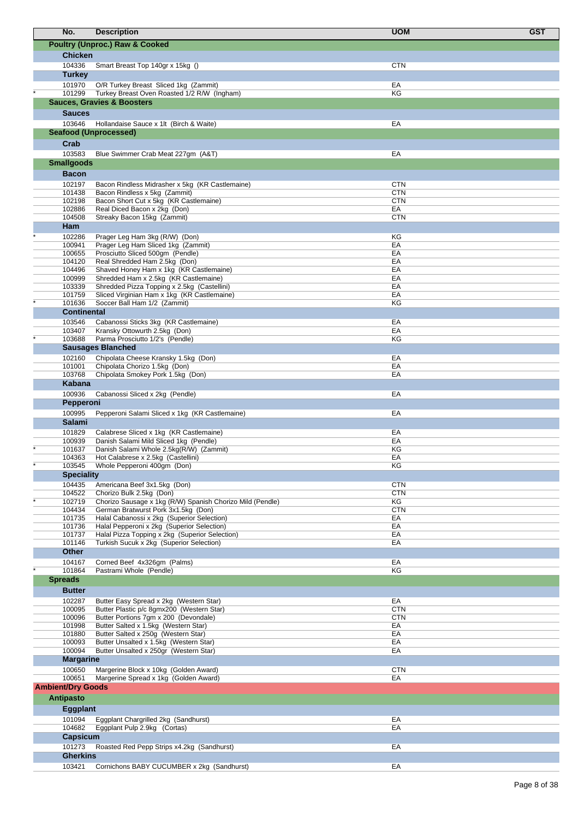| No.                          | <b>Description</b>                                                                       | <b>UOM</b>       | <b>GST</b> |
|------------------------------|------------------------------------------------------------------------------------------|------------------|------------|
|                              | <b>Poultry (Unproc.) Raw &amp; Cooked</b>                                                |                  |            |
| <b>Chicken</b>               |                                                                                          |                  |            |
| 104336                       | Smart Breast Top 140gr x 15kg ()                                                         | <b>CTN</b>       |            |
| <b>Turkey</b>                |                                                                                          |                  |            |
| 101970                       | O/R Turkey Breast Sliced 1kg (Zammit)                                                    | EA               |            |
| 101299                       | Turkey Breast Oven Roasted 1/2 R/W (Ingham)                                              | KG               |            |
|                              | <b>Sauces, Gravies &amp; Boosters</b>                                                    |                  |            |
| <b>Sauces</b>                |                                                                                          |                  |            |
| 103646                       | Hollandaise Sauce x 1lt (Birch & Waite)                                                  | EA               |            |
|                              | <b>Seafood (Unprocessed)</b>                                                             |                  |            |
| Crab<br>103583               |                                                                                          | EA               |            |
| <b>Smallgoods</b>            | Blue Swimmer Crab Meat 227gm (A&T)                                                       |                  |            |
| <b>Bacon</b>                 |                                                                                          |                  |            |
| 102197                       | Bacon Rindless Midrasher x 5kg (KR Castlemaine)                                          | <b>CTN</b>       |            |
| 101438                       | Bacon Rindless x 5kg (Zammit)                                                            | <b>CTN</b>       |            |
| 102198                       | Bacon Short Cut x 5kg (KR Castlemaine)                                                   | <b>CTN</b>       |            |
| 102886<br>104508             | Real Diced Bacon x 2kg (Don)                                                             | EA<br><b>CTN</b> |            |
| Ham                          | Streaky Bacon 15kg (Zammit)                                                              |                  |            |
| 102286                       | Prager Leg Ham 3kg (R/W) (Don)                                                           | ΚG               |            |
| 100941                       | Prager Leg Ham Sliced 1kg (Zammit)                                                       | EA               |            |
| 100655                       | Prosciutto Sliced 500qm (Pendle)                                                         | EA               |            |
| 104120<br>104496             | Real Shredded Ham 2.5kg (Don)<br>Shaved Honey Ham x 1kg (KR Castlemaine)                 | EA<br>EA         |            |
| 100999                       | Shredded Ham x 2.5kg (KR Castlemaine)                                                    | EA               |            |
| 103339                       | Shredded Pizza Topping x 2.5kg (Castellini)                                              | EA               |            |
| 101759                       | Sliced Virginian Ham x 1kg (KR Castlemaine)                                              | EA               |            |
| 101636<br><b>Continental</b> | Soccer Ball Ham 1/2 (Zammit)                                                             | ΚG               |            |
| 103546                       | Cabanossi Sticks 3kg (KR Castlemaine)                                                    | EA               |            |
| 103407                       | Kransky Ottowurth 2.5kg (Don)                                                            | EA               |            |
| 103688                       | Parma Prosciutto 1/2's (Pendle)                                                          | KG               |            |
|                              | <b>Sausages Blanched</b>                                                                 |                  |            |
| 102160<br>101001             | Chipolata Cheese Kransky 1.5kg (Don)<br>Chipolata Chorizo 1.5kg (Don)                    | EA<br>EA         |            |
| 103768                       | Chipolata Smokey Pork 1.5kg (Don)                                                        | EA               |            |
| Kabana                       |                                                                                          |                  |            |
| 100936                       | Cabanossi Sliced x 2kg (Pendle)                                                          | EA               |            |
| Pepperoni                    |                                                                                          |                  |            |
| 100995                       | Pepperoni Salami Sliced x 1kg (KR Castlemaine)                                           | EA               |            |
| <b>Salami</b>                |                                                                                          |                  |            |
| 101829<br>100939             | Calabrese Sliced x 1kg (KR Castlemaine)<br>Danish Salami Mild Sliced 1kg (Pendle)        | EA<br>EA         |            |
| 101637                       | Danish Salami Whole 2.5kg(R/W) (Zammit)                                                  | KG               |            |
| 104363                       | Hot Calabrese x 2.5kg (Castellini)                                                       | EA               |            |
| 103545                       | Whole Pepperoni 400gm (Don)                                                              | ΚG               |            |
| <b>Speciality</b><br>104435  | Americana Beef 3x1.5kg (Don)                                                             | <b>CTN</b>       |            |
| 104522                       | Chorizo Bulk 2.5kg (Don)                                                                 | <b>CTN</b>       |            |
| 102719                       | Chorizo Sausage x 1kg (R/W) Spanish Chorizo Mild (Pendle)                                | ΚG               |            |
| 104434                       | German Bratwurst Pork 3x1.5kg (Don)                                                      | <b>CTN</b>       |            |
| 101735<br>101736             | Halal Cabanossi x 2kg (Superior Selection)<br>Halal Pepperoni x 2kg (Superior Selection) | EA<br>EA         |            |
| 101737                       | Halal Pizza Topping x 2kg (Superior Selection)                                           | EA               |            |
| 101146                       | Turkish Sucuk x 2kg (Superior Selection)                                                 | EA               |            |
| <b>Other</b>                 |                                                                                          |                  |            |
| 104167<br>101864             | Corned Beef 4x326gm (Palms)<br>Pastrami Whole (Pendle)                                   | EA<br>KG         |            |
| <b>Spreads</b>               |                                                                                          |                  |            |
| <b>Butter</b>                |                                                                                          |                  |            |
| 102287                       | Butter Easy Spread x 2kg (Western Star)                                                  | EA               |            |
| 100095                       | Butter Plastic p/c 8gmx200 (Western Star)                                                | <b>CTN</b>       |            |
| 100096                       | Butter Portions 7gm x 200 (Devondale)                                                    | <b>CTN</b>       |            |
| 101998<br>101880             | Butter Salted x 1.5kg (Western Star)<br>Butter Salted x 250g (Western Star)              | EA<br>EA         |            |
| 100093                       | Butter Unsalted x 1.5kg (Western Star)                                                   | EA               |            |
| 100094                       | Butter Unsalted x 250gr (Western Star)                                                   | EA               |            |
| <b>Margarine</b>             |                                                                                          |                  |            |
| 100650<br>100651             | Margerine Block x 10kg (Golden Award)<br>Margerine Spread x 1kg (Golden Award)           | <b>CTN</b><br>EA |            |
| <b>Ambient/Dry Goods</b>     |                                                                                          |                  |            |
| <b>Antipasto</b>             |                                                                                          |                  |            |
| <b>Eggplant</b>              |                                                                                          |                  |            |
| 101094                       | Eggplant Chargrilled 2kg (Sandhurst)                                                     | EA               |            |
| 104682                       | Eggplant Pulp 2.9kg (Cortas)                                                             | EA               |            |
| Capsicum                     |                                                                                          |                  |            |
| 101273                       | Roasted Red Pepp Strips x4.2kg (Sandhurst)                                               | EA               |            |
| <b>Gherkins</b>              |                                                                                          |                  |            |
| 103421                       | Cornichons BABY CUCUMBER x 2kg (Sandhurst)                                               | EA               |            |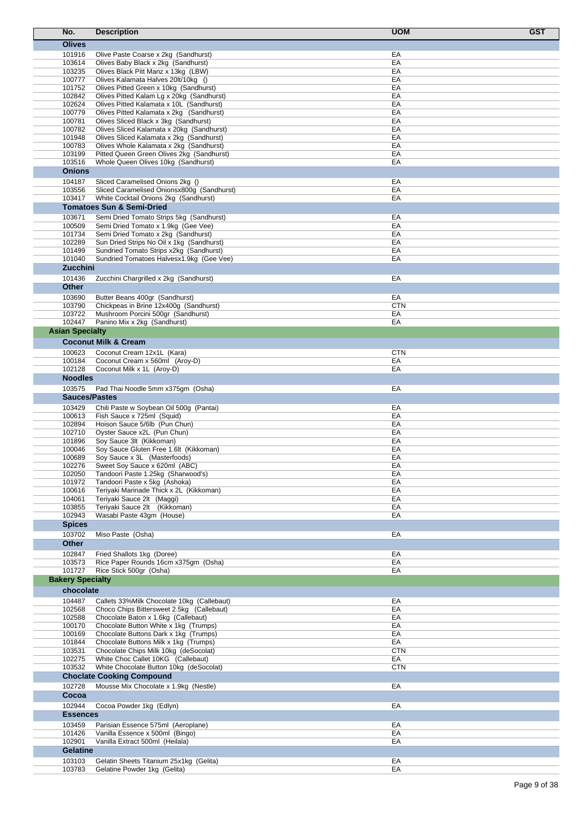| No.                     | <b>Description</b>                                                                   | <b>UOM</b>       | <b>GST</b> |
|-------------------------|--------------------------------------------------------------------------------------|------------------|------------|
| <b>Olives</b>           |                                                                                      |                  |            |
| 101916                  | Olive Paste Coarse x 2kg (Sandhurst)                                                 | EA               |            |
| 103614                  | Olives Baby Black x 2kg (Sandhurst)                                                  | EA               |            |
| 103235                  | Olives Black Pitt Manz x 13kg (LBW)                                                  | EA               |            |
| 100777                  | Olives Kalamata Halves 20lt/10kg ()                                                  | EA               |            |
| 101752<br>102842        | Olives Pitted Green x 10kg (Sandhurst)<br>Olives Pitted Kalam Lg x 20kg (Sandhurst)  | EA<br>EA         |            |
| 102624                  | Olives Pitted Kalamata x 10L (Sandhurst)                                             | EA               |            |
| 100779                  | Olives Pitted Kalamata x 2kg (Sandhurst)                                             | EA               |            |
| 100781                  | Olives Sliced Black x 3kg (Sandhurst)                                                | EA               |            |
| 100782                  | Olives Sliced Kalamata x 20kg (Sandhurst)                                            | EA               |            |
| 101948                  | Olives Sliced Kalamata x 2kg (Sandhurst)                                             | EA               |            |
| 100783<br>103199        | Olives Whole Kalamata x 2kg (Sandhurst)<br>Pitted Queen Green Olives 2kg (Sandhurst) | EA<br>EA         |            |
| 103516                  | Whole Queen Olives 10kg (Sandhurst)                                                  | EA               |            |
| <b>Onions</b>           |                                                                                      |                  |            |
| 104187                  | Sliced Caramelised Onions 2kg ()                                                     | EA               |            |
| 103556                  | Sliced Caramelised Onionsx800g (Sandhurst)                                           | EA               |            |
| 103417                  | White Cocktail Onions 2kg (Sandhurst)                                                | EA               |            |
|                         | <b>Tomatoes Sun &amp; Semi-Dried</b>                                                 |                  |            |
| 103671                  | Semi Dried Tomato Strips 5kg (Sandhurst)                                             | EA               |            |
| 100509                  | Semi Dried Tomato x 1.9kg (Gee Vee)                                                  | EA               |            |
| 101734                  | Semi Dried Tomato x 2kg (Sandhurst)                                                  | EA               |            |
| 102289                  | Sun Dried Strips No Oil x 1kg (Sandhurst)                                            | EA               |            |
| 101499<br>101040        | Sundried Tomato Strips x2kg (Sandhurst)<br>Sundried Tomatoes Halvesx1.9kg (Gee Vee)  | EA<br>EA         |            |
| <b>Zucchini</b>         |                                                                                      |                  |            |
| 101436                  | Zucchini Chargrilled x 2kg (Sandhurst)                                               | EA               |            |
| <b>Other</b>            |                                                                                      |                  |            |
| 103690                  | Butter Beans 400gr (Sandhurst)                                                       | EA               |            |
| 103790                  | Chickpeas in Brine 12x400g (Sandhurst)                                               | <b>CTN</b>       |            |
| 103722                  | Mushroom Porcini 500gr (Sandhurst)                                                   | EA               |            |
| 102447                  | Panino Mix x 2kg (Sandhurst)                                                         | EA               |            |
| <b>Asian Specialty</b>  |                                                                                      |                  |            |
|                         | <b>Coconut Milk &amp; Cream</b>                                                      |                  |            |
| 100623                  | Coconut Cream 12x1L (Kara)                                                           | <b>CTN</b>       |            |
| 100184                  | Coconut Cream x 560ml (Aroy-D)                                                       | EA               |            |
| 102128                  | Coconut Milk x 1L (Aroy-D)                                                           | EA               |            |
| <b>Noodles</b>          |                                                                                      |                  |            |
| 103575                  | Pad Thai Noodle 5mm x375gm (Osha)                                                    | EA               |            |
|                         | <b>Sauces/Pastes</b>                                                                 |                  |            |
| 103429                  | Chili Paste w Soybean Oil 500g (Pantai)                                              | EA               |            |
| 100613                  | Fish Sauce x 725ml (Squid)                                                           | EA               |            |
| 102894                  | Hoison Sauce 5/6lb (Pun Chun)                                                        | EA               |            |
| 102710<br>101896        | Oyster Sauce x2L (Pun Chun)<br>Soy Sauce 3lt (Kikkoman)                              | EA<br>EA         |            |
| 100046                  | Soy Sauce Gluten Free 1.6lt (Kikkoman)                                               | EA               |            |
| 100689                  | Soy Sauce x 3L (Masterfoods)                                                         | EA               |            |
| 102276                  | Sweet Soy Sauce x 620ml (ABC)                                                        | EА               |            |
| 102050                  | Tandoori Paste 1.25kg (Sharwood's)                                                   | EA               |            |
| 101972                  | Tandoori Paste x 5kg (Ashoka)                                                        | EA               |            |
| 100616                  | Teriyaki Marinade Thick x 2L (Kikkoman)                                              | EA               |            |
| 104061<br>103855        | Teriyaki Sauce 2lt (Maggi)<br>Teriyaki Sauce 2lt (Kikkoman)                          | EA<br>EA         |            |
| 102943                  | Wasabi Paste 43gm (House)                                                            | EA               |            |
| <b>Spices</b>           |                                                                                      |                  |            |
| 103702                  | Miso Paste (Osha)                                                                    | EA               |            |
| <b>Other</b>            |                                                                                      |                  |            |
| 102847                  | Fried Shallots 1kg (Doree)                                                           | EA               |            |
| 103573                  | Rice Paper Rounds 16cm x375gm (Osha)                                                 | EA               |            |
| 101727                  | Rice Stick 500gr (Osha)                                                              | EA               |            |
| <b>Bakery Specialty</b> |                                                                                      |                  |            |
| chocolate               |                                                                                      |                  |            |
| 104487                  | Callets 33% Milk Chocolate 10kg (Callebaut)                                          | EA               |            |
| 102568                  | Choco Chips Bittersweet 2.5kg (Callebaut)                                            | EA               |            |
| 102588                  | Chocolate Baton x 1.6kg (Callebaut)                                                  | EA               |            |
| 100170                  | Chocolate Button White x 1kg (Trumps)                                                | EA               |            |
| 100169                  | Chocolate Buttons Dark x 1kg (Trumps)                                                | EA               |            |
| 101844                  | Chocolate Buttons Milk x 1kg (Trumps)                                                | EA<br><b>CTN</b> |            |
| 103531<br>102275        | Chocolate Chips Milk 10kg (deSocolat)<br>White Choc Callet 10KG (Callebaut)          | EA               |            |
| 103532                  | White Chocolate Button 10kg (deSocolat)                                              | <b>CTN</b>       |            |
|                         | <b>Choclate Cooking Compound</b>                                                     |                  |            |
| 102728                  | Mousse Mix Chocolate x 1.9kg (Nestle)                                                | EA               |            |
| Cocoa                   |                                                                                      |                  |            |
| 102944                  | Cocoa Powder 1kg (Edlyn)                                                             | EA               |            |
| <b>Essences</b>         |                                                                                      |                  |            |
| 103459                  | Parisian Essence 575ml (Aeroplane)                                                   | EA               |            |
| 101426                  | Vanilla Essence x 500ml (Bingo)                                                      | EA               |            |
| 102901                  | Vanilla Extract 500ml (Heilala)                                                      | EA               |            |
| <b>Gelatine</b>         |                                                                                      |                  |            |
| 103103                  | Gelatin Sheets Titanium 25x1kg (Gelita)                                              | EA               |            |
| 103783                  | Gelatine Powder 1kg (Gelita)                                                         | EA               |            |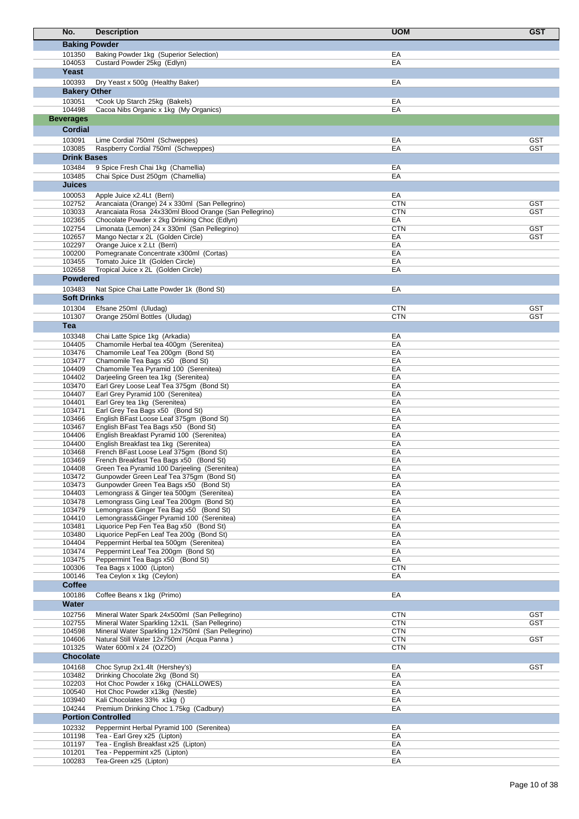| No.                  | <b>Description</b>                                                                                        | <b>UOM</b>               | <b>GST</b> |
|----------------------|-----------------------------------------------------------------------------------------------------------|--------------------------|------------|
| <b>Baking Powder</b> |                                                                                                           |                          |            |
| 101350               | Baking Powder 1kg (Superior Selection)                                                                    | EA                       |            |
| 104053               | Custard Powder 25kg (Edlyn)                                                                               | EA                       |            |
| Yeast                |                                                                                                           |                          |            |
| 100393               | Dry Yeast x 500g (Healthy Baker)                                                                          | EA                       |            |
| <b>Bakery Other</b>  |                                                                                                           |                          |            |
| 103051               | *Cook Up Starch 25kg (Bakels)                                                                             | EA                       |            |
| 104498               | Cacoa Nibs Organic x 1kg (My Organics)                                                                    | EA                       |            |
| <b>Beverages</b>     |                                                                                                           |                          |            |
| Cordial              |                                                                                                           |                          |            |
| 103091               | Lime Cordial 750ml (Schweppes)                                                                            | EA                       | <b>GST</b> |
| 103085               | Raspberry Cordial 750ml (Schweppes)                                                                       | EA                       | <b>GST</b> |
| <b>Drink Bases</b>   |                                                                                                           |                          |            |
| 103484               | 9 Spice Fresh Chai 1kg (Chamellia)                                                                        | EA                       |            |
| 103485               | Chai Spice Dust 250gm (Chamellia)                                                                         | EA                       |            |
| Juices               |                                                                                                           |                          |            |
| 100053               | Apple Juice x2.4Lt (Berri)                                                                                | EA                       | <b>GST</b> |
| 102752<br>103033     | Arancaiata (Orange) 24 x 330ml (San Pellegrino)<br>Arancaiata Rosa 24x330ml Blood Orange (San Pellegrino) | <b>CTN</b><br><b>CTN</b> | <b>GST</b> |
| 102365               | Chocolate Powder x 2kg Drinking Choc (Edlyn)                                                              | EA                       |            |
| 102754               | Limonata (Lemon) 24 x 330ml (San Pellegrino)                                                              | <b>CTN</b>               | <b>GST</b> |
| 102657               | Mango Nectar x 2L (Golden Circle)                                                                         | EA                       | <b>GST</b> |
| 102297               | Orange Juice x 2.Lt (Berri)                                                                               | EA                       |            |
| 100200<br>103455     | Pomegranate Concentrate x300ml (Cortas)<br>Tomato Juice 1lt (Golden Circle)                               | EA<br>EA                 |            |
| 102658               | Tropical Juice x 2L (Golden Circle)                                                                       | EA                       |            |
| <b>Powdered</b>      |                                                                                                           |                          |            |
| 103483               | Nat Spice Chai Latte Powder 1k (Bond St)                                                                  | EA                       |            |
| <b>Soft Drinks</b>   |                                                                                                           |                          |            |
| 101304               | Efsane 250ml (Uludag)                                                                                     | <b>CTN</b>               | <b>GST</b> |
| 101307               | Orange 250ml Bottles (Uludag)                                                                             | <b>CTN</b>               | <b>GST</b> |
| Tea                  |                                                                                                           |                          |            |
| 103348               | Chai Latte Spice 1kg (Arkadia)                                                                            | EA                       |            |
| 104405               | Chamomile Herbal tea 400gm (Serenitea)                                                                    | EA                       |            |
| 103476               | Chamomile Leaf Tea 200gm (Bond St)                                                                        | EA                       |            |
| 103477<br>104409     | Chamomile Tea Bags x50 (Bond St)<br>Chamomile Tea Pyramid 100 (Serenitea)                                 | EA<br>EA                 |            |
| 104402               | Darjeeling Green tea 1kg (Serenitea)                                                                      | EA                       |            |
| 103470               | Earl Grey Loose Leaf Tea 375gm (Bond St)                                                                  | EA                       |            |
| 104407               | Earl Grey Pyramid 100 (Serenitea)                                                                         | EA                       |            |
| 104401               | Earl Grey tea 1kg (Serenitea)                                                                             | EA                       |            |
| 103471<br>103466     | Earl Grey Tea Bags x50 (Bond St)                                                                          | EA<br>EA                 |            |
| 103467               | English BFast Loose Leaf 375gm (Bond St)<br>English BFast Tea Bags x50 (Bond St)                          | EA                       |            |
| 104406               | English Breakfast Pyramid 100 (Serenitea)                                                                 | EA                       |            |
| 104400               | English Breakfast tea 1kg (Serenitea)                                                                     | EA                       |            |
| 103468               | French BFast Loose Leaf 375gm (Bond St)                                                                   | EA                       |            |
| 103469               | French Breakfast Tea Bags x50 (Bond St)                                                                   | EA                       |            |
| 104408<br>103472     | Green Tea Pyramid 100 Darjeeling (Serenitea)<br>Gunpowder Green Leaf Tea 375gm (Bond St)                  | EA<br>EA                 |            |
| 103473               | Gunpowder Green Tea Bags x50 (Bond St)                                                                    | EA                       |            |
| 104403               | Lemongrass & Ginger tea 500gm (Serenitea)                                                                 | EA                       |            |
| 103478               | Lemongrass Ging Leaf Tea 200gm (Bond St)                                                                  | EA                       |            |
| 103479               | Lemongrass Ginger Tea Bag x50 (Bond St)                                                                   | EA                       |            |
| 104410<br>103481     | Lemongrass&Ginger Pyramid 100 (Serenitea)<br>Liquorice Pep Fen Tea Bag x50 (Bond St)                      | EA<br>EA                 |            |
| 103480               | Liquorice PepFen Leaf Tea 200g (Bond St)                                                                  | EA                       |            |
| 104404               | Peppermint Herbal tea 500gm (Serenitea)                                                                   | EA                       |            |
| 103474               | Peppermint Leaf Tea 200gm (Bond St)                                                                       | EA                       |            |
| 103475               | Peppermint Tea Bags x50 (Bond St)                                                                         | EA                       |            |
| 100306<br>100146     | Tea Bags x 1000 (Lipton)<br>Tea Ceylon x 1kg (Ceylon)                                                     | <b>CTN</b><br>EA         |            |
| <b>Coffee</b>        |                                                                                                           |                          |            |
|                      |                                                                                                           |                          |            |
| 100186<br>Water      | Coffee Beans x 1kg (Primo)                                                                                | EA                       |            |
| 102756               | Mineral Water Spark 24x500ml (San Pellegrino)                                                             | <b>CTN</b>               | <b>GST</b> |
| 102755               | Mineral Water Sparkling 12x1L (San Pellegrino)                                                            | CTN                      | <b>GST</b> |
| 104598               | Mineral Water Sparkling 12x750ml (San Pellegrino)                                                         | <b>CTN</b>               |            |
| 104606               | Natural Still Water 12x750ml (Acqua Panna)                                                                | <b>CTN</b>               | <b>GST</b> |
| 101325               | Water 600ml x 24 (OZ2O)                                                                                   | <b>CTN</b>               |            |
| <b>Chocolate</b>     |                                                                                                           |                          |            |
| 104168               | Choc Syrup 2x1.4lt (Hershey's)                                                                            | EA                       | <b>GST</b> |
| 103482               | Drinking Chocolate 2kg (Bond St)                                                                          | EA<br>EA                 |            |
| 102203<br>100540     | Hot Choc Powder x 16kg (CHALLOWES)<br>Hot Choc Powder x13kg (Nestle)                                      | EA                       |            |
| 103940               | Kali Chocolates 33% x1kg ()                                                                               | EA                       |            |
| 104244               | Premium Drinking Choc 1.75kg (Cadbury)                                                                    | EA                       |            |
|                      | <b>Portion Controlled</b>                                                                                 |                          |            |
| 102332               | Peppermint Herbal Pyramid 100 (Serenitea)                                                                 | EA                       |            |
| 101198               | Tea - Earl Grey x25 (Lipton)                                                                              | EA                       |            |
| 101197<br>101201     | Tea - English Breakfast x25 (Lipton)<br>Tea - Peppermint x25 (Lipton)                                     | EA<br>EA                 |            |
| 100283               | Tea-Green x25 (Lipton)                                                                                    | EA                       |            |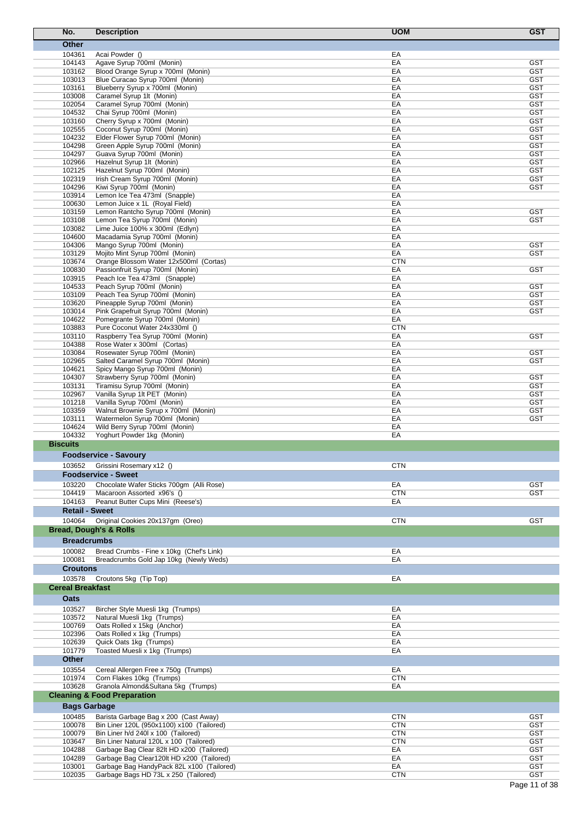|                 | No.                     | <b>Description</b>                                                  | <b>UOM</b> | <b>GST</b>               |
|-----------------|-------------------------|---------------------------------------------------------------------|------------|--------------------------|
|                 | <b>Other</b>            |                                                                     |            |                          |
|                 | 104361                  | Acai Powder ()                                                      | EA         |                          |
|                 | 104143                  | Agave Syrup 700ml (Monin)                                           | EA         | <b>GST</b>               |
|                 | 103162                  | Blood Orange Syrup x 700ml (Monin)                                  | EA         | <b>GST</b>               |
|                 | 103013                  | Blue Curacao Syrup 700ml (Monin)                                    | EA         | <b>GST</b>               |
|                 | 103161                  | Blueberry Syrup x 700ml (Monin)                                     | EA         | <b>GST</b>               |
|                 | 103008<br>102054        | Caramel Syrup 1lt (Monin)<br>Caramel Syrup 700ml (Monin)            | EA<br>EA   | GST<br><b>GST</b>        |
|                 | 104532                  | Chai Syrup 700ml (Monin)                                            | EA         | <b>GST</b>               |
|                 | 103160                  | Cherry Syrup x 700ml (Monin)                                        | EA         | <b>GST</b>               |
|                 | 102555                  | Coconut Syrup 700ml (Monin)                                         | EA         | <b>GST</b>               |
|                 | 104232                  | Elder Flower Syrup 700ml (Monin)                                    | EA         | <b>GST</b>               |
|                 | 104298                  | Green Apple Syrup 700ml (Monin)                                     | EA         | <b>GST</b>               |
|                 | 104297                  | Guava Syrup 700ml (Monin)                                           | EA         | <b>GST</b>               |
|                 | 102966<br>102125        | Hazelnut Syrup 1lt (Monin)<br>Hazelnut Syrup 700ml (Monin)          | EA<br>EA   | <b>GST</b><br><b>GST</b> |
|                 | 102319                  | Irish Cream Syrup 700ml (Monin)                                     | EA         | <b>GST</b>               |
|                 | 104296                  | Kiwi Syrup 700ml (Monin)                                            | EA         | <b>GST</b>               |
|                 | 103914                  | Lemon Ice Tea 473ml (Snapple)                                       | EA         |                          |
|                 | 100630                  | Lemon Juice x 1L (Royal Field)                                      | EA         |                          |
|                 | 103159                  | Lemon Rantcho Syrup 700ml (Monin)                                   | EA         | <b>GST</b>               |
|                 | 103108<br>103082        | Lemon Tea Syrup 700ml (Monin)<br>Lime Juice 100% x 300ml (Edlyn)    | EA<br>EA   | GST                      |
|                 | 104600                  | Macadamia Syrup 700ml (Monin)                                       | EA         |                          |
|                 | 104306                  | Mango Syrup 700ml (Monin)                                           | EA         | <b>GST</b>               |
|                 | 103129                  | Mojito Mint Syrup 700ml (Monin)                                     | EA         | <b>GST</b>               |
|                 | 103674                  | Orange Blossom Water 12x500ml (Cortas)                              | <b>CTN</b> |                          |
|                 | 100830                  | Passionfruit Syrup 700ml (Monin)                                    | EA         | <b>GST</b>               |
|                 | 103915                  | Peach Ice Tea 473ml (Snapple)                                       | EA         |                          |
|                 | 104533                  | Peach Syrup 700ml (Monin)                                           | EA         | <b>GST</b>               |
|                 | 103109                  | Peach Tea Syrup 700ml (Monin)                                       | EA         | <b>GST</b>               |
|                 | 103620                  | Pineapple Syrup 700ml (Monin)                                       | EA         | <b>GST</b>               |
|                 | 103014<br>104622        | Pink Grapefruit Syrup 700ml (Monin)                                 | EA<br>EA   | GST                      |
|                 | 103883                  | Pomegrante Syrup 700ml (Monin)<br>Pure Coconut Water 24x330ml ()    | <b>CTN</b> |                          |
|                 | 103110                  | Raspberry Tea Syrup 700ml (Monin)                                   | EA         | <b>GST</b>               |
|                 | 104388                  | Rose Water x 300ml (Cortas)                                         | EA         |                          |
|                 | 103084                  | Rosewater Syrup 700ml (Monin)                                       | EA         | <b>GST</b>               |
|                 | 102965                  | Salted Caramel Syrup 700ml (Monin)                                  | EA         | GST                      |
|                 | 104621                  | Spicy Mango Syrup 700ml (Monin)                                     | EA         |                          |
|                 | 104307                  | Strawberry Syrup 700ml (Monin)                                      | EA         | <b>GST</b>               |
|                 | 103131                  | Tiramisu Syrup 700ml (Monin)                                        | EA         | <b>GST</b>               |
|                 | 102967                  | Vanilla Syrup 1lt PET (Monin)                                       | EA         | <b>GST</b>               |
|                 | 101218<br>103359        | Vanilla Syrup 700ml (Monin)<br>Walnut Brownie Syrup x 700ml (Monin) | EA<br>EA   | <b>GST</b><br><b>GST</b> |
|                 | 103111                  | Watermelon Syrup 700ml (Monin)                                      | EA         | <b>GST</b>               |
|                 | 104624                  | Wild Berry Syrup 700ml (Monin)                                      | EA         |                          |
|                 | 104332                  | Yoghurt Powder 1kg (Monin)                                          | EA         |                          |
| <b>Biscuits</b> |                         |                                                                     |            |                          |
|                 |                         | <b>Foodservice - Savoury</b>                                        |            |                          |
|                 | 103652                  | Grissini Rosemary x12 ()                                            | CTN        |                          |
|                 |                         | <b>Foodservice - Sweet</b>                                          |            |                          |
|                 | 103220                  | Chocolate Wafer Sticks 700qm (Alli Rose)                            | EA         | <b>GST</b>               |
|                 | 104419                  | Macaroon Assorted x96's ()                                          | <b>CTN</b> | <b>GST</b>               |
|                 | 104163                  | Peanut Butter Cups Mini (Reese's)                                   | EA         |                          |
|                 | <b>Retail - Sweet</b>   |                                                                     |            |                          |
|                 | 104064                  | Original Cookies 20x137gm (Oreo)                                    | <b>CTN</b> | <b>GST</b>               |
|                 |                         | <b>Bread, Dough's &amp; Rolls</b>                                   |            |                          |
|                 | <b>Breadcrumbs</b>      |                                                                     |            |                          |
|                 | 100082                  | Bread Crumbs - Fine x 10kg (Chef's Link)                            | EA         |                          |
|                 | 100081                  | Breadcrumbs Gold Jap 10kg (Newly Weds)                              | EA         |                          |
|                 | <b>Croutons</b>         |                                                                     |            |                          |
|                 | 103578                  | Croutons 5kg (Tip Top)                                              | EA         |                          |
|                 | <b>Cereal Breakfast</b> |                                                                     |            |                          |
|                 |                         |                                                                     |            |                          |
|                 | Oats                    |                                                                     |            |                          |
|                 | 103527                  | Bircher Style Muesli 1kg (Trumps)                                   | EA         |                          |
|                 | 103572                  | Natural Muesli 1kg (Trumps)                                         | EA         |                          |
|                 | 100769<br>102396        | Oats Rolled x 15kg (Anchor)<br>Oats Rolled x 1kg (Trumps)           | EA<br>EA   |                          |
|                 | 102639                  | Quick Oats 1kg (Trumps)                                             | EA         |                          |
|                 | 101779                  | Toasted Muesli x 1kg (Trumps)                                       | EA         |                          |
|                 | <b>Other</b>            |                                                                     |            |                          |
|                 | 103554                  | Cereal Allergen Free x 750g (Trumps)                                | EA         |                          |
|                 | 101974                  | Corn Flakes 10kg (Trumps)                                           | <b>CTN</b> |                          |
|                 | 103628                  | Granola Almond&Sultana 5kg (Trumps)                                 | EA         |                          |
|                 |                         | <b>Cleaning &amp; Food Preparation</b>                              |            |                          |
|                 | <b>Bags Garbage</b>     |                                                                     |            |                          |
|                 | 100485                  | Barista Garbage Bag x 200 (Cast Away)                               | <b>CTN</b> | <b>GST</b>               |
|                 | 100078                  | Bin Liner 120L (950x1100) x100 (Tailored)                           | <b>CTN</b> | <b>GST</b>               |
|                 | 100079                  | Bin Liner h/d 240l x 100 (Tailored)                                 | <b>CTN</b> | <b>GST</b>               |
|                 | 103647                  | Bin Liner Natural 120L x 100 (Tailored)                             | <b>CTN</b> | <b>GST</b>               |
|                 | 104288                  | Garbage Bag Clear 82lt HD x200 (Tailored)                           | EA         | <b>GST</b>               |
|                 | 104289                  | Garbage Bag Clear120lt HD x200 (Tailored)                           | EA         | <b>GST</b>               |
|                 | 103001                  | Garbage Bag HandyPack 82L x100 (Tailored)                           | EA         | <b>GST</b>               |
|                 | 102035                  | Garbage Bags HD 73L x 250 (Tailored)                                | <b>CTN</b> | <b>GST</b>               |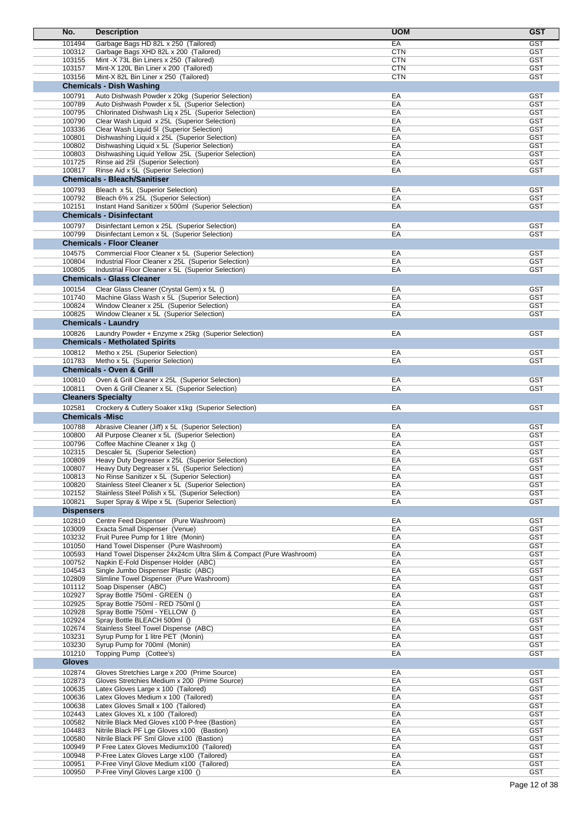| No.                    | <b>Description</b>                                                                                        | <b>UOM</b> | <b>GST</b>               |
|------------------------|-----------------------------------------------------------------------------------------------------------|------------|--------------------------|
| 101494                 | Garbage Bags HD 82L x 250 (Tailored)                                                                      | EA         | <b>GST</b>               |
| 100312                 | Garbage Bags XHD 82L x 200 (Tailored)                                                                     | <b>CTN</b> | <b>GST</b>               |
| 103155                 | Mint -X 73L Bin Liners x 250 (Tailored)                                                                   | <b>CTN</b> | <b>GST</b>               |
| 103157                 | Mint-X 120L Bin Liner x 200 (Tailored)                                                                    | <b>CTN</b> | <b>GST</b>               |
| 103156                 | Mint-X 82L Bin Liner x 250 (Tailored)                                                                     | <b>CTN</b> | <b>GST</b>               |
|                        | <b>Chemicals - Dish Washing</b>                                                                           |            |                          |
| 100791                 | Auto Dishwash Powder x 20kg (Superior Selection)                                                          | EA         | <b>GST</b>               |
| 100789                 | Auto Dishwash Powder x 5L (Superior Selection)                                                            | EA         | <b>GST</b>               |
| 100795                 | Chlorinated Dishwash Liq x 25L (Superior Selection)                                                       | EA         | <b>GST</b>               |
| 100790                 | Clear Wash Liquid x 25L (Superior Selection)                                                              | EA         | <b>GST</b>               |
| 103336                 | Clear Wash Liquid 5I (Superior Selection)                                                                 | EA         | <b>GST</b>               |
| 100801                 | Dishwashing Liquid x 25L (Superior Selection)                                                             | EA         | <b>GST</b>               |
| 100802                 | Dishwashing Liquid x 5L (Superior Selection)                                                              | EA         | GST                      |
| 100803                 | Dishwashing Liquid Yellow 25L (Superior Selection)                                                        | EA         | <b>GST</b>               |
| 101725                 | Rinse aid 25I (Superior Selection)                                                                        | EA         | <b>GST</b>               |
| 100817                 | Rinse Aid x 5L (Superior Selection)                                                                       | EA         | <b>GST</b>               |
|                        | <b>Chemicals - Bleach/Sanitiser</b>                                                                       |            |                          |
| 100793                 | Bleach x 5L (Superior Selection)                                                                          | EA         | <b>GST</b>               |
| 100792                 | Bleach 6% x 25L (Superior Selection)                                                                      | EA         | <b>GST</b>               |
| 102151                 | Instant Hand Sanitizer x 500ml (Superior Selection)                                                       | EA         | <b>GST</b>               |
|                        | <b>Chemicals - Disinfectant</b>                                                                           |            |                          |
|                        |                                                                                                           |            |                          |
| 100797                 | Disinfectant Lemon x 25L (Superior Selection)                                                             | EA         | <b>GST</b>               |
| 100799                 | Disinfectant Lemon x 5L (Superior Selection)                                                              | EA         | <b>GST</b>               |
|                        | <b>Chemicals - Floor Cleaner</b>                                                                          |            |                          |
| 104575                 | Commercial Floor Cleaner x 5L (Superior Selection)                                                        | EA         | <b>GST</b>               |
| 100804                 | Industrial Floor Cleaner x 25L (Superior Selection)                                                       | EA         | <b>GST</b>               |
| 100805                 | Industrial Floor Cleaner x 5L (Superior Selection)                                                        | EA         | <b>GST</b>               |
|                        | <b>Chemicals - Glass Cleaner</b>                                                                          |            |                          |
| 100154                 | Clear Glass Cleaner (Crystal Gem) x 5L ()                                                                 | EA         | GST                      |
| 101740                 | Machine Glass Wash x 5L (Superior Selection)                                                              | EA         | <b>GST</b>               |
| 100824                 | Window Cleaner x 25L (Superior Selection)                                                                 | EA         | <b>GST</b>               |
| 100825                 | Window Cleaner x 5L (Superior Selection)                                                                  | EA         | <b>GST</b>               |
|                        | <b>Chemicals - Laundry</b>                                                                                |            |                          |
|                        |                                                                                                           | EA         |                          |
| 100826                 | Laundry Powder + Enzyme x 25kg (Superior Selection)                                                       |            | GST                      |
|                        | <b>Chemicals - Metholated Spirits</b>                                                                     |            |                          |
| 100812                 | Metho x 25L (Superior Selection)                                                                          | EA         | <b>GST</b>               |
| 101783                 | Metho x 5L (Superior Selection)                                                                           | EA         | <b>GST</b>               |
|                        | <b>Chemicals - Oven &amp; Grill</b>                                                                       |            |                          |
| 100810                 | Oven & Grill Cleaner x 25L (Superior Selection)                                                           | EA         | <b>GST</b>               |
| 100811                 | Oven & Grill Cleaner x 5L (Superior Selection)                                                            | EA         | GST                      |
|                        | <b>Cleaners Specialty</b>                                                                                 |            |                          |
| 102581                 | Crockery & Cutlery Soaker x1kg (Superior Selection)                                                       | EA         | <b>GST</b>               |
| <b>Chemicals -Misc</b> |                                                                                                           |            |                          |
|                        |                                                                                                           |            |                          |
| 100788                 | Abrasive Cleaner (Jiff) x 5L (Superior Selection)<br>All Purpose Cleaner x 5L (Superior Selection)        | EA         | GST                      |
| 100800                 |                                                                                                           | EA         | GST                      |
| 100796                 | Coffee Machine Cleaner x 1kg ()<br>Descaler 5L (Superior Selection)                                       | EA         | GST                      |
| 102315<br>100809       | Heavy Duty Degreaser x 25L (Superior Selection)                                                           | EA<br>ЕA   | <b>GST</b><br>GST        |
| 100807                 | Heavy Duty Degreaser x 5L (Superior Selection)                                                            | EA         | <b>GST</b>               |
| 100813                 | No Rinse Sanitizer x 5L (Superior Selection)                                                              | EA         | <b>GST</b>               |
| 100820                 | Stainless Steel Cleaner x 5L (Superior Selection)                                                         | EA         | <b>GST</b>               |
| 102152                 | Stainless Steel Polish x 5L (Superior Selection)                                                          | EA         | <b>GST</b>               |
| 100821                 | Super Spray & Wipe x 5L (Superior Selection)                                                              | EA         | <b>GST</b>               |
| <b>Dispensers</b>      |                                                                                                           |            |                          |
|                        |                                                                                                           |            |                          |
| 102810                 | Centre Feed Dispenser (Pure Washroom)                                                                     | EA         | <b>GST</b>               |
| 103009                 | Exacta Small Dispenser (Venue)                                                                            | EA         | <b>GST</b>               |
| 103232                 | Fruit Puree Pump for 1 litre (Monin)                                                                      | EA         | <b>GST</b>               |
| 101050<br>100593       | Hand Towel Dispenser (Pure Washroom)<br>Hand Towel Dispenser 24x24cm Ultra Slim & Compact (Pure Washroom) | EA<br>EA   | <b>GST</b><br><b>GST</b> |
|                        |                                                                                                           |            |                          |
| 100752<br>104543       | Napkin E-Fold Dispenser Holder (ABC)<br>Single Jumbo Dispenser Plastic (ABC)                              | EA<br>EA   | <b>GST</b><br><b>GST</b> |
| 102809                 | Slimline Towel Dispenser (Pure Washroom)                                                                  | EA         | <b>GST</b>               |
| 101112                 | Soap Dispenser (ABC)                                                                                      | EA         | <b>GST</b>               |
| 102927                 | Spray Bottle 750ml - GREEN ()                                                                             | EA         | <b>GST</b>               |
| 102925                 | Spray Bottle 750ml - RED 750ml ()                                                                         | EA         | <b>GST</b>               |
| 102928                 | Spray Bottle 750ml - YELLOW ()                                                                            | EA         | <b>GST</b>               |
| 102924                 | Spray Bottle BLEACH 500ml ()                                                                              | EA         | <b>GST</b>               |
| 102674                 | Stainless Steel Towel Dispense (ABC)                                                                      | EA         | <b>GST</b>               |
| 103231                 | Syrup Pump for 1 litre PET (Monin)                                                                        | EA         | <b>GST</b>               |
| 103230                 | Syrup Pump for 700ml (Monin)                                                                              | EA         | <b>GST</b>               |
| 101210                 | Topping Pump (Cottee's)                                                                                   | EA         | <b>GST</b>               |
| <b>Gloves</b>          |                                                                                                           |            |                          |
|                        |                                                                                                           |            |                          |
| 102874                 | Gloves Stretchies Large x 200 (Prime Source)                                                              | EA         | <b>GST</b>               |
| 102873                 | Gloves Stretchies Medium x 200 (Prime Source)                                                             | EA         | <b>GST</b>               |
| 100635                 | Latex Gloves Large x 100 (Tailored)                                                                       | EA         | <b>GST</b>               |
| 100636                 | Latex Gloves Medium x 100 (Tailored)                                                                      | EA         | <b>GST</b>               |
| 100638                 | Latex Gloves Small x 100 (Tailored)                                                                       | EA         | <b>GST</b><br><b>GST</b> |
| 102443                 | Latex Gloves XL x 100 (Tailored)                                                                          | EA<br>EA   | <b>GST</b>               |
| 100582<br>104483       | Nitrile Black Med Gloves x100 P-free (Bastion)                                                            | EA         | <b>GST</b>               |
| 100580                 | Nitrile Black PF Lge Gloves x100 (Bastion)<br>Nitrile Black PF Sml Glove x100 (Bastion)                   | EA         | <b>GST</b>               |
| 100949                 | P Free Latex Gloves Mediumx100 (Tailored)                                                                 | EA         | <b>GST</b>               |
| 100948                 | P-Free Latex Gloves Large x100 (Tailored)                                                                 | EA         | <b>GST</b>               |
| 100951                 | P-Free Vinyl Glove Medium x100 (Tailored)                                                                 | EA         | <b>GST</b>               |
| 100950                 | P-Free Vinyl Gloves Large x100 ()                                                                         | EA         | <b>GST</b>               |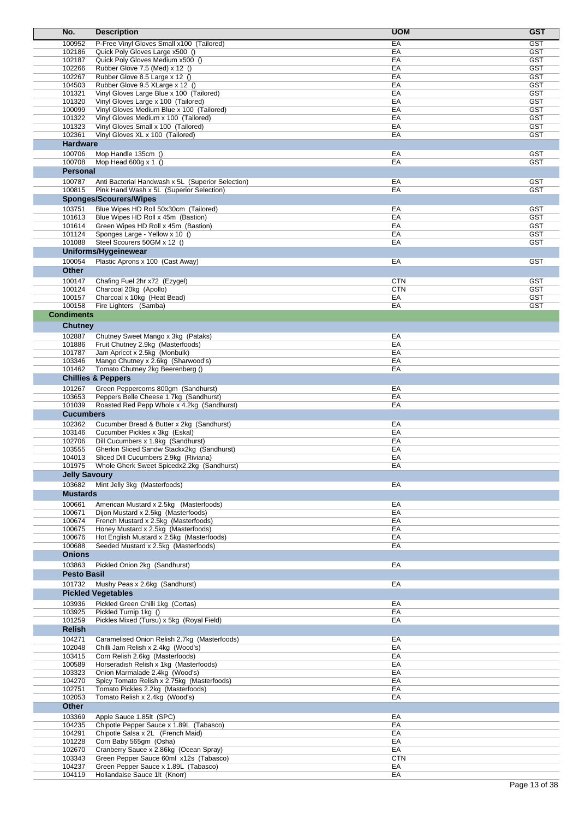| No.                  | <b>Description</b>                                                               | <b>UOM</b>               | <b>GST</b>               |
|----------------------|----------------------------------------------------------------------------------|--------------------------|--------------------------|
| 100952               | P-Free Vinyl Gloves Small x100 (Tailored)                                        | EA                       | <b>GST</b>               |
| 102186               | Quick Poly Gloves Large x500 ()                                                  | EA                       | <b>GST</b>               |
| 102187<br>102266     | Quick Poly Gloves Medium x500 ()                                                 | EA<br>EA                 | <b>GST</b><br><b>GST</b> |
| 102267               | Rubber Glove 7.5 (Med) x 12 ()<br>Rubber Glove 8.5 Large x 12 ()                 | EA                       | <b>GST</b>               |
| 104503               | Rubber Glove 9.5 XLarge x 12 ()                                                  | EA                       | <b>GST</b>               |
| 101321               | Vinyl Gloves Large Blue x 100 (Tailored)                                         | EA                       | <b>GST</b>               |
| 101320               | Vinyl Gloves Large x 100 (Tailored)                                              | EA                       | <b>GST</b>               |
| 100099               | Vinyl Gloves Medium Blue x 100 (Tailored)                                        | EA                       | <b>GST</b>               |
| 101322<br>101323     | Vinyl Gloves Medium x 100 (Tailored)<br>Vinyl Gloves Small x 100 (Tailored)      | EA<br>EA                 | <b>GST</b><br><b>GST</b> |
| 102361               | Vinyl Gloves XL x 100 (Tailored)                                                 | EA                       | <b>GST</b>               |
| <b>Hardware</b>      |                                                                                  |                          |                          |
| 100706               | Mop Handle 135cm ()                                                              | EA                       | <b>GST</b>               |
| 100708               | Mop Head $600g \times 1$ ()                                                      | EA                       | <b>GST</b>               |
| Personal             |                                                                                  |                          |                          |
| 100787               | Anti Bacterial Handwash x 5L (Superior Selection)                                | EA                       | <b>GST</b>               |
| 100815               | Pink Hand Wash x 5L (Superior Selection)                                         | EA                       | <b>GST</b>               |
|                      | <b>Sponges/Scourers/Wipes</b>                                                    |                          |                          |
| 103751<br>101613     | Blue Wipes HD Roll 50x30cm (Tailored)<br>Blue Wipes HD Roll x 45m (Bastion)      | EA<br>EA                 | <b>GST</b><br><b>GST</b> |
| 101614               | Green Wipes HD Roll x 45m (Bastion)                                              | EA                       | <b>GST</b>               |
| 101124               | Sponges Large - Yellow x 10 ()                                                   | EA                       | <b>GST</b>               |
| 101088               | Steel Scourers 50GM x 12 ()                                                      | EA                       | <b>GST</b>               |
|                      | Uniforms/Hygeinewear                                                             |                          |                          |
| 100054               | Plastic Aprons x 100 (Cast Away)                                                 | EA                       | <b>GST</b>               |
| Other                |                                                                                  |                          |                          |
| 100147               | Chafing Fuel 2hr x72 (Ezygel)<br>Charcoal 20kg (Apollo)                          | <b>CTN</b><br><b>CTN</b> | <b>GST</b><br><b>GST</b> |
| 100124<br>100157     | Charcoal x 10kg (Heat Bead)                                                      | EA                       | <b>GST</b>               |
| 100158               | Fire Lighters (Samba)                                                            | EA                       | <b>GST</b>               |
| <b>Condiments</b>    |                                                                                  |                          |                          |
| <b>Chutney</b>       |                                                                                  |                          |                          |
| 102887               | Chutney Sweet Mango x 3kg (Pataks)                                               | EA                       |                          |
| 101886               | Fruit Chutney 2.9kg (Masterfoods)                                                | EA                       |                          |
| 101787               | Jam Apricot x 2.5kg (Monbulk)                                                    | EA                       |                          |
| 103346<br>101462     | Mango Chutney x 2.6kg (Sharwood's)<br>Tomato Chutney 2kg Beerenberg ()           | EA<br>EA                 |                          |
|                      | <b>Chillies &amp; Peppers</b>                                                    |                          |                          |
| 101267               | Green Peppercorns 800gm (Sandhurst)                                              | EA                       |                          |
| 103653               | Peppers Belle Cheese 1.7kg (Sandhurst)                                           | EA                       |                          |
| 101039               | Roasted Red Pepp Whole x 4.2kg (Sandhurst)                                       | EA                       |                          |
| <b>Cucumbers</b>     |                                                                                  |                          |                          |
| 102362               | Cucumber Bread & Butter x 2kg (Sandhurst)                                        | EA                       |                          |
| 103146<br>102706     | Cucumber Pickles x 3kg (Eskal)                                                   | EA<br>EA                 |                          |
| 103555               | Dill Cucumbers x 1.9kg (Sandhurst)<br>Gherkin Sliced Sandw Stackx2kg (Sandhurst) | EA                       |                          |
| 104013               | Sliced Dill Cucumbers 2.9kg (Riviana)                                            | EA                       |                          |
| 101975               | Whole Gherk Sweet Spicedx2.2kg (Sandhurst)                                       | EA                       |                          |
| <b>Jelly Savoury</b> |                                                                                  |                          |                          |
| 103682               | Mint Jelly 3kg (Masterfoods)                                                     | EA                       |                          |
| <b>Mustards</b>      |                                                                                  |                          |                          |
| 100661               | American Mustard x 2.5kg (Masterfoods)                                           | EA                       |                          |
| 100671<br>100674     | Dijon Mustard x 2.5kg (Masterfoods)<br>French Mustard x 2.5kg (Masterfoods)      | EA<br>EA                 |                          |
| 100675               | Honey Mustard x 2.5kg (Masterfoods)                                              | EA                       |                          |
| 100676               | Hot English Mustard x 2.5kg (Masterfoods)                                        | EA                       |                          |
| 100688               | Seeded Mustard x 2.5kg (Masterfoods)                                             | EA                       |                          |
| <b>Onions</b>        |                                                                                  |                          |                          |
| 103863               | Pickled Onion 2kg (Sandhurst)                                                    | EA                       |                          |
| <b>Pesto Basil</b>   |                                                                                  |                          |                          |
| 101732               | Mushy Peas x 2.6kg (Sandhurst)                                                   | EA                       |                          |
| 103936               | <b>Pickled Vegetables</b><br>Pickled Green Chilli 1kg (Cortas)                   | EA                       |                          |
| 103925               | Pickled Turnip 1kg ()                                                            | EA                       |                          |
| 101259               | Pickles Mixed (Tursu) x 5kg (Royal Field)                                        | EA                       |                          |
| <b>Relish</b>        |                                                                                  |                          |                          |
| 104271               | Caramelised Onion Relish 2.7kg (Masterfoods)                                     | EA                       |                          |
| 102048               | Chilli Jam Relish x 2.4kg (Wood's)                                               | EA                       |                          |
| 103415<br>100589     | Corn Relish 2.6kg (Masterfoods)<br>Horseradish Relish x 1kg (Masterfoods)        | EA<br>EA                 |                          |
| 103323               | Onion Marmalade 2.4kg (Wood's)                                                   | EA                       |                          |
| 104270               | Spicy Tomato Relish x 2.75kg (Masterfoods)                                       | EA                       |                          |
| 102751               | Tomato Pickles 2.2kg (Masterfoods)                                               | EA                       |                          |
| 102053               | Tomato Relish x 2.4kg (Wood's)                                                   | EA                       |                          |
| Other                |                                                                                  |                          |                          |
| 103369<br>104235     | Apple Sauce 1.85lt (SPC)<br>Chipotle Pepper Sauce x 1.89L (Tabasco)              | EA<br>EA                 |                          |
| 104291               | Chipotle Salsa x 2L (French Maid)                                                | EA                       |                          |
| 101228               | Corn Baby 565gm (Osha)                                                           | EA                       |                          |
| 102670               | Cranberry Sauce x 2.86kg (Ocean Spray)                                           | EA                       |                          |
| 103343               | Green Pepper Sauce 60ml x12s (Tabasco)                                           | <b>CTN</b>               |                          |
| 104237<br>104119     | Green Pepper Sauce x 1.89L (Tabasco)<br>Hollandaise Sauce 1lt (Knorr)            | EA<br>EA                 |                          |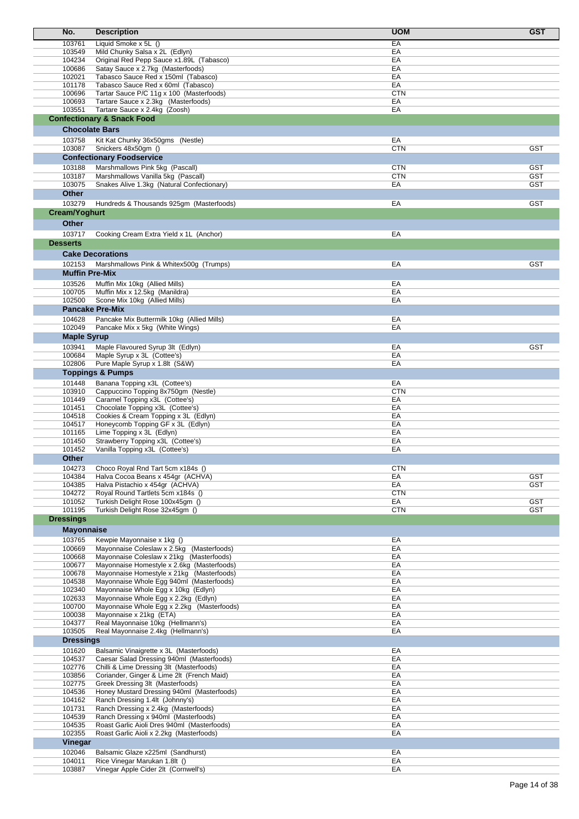| No.                              | <b>Description</b>                                                                     | <b>UOM</b>       | <b>GST</b>               |
|----------------------------------|----------------------------------------------------------------------------------------|------------------|--------------------------|
| 103761                           | Liquid Smoke x 5L ()                                                                   | EA               |                          |
| 103549                           | Mild Chunky Salsa x 2L (Edlyn)                                                         | EA               |                          |
| 104234                           | Original Red Pepp Sauce x1.89L (Tabasco)                                               | EA               |                          |
| 100686<br>102021                 | Satay Sauce x 2.7kg (Masterfoods)                                                      | EA<br>EA         |                          |
| 101178                           | Tabasco Sauce Red x 150ml (Tabasco)<br>Tabasco Sauce Red x 60ml (Tabasco)              | EA               |                          |
| 100696                           | Tartar Sauce P/C 11g x 100 (Masterfoods)                                               | <b>CTN</b>       |                          |
| 100693                           | Tartare Sauce x 2.3kg (Masterfoods)                                                    | EA               |                          |
| 103551                           | Tartare Sauce x 2.4kg (Zoosh)                                                          | EA               |                          |
|                                  | <b>Confectionary &amp; Snack Food</b>                                                  |                  |                          |
| <b>Chocolate Bars</b>            |                                                                                        |                  |                          |
| 103758                           | Kit Kat Chunky 36x50gms (Nestle)                                                       | EA               |                          |
| 103087                           | Snickers 48x50gm ()                                                                    | <b>CTN</b>       | <b>GST</b>               |
|                                  | <b>Confectionary Foodservice</b>                                                       |                  |                          |
| 103188                           | Marshmallows Pink 5kg (Pascall)                                                        | <b>CTN</b>       | <b>GST</b>               |
| 103187                           | Marshmallows Vanilla 5kg (Pascall)                                                     | <b>CTN</b>       | <b>GST</b>               |
| 103075<br>Other                  | Snakes Alive 1.3kg (Natural Confectionary)                                             | EA               | GST                      |
|                                  |                                                                                        |                  |                          |
| 103279<br>Cream/Yoghurt          | Hundreds & Thousands 925gm (Masterfoods)                                               | EA               | <b>GST</b>               |
|                                  |                                                                                        |                  |                          |
| <b>Other</b>                     |                                                                                        |                  |                          |
| 103717                           | Cooking Cream Extra Yield x 1L (Anchor)                                                | EA               |                          |
| <b>Desserts</b>                  |                                                                                        |                  |                          |
|                                  | <b>Cake Decorations</b>                                                                |                  |                          |
| 102153                           | Marshmallows Pink & Whitex500g (Trumps)                                                | EA               | <b>GST</b>               |
| <b>Muffin Pre-Mix</b>            |                                                                                        |                  |                          |
| 103526                           | Muffin Mix 10kg (Allied Mills)                                                         | EA               |                          |
| 100705                           | Muffin Mix x 12.5kg (Manildra)                                                         | EA               |                          |
| 102500<br><b>Pancake Pre-Mix</b> | Scone Mix 10kg (Allied Mills)                                                          | EA               |                          |
|                                  |                                                                                        |                  |                          |
| 104628<br>102049                 | Pancake Mix Buttermilk 10kg (Allied Mills)<br>Pancake Mix x 5kg (White Wings)          | EA<br>EA         |                          |
| <b>Maple Syrup</b>               |                                                                                        |                  |                          |
| 103941                           | Maple Flavoured Syrup 3lt (Edlyn)                                                      | EA               | <b>GST</b>               |
| 100684                           | Maple Syrup x 3L (Cottee's)                                                            | EA               |                          |
| 102806                           | Pure Maple Syrup x 1.8lt (S&W)                                                         | EA               |                          |
|                                  | <b>Toppings &amp; Pumps</b>                                                            |                  |                          |
| 101448                           | Banana Topping x3L (Cottee's)                                                          | EA               |                          |
| 103910                           | Cappuccino Topping 8x750gm (Nestle)                                                    | <b>CTN</b>       |                          |
| 101449                           | Caramel Topping x3L (Cottee's)                                                         | EA               |                          |
| 101451                           | Chocolate Topping x3L (Cottee's)                                                       | EA               |                          |
| 104518<br>104517                 | Cookies & Cream Topping x 3L (Edlyn)<br>Honeycomb Topping GF x 3L (Edlyn)              | EA<br>EA         |                          |
| 101165                           | Lime Topping x 3L (Edlyn)                                                              | EA               |                          |
| 101450                           | Strawberry Topping x3L (Cottee's)                                                      | EA               |                          |
| 101452                           | Vanilla Topping x3L (Cottee's)                                                         | EA               |                          |
| Other                            |                                                                                        |                  |                          |
| 104273                           | Choco Royal Rnd Tart 5cm x184s ()                                                      | <b>CTN</b>       |                          |
| 104384                           | Halva Cocoa Beans x 454gr (ACHVA)                                                      | EA               | <b>GST</b>               |
| 104385                           | Halva Pistachio x 454gr (ACHVA)                                                        | EA               | <b>GST</b>               |
| 104272                           | Royal Round Tartlets 5cm x184s ()<br>Turkish Delight Rose 100x45gm ()                  | <b>CTN</b>       |                          |
| 101052<br>101195                 | Turkish Delight Rose 32x45gm ()                                                        | EA<br><b>CTN</b> | <b>GST</b><br><b>GST</b> |
| <b>Dressings</b>                 |                                                                                        |                  |                          |
| <b>Mayonnaise</b>                |                                                                                        |                  |                          |
| 103765                           | Kewpie Mayonnaise x 1kg ()                                                             | EA               |                          |
| 100669                           | Mayonnaise Coleslaw x 2.5kg (Masterfoods)                                              | EA               |                          |
| 100668                           | Mayonnaise Coleslaw x 21kg (Masterfoods)                                               | EA               |                          |
| 100677                           | Mayonnaise Homestyle x 2.6kg (Masterfoods)                                             | EA               |                          |
| 100678                           | Mayonnaise Homestyle x 21kg (Masterfoods)                                              | EA               |                          |
| 104538                           | Mayonnaise Whole Egg 940ml (Masterfoods)                                               | EA               |                          |
| 102340<br>102633                 | Mayonnaise Whole Egg x 10kg (Edlyn)<br>Mayonnaise Whole Egg x 2.2kg (Edlyn)            | EA<br>EA         |                          |
| 100700                           | Mayonnaise Whole Egg x 2.2kg (Masterfoods)                                             | EA               |                          |
| 100038                           | Mayonnaise x 21kg (ETA)                                                                | EA               |                          |
| 104377                           | Real Mayonnaise 10kg (Hellmann's)                                                      | EA               |                          |
| 103505                           | Real Mayonnaise 2.4kg (Hellmann's)                                                     | EA               |                          |
| <b>Dressings</b>                 |                                                                                        |                  |                          |
| 101620                           | Balsamic Vinaigrette x 3L (Masterfoods)                                                | EA               |                          |
| 104537                           | Caesar Salad Dressing 940ml (Masterfoods)                                              | EA               |                          |
| 102776<br>103856                 | Chilli & Lime Dressing 3lt (Masterfoods)<br>Coriander, Ginger & Lime 2lt (French Maid) | EA<br>EA         |                          |
| 102775                           | Greek Dressing 3lt (Masterfoods)                                                       | EA               |                          |
| 104536                           | Honey Mustard Dressing 940ml (Masterfoods)                                             | EA               |                          |
| 104162                           | Ranch Dressing 1.4lt (Johnny's)                                                        | EA               |                          |
| 101731                           | Ranch Dressing x 2.4kg (Masterfoods)                                                   | EA               |                          |
| 104539                           | Ranch Dressing x 940ml (Masterfoods)                                                   | EA               |                          |
| 104535                           | Roast Garlic Aioli Dres 940ml (Masterfoods)                                            | EA               |                          |
| 102355                           | Roast Garlic Aioli x 2.2kg (Masterfoods)                                               | EA               |                          |
| Vinegar                          |                                                                                        |                  |                          |
| 102046<br>104011                 | Balsamic Glaze x225ml (Sandhurst)<br>Rice Vinegar Marukan 1.8lt ()                     | EA<br>EA         |                          |
| 103887                           | Vinegar Apple Cider 2lt (Cornwell's)                                                   | EA               |                          |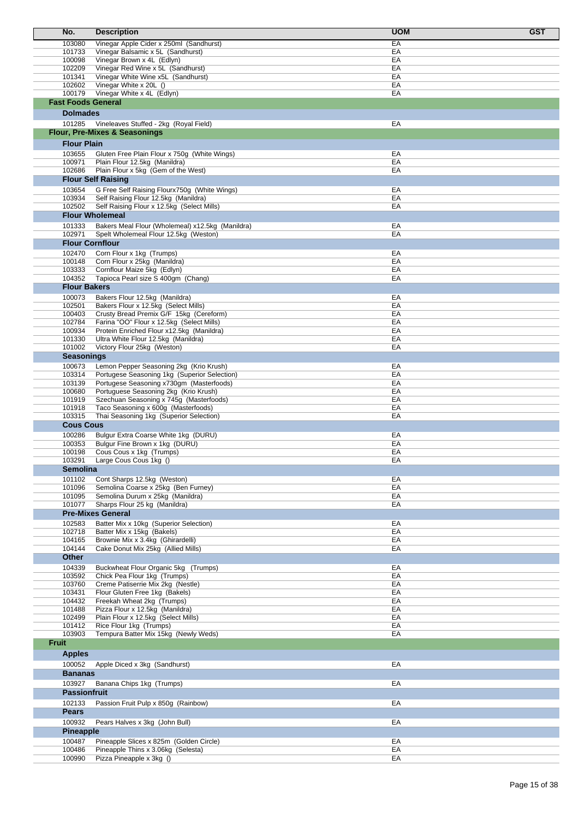| No.                       |                        | <b>Description</b>                                                                        | <b>UOM</b><br><b>GST</b> |  |
|---------------------------|------------------------|-------------------------------------------------------------------------------------------|--------------------------|--|
| 103080                    |                        | Vinegar Apple Cider x 250ml (Sandhurst)                                                   | EA                       |  |
|                           | 101733                 | Vinegar Balsamic x 5L (Sandhurst)                                                         | EA                       |  |
| 100098                    |                        | Vinegar Brown x 4L (Edlyn)                                                                | EA                       |  |
| 102209<br>101341          |                        | Vinegar Red Wine x 5L (Sandhurst)                                                         | EA<br>EA                 |  |
|                           | 102602                 | Vinegar White Wine x5L (Sandhurst)<br>Vinegar White x 20L ()                              | EA                       |  |
|                           | 100179                 | Vinegar White x 4L (Edlyn)                                                                | EA                       |  |
| <b>Fast Foods General</b> |                        |                                                                                           |                          |  |
|                           | <b>Dolmades</b>        |                                                                                           |                          |  |
|                           | 101285                 | Vineleaves Stuffed - 2kg (Royal Field)                                                    | EA                       |  |
|                           |                        | <b>Flour, Pre-Mixes &amp; Seasonings</b>                                                  |                          |  |
|                           | <b>Flour Plain</b>     |                                                                                           |                          |  |
| 103655                    |                        | Gluten Free Plain Flour x 750g (White Wings)                                              | EA                       |  |
| 100971                    |                        | Plain Flour 12.5kg (Manildra)                                                             | EA                       |  |
| 102686                    |                        | Plain Flour x 5kg (Gem of the West)                                                       | EA                       |  |
|                           |                        | <b>Flour Self Raising</b>                                                                 |                          |  |
| 103654                    |                        | G Free Self Raising Flourx750g (White Wings)                                              | EA                       |  |
|                           | 103934                 | Self Raising Flour 12.5kg (Manildra)                                                      | EA                       |  |
|                           | 102502                 | Self Raising Flour x 12.5kg (Select Mills)<br><b>Flour Wholemeal</b>                      | EA                       |  |
|                           |                        |                                                                                           |                          |  |
| 101333<br>102971          |                        | Bakers Meal Flour (Wholemeal) x12.5kg (Manildra)<br>Spelt Wholemeal Flour 12.5kg (Weston) | EA<br>EA                 |  |
|                           | <b>Flour Cornflour</b> |                                                                                           |                          |  |
| 102470                    |                        | Corn Flour x 1kg (Trumps)                                                                 | EA                       |  |
|                           | 100148                 | Corn Flour x 25kg (Manildra)                                                              | EA                       |  |
| 103333                    |                        | Cornflour Maize 5kg (Edlyn)                                                               | EA                       |  |
|                           | 104352                 | Tapioca Pearl size S 400gm (Chang)                                                        | EA                       |  |
|                           | <b>Flour Bakers</b>    |                                                                                           |                          |  |
|                           | 100073                 | Bakers Flour 12.5kg (Manildra)                                                            | EA                       |  |
| 102501                    |                        | Bakers Flour x 12.5kg (Select Mills)                                                      | EA                       |  |
| 100403<br>102784          |                        | Crusty Bread Premix G/F 15kg (Cereform)<br>Farina "OO" Flour x 12.5kg (Select Mills)      | EA<br>EA                 |  |
| 100934                    |                        | Protein Enriched Flour x12.5kg (Manildra)                                                 | EA                       |  |
| 101330                    |                        | Ultra White Flour 12.5kg (Manildra)                                                       | EA                       |  |
|                           | 101002                 | Victory Flour 25kg (Weston)                                                               | EA                       |  |
|                           | <b>Seasonings</b>      |                                                                                           |                          |  |
| 100673                    |                        | Lemon Pepper Seasoning 2kg (Krio Krush)                                                   | EA                       |  |
| 103314                    |                        | Portugese Seasoning 1kg (Superior Selection)                                              | EA                       |  |
| 103139                    | 100680                 | Portugese Seasoning x730gm (Masterfoods)<br>Portuguese Seasoning 2kg (Krio Krush)         | EA<br>EA                 |  |
| 101919                    |                        | Szechuan Seasoning x 745g (Masterfoods)                                                   | EA                       |  |
| 101918                    |                        | Taco Seasoning x 600g (Masterfoods)                                                       | EA                       |  |
|                           | 103315                 | Thai Seasoning 1kg (Superior Selection)                                                   | EA                       |  |
|                           | <b>Cous Cous</b>       |                                                                                           |                          |  |
| 100286                    |                        | Bulgur Extra Coarse White 1kg (DURU)                                                      | EA                       |  |
|                           | 100353                 | Bulgur Fine Brown x 1kg (DURU)                                                            | EA                       |  |
| 100198                    |                        | Cous Cous x 1kg (Trumps)                                                                  | EA<br>EA                 |  |
| 103291                    | Semolina               | Large Cous Cous 1kg ()                                                                    |                          |  |
|                           | 101102                 | Cont Sharps 12.5kg (Weston)                                                               | EA                       |  |
|                           | 101096                 | Semolina Coarse x 25kg (Ben Furney)                                                       | EA                       |  |
|                           | 101095                 | Semolina Durum x 25kg (Manildra)                                                          | EA                       |  |
|                           | 101077                 | Sharps Flour 25 kg (Manildra)                                                             | EA                       |  |
|                           |                        | <b>Pre-Mixes General</b>                                                                  |                          |  |
| 102583                    |                        | Batter Mix x 10kg (Superior Selection)                                                    | EA                       |  |
| 102718                    |                        | Batter Mix x 15kg (Bakels)                                                                | EA                       |  |
| 104144                    | 104165                 | Brownie Mix x 3.4kg (Ghirardelli)<br>Cake Donut Mix 25kg (Allied Mills)                   | EA<br>EA                 |  |
| Other                     |                        |                                                                                           |                          |  |
| 104339                    |                        | Buckwheat Flour Organic 5kg (Trumps)                                                      | EA                       |  |
|                           | 103592                 | Chick Pea Flour 1kg (Trumps)                                                              | EA                       |  |
|                           | 103760                 | Creme Patiserrie Mix 2kg (Nestle)                                                         | EA                       |  |
| 103431                    |                        | Flour Gluten Free 1kg (Bakels)                                                            | EA                       |  |
|                           | 104432                 | Freekah Wheat 2kg (Trumps)                                                                | EA                       |  |
|                           | 101488<br>102499       | Pizza Flour x 12.5kg (Manildra)<br>Plain Flour x 12.5kg (Select Mills)                    | EA<br>EA                 |  |
|                           | 101412                 | Rice Flour 1kg (Trumps)                                                                   | EA                       |  |
| 103903                    |                        | Tempura Batter Mix 15kg (Newly Weds)                                                      | EA                       |  |
| <b>Fruit</b>              |                        |                                                                                           |                          |  |
|                           | <b>Apples</b>          |                                                                                           |                          |  |
|                           | 100052                 | Apple Diced x 3kg (Sandhurst)                                                             | EA                       |  |
|                           | <b>Bananas</b>         |                                                                                           |                          |  |
| 103927                    |                        | Banana Chips 1kg (Trumps)                                                                 | EA                       |  |
|                           | <b>Passionfruit</b>    |                                                                                           |                          |  |
| 102133                    |                        | Passion Fruit Pulp x 850g (Rainbow)                                                       | EA                       |  |
| <b>Pears</b>              |                        |                                                                                           |                          |  |
|                           | 100932                 | Pears Halves x 3kg (John Bull)                                                            | EA                       |  |
|                           | Pineapple              |                                                                                           |                          |  |
| 100487                    |                        | Pineapple Slices x 825m (Golden Circle)                                                   | EA                       |  |
|                           | 100486                 | Pineapple Thins x 3.06kg (Selesta)                                                        | EA                       |  |
| 100990                    |                        | Pizza Pineapple x 3kg ()                                                                  | EA                       |  |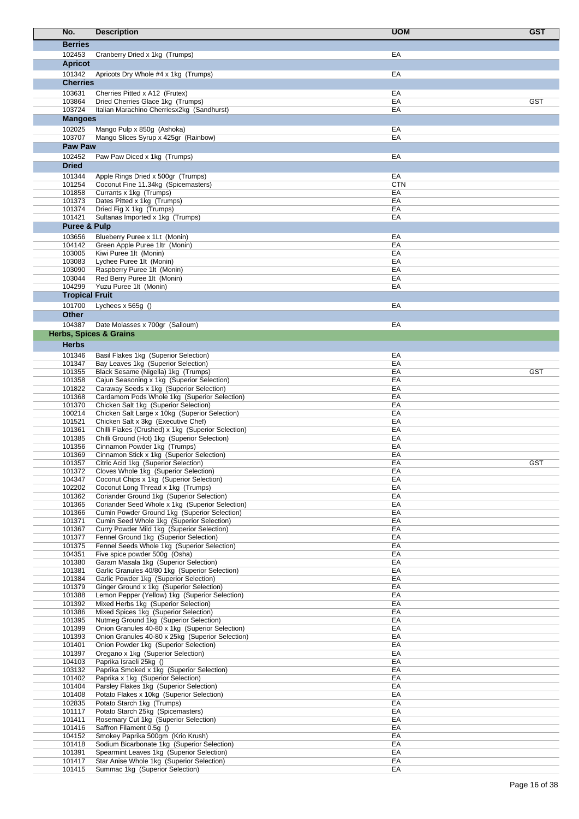| No.                     | <b>Description</b>                                                                        | <b>UOM</b> | <b>GST</b> |
|-------------------------|-------------------------------------------------------------------------------------------|------------|------------|
| <b>Berries</b>          |                                                                                           |            |            |
| 102453                  | Cranberry Dried x 1kg (Trumps)                                                            | EA         |            |
| <b>Apricot</b>          |                                                                                           |            |            |
| 101342                  | Apricots Dry Whole #4 x 1kg (Trumps)                                                      | EA         |            |
| <b>Cherries</b>         |                                                                                           |            |            |
| 103631                  | Cherries Pitted x A12 (Frutex)                                                            | EA         |            |
| 103864                  | Dried Cherries Glace 1kg (Trumps)                                                         | EA         | <b>GST</b> |
| 103724                  | Italian Marachino Cherriesx2kg (Sandhurst)                                                | EA         |            |
| <b>Mangoes</b>          |                                                                                           |            |            |
| 102025                  | Mango Pulp x 850g (Ashoka)                                                                | EA         |            |
| 103707                  | Mango Slices Syrup x 425gr (Rainbow)                                                      | EA         |            |
| Paw Paw                 |                                                                                           |            |            |
| 102452                  | Paw Paw Diced x 1kg (Trumps)                                                              | EA         |            |
| <b>Dried</b>            |                                                                                           |            |            |
| 101344                  | Apple Rings Dried x 500gr (Trumps)                                                        | EA         |            |
| 101254                  | Coconut Fine 11.34kg (Spicemasters)                                                       | <b>CTN</b> |            |
| 101858<br>101373        | Currants x 1kg (Trumps)<br>Dates Pitted x 1kg (Trumps)                                    | EA<br>EA   |            |
| 101374                  | Dried Fig X 1kg (Trumps)                                                                  | EA         |            |
| 101421                  | Sultanas Imported x 1kg (Trumps)                                                          | EA         |            |
| <b>Puree &amp; Pulp</b> |                                                                                           |            |            |
| 103656                  | Blueberry Puree x 1Lt (Monin)                                                             | EA         |            |
| 104142                  | Green Apple Puree 1ltr (Monin)                                                            | EA         |            |
| 103005                  | Kiwi Puree 1lt (Monin)                                                                    | EA         |            |
| 103083                  | Lychee Puree 1It (Monin)                                                                  | EA         |            |
| 103090                  | Raspberry Puree 1lt (Monin)                                                               | EA         |            |
| 103044<br>104299        | Red Berry Puree 1lt (Monin)<br>Yuzu Puree 1lt (Monin)                                     | EA<br>EA   |            |
| <b>Tropical Fruit</b>   |                                                                                           |            |            |
| 101700                  | Lychees $x 565g()$                                                                        | EA         |            |
| <b>Other</b>            |                                                                                           |            |            |
| 104387                  | Date Molasses x 700gr (Salloum)                                                           | EA         |            |
|                         | <b>Herbs, Spices &amp; Grains</b>                                                         |            |            |
|                         |                                                                                           |            |            |
| <b>Herbs</b>            |                                                                                           |            |            |
| 101346<br>101347        | Basil Flakes 1kg (Superior Selection)<br>Bay Leaves 1kg (Superior Selection)              | EA<br>EA   |            |
| 101355                  | Black Sesame (Nigella) 1kg (Trumps)                                                       | EA         | <b>GST</b> |
| 101358                  | Cajun Seasoning x 1kg (Superior Selection)                                                | EA         |            |
| 101822                  | Caraway Seeds x 1kg (Superior Selection)                                                  | EA         |            |
| 101368                  | Cardamom Pods Whole 1kg (Superior Selection)                                              | EA         |            |
| 101370                  | Chicken Salt 1kg (Superior Selection)                                                     | EA         |            |
| 100214                  | Chicken Salt Large x 10kg (Superior Selection)                                            | EA<br>EA   |            |
| 101521<br>101361        | Chicken Salt x 3kg (Executive Chef)<br>Chilli Flakes (Crushed) x 1kg (Superior Selection) | EA         |            |
| 101385                  | Chilli Ground (Hot) 1kg (Superior Selection)                                              | EA         |            |
| 101356                  | Cinnamon Powder 1kg (Trumps)                                                              | EA         |            |
| 101369                  | Cinnamon Stick x 1kg (Superior Selection)                                                 | EA         |            |
| 101357                  | Citric Acid 1kg (Superior Selection)                                                      | EА         | <b>GST</b> |
| 101372                  | Cloves Whole 1kg (Superior Selection)                                                     | EA         |            |
| 104347<br>102202        | Coconut Chips x 1kg (Superior Selection)<br>Coconut Long Thread x 1kg (Trumps)            | EA<br>EA   |            |
| 101362                  | Coriander Ground 1kg (Superior Selection)                                                 | EA         |            |
| 101365                  | Coriander Seed Whole x 1kg (Superior Selection)                                           | EA         |            |
| 101366                  | Cumin Powder Ground 1kg (Superior Selection)                                              | EA         |            |
| 101371                  | Cumin Seed Whole 1kg (Superior Selection)                                                 | EA         |            |
| 101367                  | Curry Powder Mild 1kg (Superior Selection)                                                | EA         |            |
| 101377                  | Fennel Ground 1kg (Superior Selection)                                                    | EA         |            |
| 101375<br>104351        | Fennel Seeds Whole 1kg (Superior Selection)<br>Five spice powder 500g (Osha)              | EA<br>EA   |            |
| 101380                  | Garam Masala 1kg (Superior Selection)                                                     | EA         |            |
| 101381                  | Garlic Granules 40/80 1kg (Superior Selection)                                            | EA         |            |
| 101384                  | Garlic Powder 1kg (Superior Selection)                                                    | EA         |            |
| 101379                  | Ginger Ground x 1kg (Superior Selection)                                                  | EA         |            |
| 101388                  | Lemon Pepper (Yellow) 1kg (Superior Selection)                                            | EA         |            |
| 101392<br>101386        | Mixed Herbs 1kg (Superior Selection)<br>Mixed Spices 1kg (Superior Selection)             | EA<br>EA   |            |
| 101395                  | Nutmeg Ground 1kg (Superior Selection)                                                    | EA         |            |
| 101399                  | Onion Granules 40-80 x 1kg (Superior Selection)                                           | EA         |            |
| 101393                  | Onion Granules 40-80 x 25kg (Superior Selection)                                          | EA         |            |
| 101401                  | Onion Powder 1kg (Superior Selection)                                                     | EA         |            |
| 101397                  | Oregano x 1kg (Superior Selection)                                                        | EA         |            |
| 104103<br>103132        | Paprika Israeli 25kg ()                                                                   | EA<br>EA   |            |
| 101402                  | Paprika Smoked x 1kg (Superior Selection)<br>Paprika x 1kg (Superior Selection)           | EA         |            |
| 101404                  | Parsley Flakes 1kg (Superior Selection)                                                   | EA         |            |
| 101408                  | Potato Flakes x 10kg (Superior Selection)                                                 | EA         |            |
| 102835                  | Potato Starch 1kg (Trumps)                                                                | EA         |            |
| 101117                  | Potato Starch 25kg (Spicemasters)                                                         | EA         |            |
| 101411                  | Rosemary Cut 1kg (Superior Selection)                                                     | EA         |            |
| 101416<br>104152        | Saffron Filament 0.5g ()<br>Smokey Paprika 500gm (Krio Krush)                             | EA<br>EA   |            |
| 101418                  | Sodium Bicarbonate 1kg (Superior Selection)                                               | EA         |            |
| 101391                  | Spearmint Leaves 1kg (Superior Selection)                                                 | EA         |            |
| 101417                  | Star Anise Whole 1kg (Superior Selection)                                                 | EA         |            |
| 101415                  | Summac 1kg (Superior Selection)                                                           | EA         |            |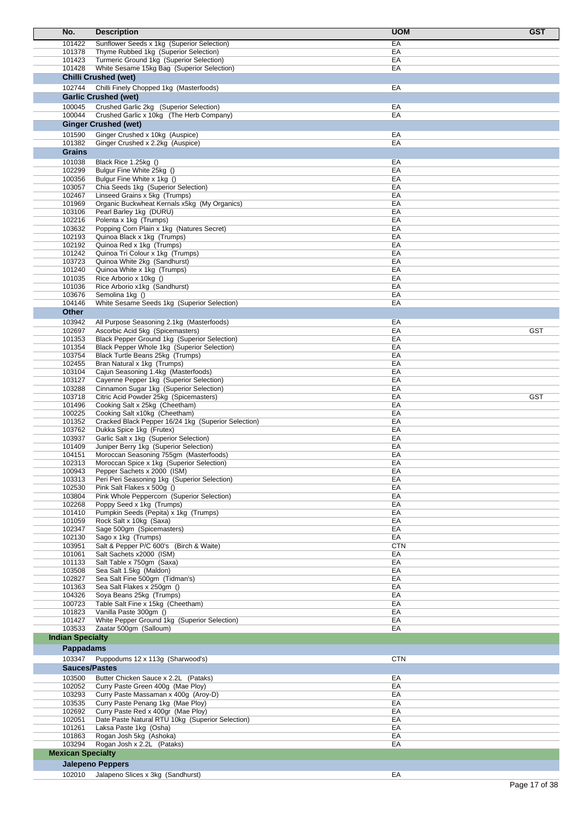| No.                      | <b>Description</b>                                                                     | <b>UOM</b><br><b>GST</b> |
|--------------------------|----------------------------------------------------------------------------------------|--------------------------|
| 101422                   | Sunflower Seeds x 1kg (Superior Selection)                                             | EA                       |
| 101378                   | Thyme Rubbed 1kg (Superior Selection)                                                  | EA                       |
| 101423                   | Turmeric Ground 1kg (Superior Selection)                                               | EA                       |
| 101428                   | White Sesame 15kg Bag (Superior Selection)                                             | EA                       |
|                          | <b>Chilli Crushed (wet)</b>                                                            |                          |
| 102744                   | Chilli Finely Chopped 1kg (Masterfoods)                                                | EA                       |
|                          | <b>Garlic Crushed (wet)</b>                                                            |                          |
| 100045                   | Crushed Garlic 2kg (Superior Selection)                                                | EA                       |
| 100044                   | Crushed Garlic x 10kg (The Herb Company)                                               | EA                       |
|                          | <b>Ginger Crushed (wet)</b>                                                            |                          |
| 101590<br>101382         | Ginger Crushed x 10kg (Auspice)<br>Ginger Crushed x 2.2kg (Auspice)                    | EA<br>EA                 |
| <b>Grains</b>            |                                                                                        |                          |
| 101038                   | Black Rice 1.25kg ()                                                                   | EA                       |
| 102299                   | Bulgur Fine White 25kg ()                                                              | EA                       |
| 100356                   | Bulgur Fine White x 1kg ()                                                             | EA                       |
| 103057                   | Chia Seeds 1kg (Superior Selection)                                                    | EA                       |
| 102467                   | Linseed Grains x 5kg (Trumps)                                                          | EA                       |
| 101969<br>103106         | Organic Buckwheat Kernals x5kg (My Organics)<br>Pearl Barley 1kg (DURU)                | EA<br>EA                 |
| 102216                   | Polenta x 1kg (Trumps)                                                                 | EA                       |
| 103632                   | Popping Corn Plain x 1kg (Natures Secret)                                              | EA                       |
| 102193                   | Quinoa Black x 1kg (Trumps)                                                            | EA                       |
| 102192                   | Quinoa Red x 1kg (Trumps)                                                              | EA                       |
| 101242                   | Quinoa Tri Colour x 1kg (Trumps)                                                       | EA                       |
| 103723                   | Quinoa White 2kg (Sandhurst)                                                           | EA                       |
| 101240<br>101035         | Quinoa White x 1kg (Trumps)<br>Rice Arborio x 10kg ()                                  | EA<br>EA                 |
| 101036                   | Rice Arborio x1kg (Sandhurst)                                                          | EA                       |
| 103676                   | Semolina 1kg ()                                                                        | EA                       |
| 104146                   | White Sesame Seeds 1kg (Superior Selection)                                            | EA                       |
| Other                    |                                                                                        |                          |
| 103942                   | All Purpose Seasoning 2.1kg (Masterfoods)                                              | EA                       |
| 102697                   | Ascorbic Acid 5kg (Spicemasters)                                                       | EA<br><b>GST</b>         |
| 101353                   | Black Pepper Ground 1kg (Superior Selection)                                           | EA                       |
| 101354<br>103754         | Black Pepper Whole 1kg (Superior Selection)<br>Black Turtle Beans 25kg (Trumps)        | EA<br>EA                 |
| 102455                   | Bran Natural x 1kg (Trumps)                                                            | EA                       |
| 103104                   | Cajun Seasoning 1.4kg (Masterfoods)                                                    | EA                       |
| 103127                   | Cayenne Pepper 1kg (Superior Selection)                                                | EA                       |
| 103288                   | Cinnamon Sugar 1kg (Superior Selection)                                                | EA                       |
| 103718                   | Citric Acid Powder 25kg (Spicemasters)                                                 | EA<br><b>GST</b>         |
| 101496                   | Cooking Salt x 25kg (Cheetham)<br>Cooking Salt x10kg (Cheetham)                        | EA<br>EA                 |
| 100225<br>101352         | Cracked Black Pepper 16/24 1kg (Superior Selection)                                    | EA                       |
| 103762                   | Dukka Spice 1kg (Frutex)                                                               | EA                       |
| 103937                   | Garlic Salt x 1kg (Superior Selection)                                                 | EA                       |
| 101409                   | Juniper Berry 1kg (Superior Selection)                                                 | EA                       |
| 104151                   | Moroccan Seasoning 755gm (Masterfoods)                                                 | EA                       |
| 102313                   | Moroccan Spice x 1kg (Superior Selection)                                              | EA                       |
| 100943<br>103313         | Pepper Sachets x 2000 (ISM)<br>Peri Peri Seasoning 1kg (Superior Selection)            | EA<br>EA                 |
| 102530                   | Pink Salt Flakes x 500g ()                                                             | EA                       |
| 103804                   | Pink Whole Peppercorn (Superior Selection)                                             | EA                       |
| 102268                   | Poppy Seed x 1kg (Trumps)                                                              | EA                       |
| 101410                   | Pumpkin Seeds (Pepita) x 1kg (Trumps)                                                  | EA                       |
| 101059                   | Rock Salt x 10kg (Saxa)                                                                | EA                       |
| 102347                   | Sage 500gm (Spicemasters)                                                              | EA                       |
| 102130<br>103951         | Sago x 1kg (Trumps)<br>Salt & Pepper P/C 600's (Birch & Waite)                         | EA<br><b>CTN</b>         |
| 101061                   | Salt Sachets x2000 (ISM)                                                               | EA                       |
| 101133                   | Salt Table x 750gm (Saxa)                                                              | EA                       |
| 103508                   | Sea Salt 1.5kg (Maldon)                                                                | EA                       |
| 102827                   | Sea Salt Fine 500gm (Tidman's)                                                         | EA                       |
| 101363<br>104326         | Sea Salt Flakes x 250gm ()<br>Soya Beans 25kg (Trumps)                                 | EA<br>EA                 |
| 100723                   | Table Salt Fine x 15kg (Cheetham)                                                      | EA                       |
| 101823                   | Vanilla Paste 300gm ()                                                                 | EA                       |
| 101427                   | White Pepper Ground 1kg (Superior Selection)                                           | EA                       |
| 103533                   | Zaatar 500gm (Salloum)                                                                 | EA                       |
| <b>Indian Specialty</b>  |                                                                                        |                          |
| <b>Pappadams</b>         |                                                                                        |                          |
| 103347                   | Puppodums 12 x 113g (Sharwood's)                                                       | <b>CTN</b>               |
| <b>Sauces/Pastes</b>     |                                                                                        |                          |
| 103500                   | Butter Chicken Sauce x 2.2L (Pataks)                                                   | EA                       |
| 102052                   | Curry Paste Green 400g (Mae Ploy)                                                      | EA                       |
| 103293                   | Curry Paste Massaman x 400g (Aroy-D)                                                   | EA                       |
| 103535                   | Curry Paste Penang 1kg (Mae Ploy)                                                      | EA                       |
| 102692<br>102051         | Curry Paste Red x 400gr (Mae Ploy)<br>Date Paste Natural RTU 10kg (Superior Selection) | EA<br>EA                 |
| 101261                   | Laksa Paste 1kg (Osha)                                                                 | EA                       |
| 101863                   | Rogan Josh 5kg (Ashoka)                                                                | EA                       |
| 103294                   | Rogan Josh x 2.2L (Pataks)                                                             | EA                       |
| <b>Mexican Specialty</b> |                                                                                        |                          |
|                          | <b>Jalepeno Peppers</b>                                                                |                          |
|                          | 102010 Jalapeno Slices x 3kg (Sandhurst)                                               | EA                       |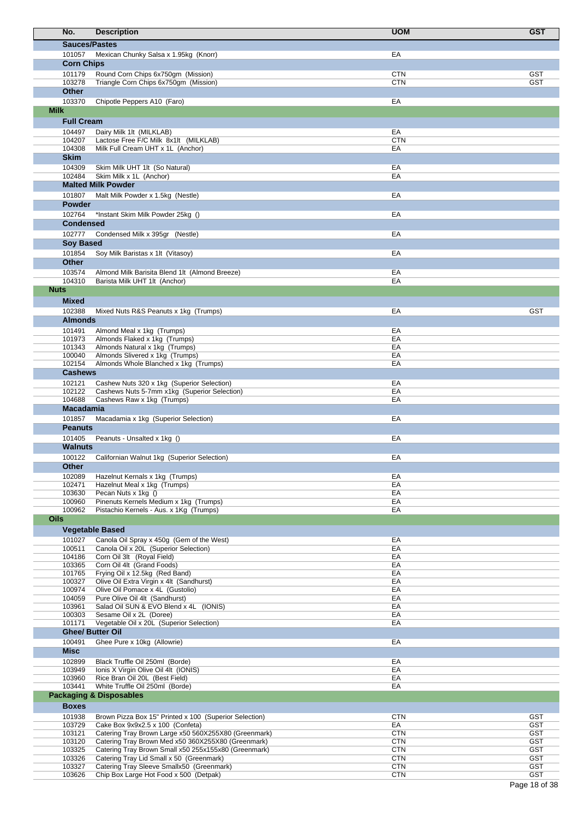|             | No.                        | <b>Description</b>                                                                                         | <b>UOM</b>               | <b>GST</b>               |
|-------------|----------------------------|------------------------------------------------------------------------------------------------------------|--------------------------|--------------------------|
|             | <b>Sauces/Pastes</b>       |                                                                                                            |                          |                          |
|             | 101057                     | Mexican Chunky Salsa x 1.95kg (Knorr)                                                                      | EA                       |                          |
|             | <b>Corn Chips</b>          |                                                                                                            |                          |                          |
|             | 101179<br>103278           | Round Corn Chips 6x750gm (Mission)                                                                         | <b>CTN</b><br><b>CTN</b> | <b>GST</b><br><b>GST</b> |
|             | <b>Other</b>               | Triangle Corn Chips 6x750gm (Mission)                                                                      |                          |                          |
|             | 103370                     | Chipotle Peppers A10 (Faro)                                                                                | EA                       |                          |
| <b>Milk</b> |                            |                                                                                                            |                          |                          |
|             | <b>Full Cream</b>          |                                                                                                            |                          |                          |
|             | 104497                     | Dairy Milk 1lt (MILKLAB)                                                                                   | EA                       |                          |
|             | 104207<br>104308           | Lactose Free F/C Milk 8x1lt (MILKLAB)<br>Milk Full Cream UHT x 1L (Anchor)                                 | <b>CTN</b><br>EA         |                          |
|             | <b>Skim</b>                |                                                                                                            |                          |                          |
|             | 104309                     | Skim Milk UHT 1lt (So Natural)                                                                             | EA                       |                          |
|             | 102484                     | Skim Milk x 1L (Anchor)                                                                                    | EA                       |                          |
|             |                            | <b>Malted Milk Powder</b>                                                                                  |                          |                          |
|             | 101807                     | Malt Milk Powder x 1.5kg (Nestle)                                                                          | EA                       |                          |
|             | <b>Powder</b><br>102764    |                                                                                                            | EA                       |                          |
|             | <b>Condensed</b>           | *Instant Skim Milk Powder 25kg ()                                                                          |                          |                          |
|             | 102777                     | Condensed Milk x 395gr (Nestle)                                                                            | EA                       |                          |
|             | <b>Soy Based</b>           |                                                                                                            |                          |                          |
|             | 101854                     | Soy Milk Baristas x 1lt (Vitasoy)                                                                          | EA                       |                          |
|             | <b>Other</b>               |                                                                                                            |                          |                          |
|             | 103574                     | Almond Milk Barisita Blend 1lt (Almond Breeze)                                                             | EA                       |                          |
| <b>Nuts</b> | 104310                     | Barista Milk UHT 1lt (Anchor)                                                                              | EA                       |                          |
|             | <b>Mixed</b>               |                                                                                                            |                          |                          |
|             | 102388                     | Mixed Nuts R&S Peanuts x 1kg (Trumps)                                                                      | EA                       | <b>GST</b>               |
|             | <b>Almonds</b>             |                                                                                                            |                          |                          |
|             | 101491                     | Almond Meal x 1kg (Trumps)                                                                                 | EA                       |                          |
|             | 101973                     | Almonds Flaked x 1kg (Trumps)                                                                              | EA                       |                          |
|             | 101343<br>100040           | Almonds Natural x 1kg (Trumps)                                                                             | EA                       |                          |
|             | 102154                     | Almonds Slivered x 1kg (Trumps)<br>Almonds Whole Blanched x 1kg (Trumps)                                   | EA<br>EA                 |                          |
|             | <b>Cashews</b>             |                                                                                                            |                          |                          |
|             | 102121                     | Cashew Nuts 320 x 1kg (Superior Selection)                                                                 | EA                       |                          |
|             | 102122                     | Cashews Nuts 5-7mm x1kg (Superior Selection)                                                               | EA                       |                          |
|             | 104688<br><b>Macadamia</b> | Cashews Raw x 1kg (Trumps)                                                                                 | EA                       |                          |
|             | 101857                     |                                                                                                            | EA                       |                          |
|             | <b>Peanuts</b>             | Macadamia x 1kg (Superior Selection)                                                                       |                          |                          |
|             | 101405                     | Peanuts - Unsalted x 1kg ()                                                                                | EA                       |                          |
|             | Walnuts                    |                                                                                                            |                          |                          |
|             | 100122                     | Californian Walnut 1kg (Superior Selection)                                                                | EA                       |                          |
|             | Other                      |                                                                                                            |                          |                          |
|             | 102089                     | Hazelnut Kernals x 1kg (Trumps)                                                                            | EA                       |                          |
|             | 102471<br>103630           | Hazelnut Meal x 1kg (Trumps)<br>Pecan Nuts x 1kg ()                                                        | EA<br>EA                 |                          |
|             | 100960                     | Pinenuts Kernels Medium x 1kg (Trumps)                                                                     | EA                       |                          |
|             | 100962                     | Pistachio Kernels - Aus. x 1Kg (Trumps)                                                                    | EA                       |                          |
| <b>Oils</b> |                            |                                                                                                            |                          |                          |
|             |                            | <b>Vegetable Based</b>                                                                                     |                          |                          |
|             | 101027<br>100511           | Canola Oil Spray x 450q (Gem of the West)<br>Canola Oil x 20L (Superior Selection)                         | EA<br>EA                 |                          |
|             | 104186                     | Corn Oil 3lt (Royal Field)                                                                                 | EA                       |                          |
|             | 103365                     | Corn Oil 4lt (Grand Foods)                                                                                 | EA                       |                          |
|             | 101765                     | Frying Oil x 12.5kg (Red Band)                                                                             | EA                       |                          |
|             | 100327<br>100974           | Olive Oil Extra Virgin x 4lt (Sandhurst)<br>Olive Oil Pomace x 4L (Gustolio)                               | EA<br>EA                 |                          |
|             | 104059                     | Pure Olive Oil 4lt (Sandhurst)                                                                             | EA                       |                          |
|             | 103961                     | Salad Oil SUN & EVO Blend x 4L (IONIS)                                                                     | EA                       |                          |
|             | 100303<br>101171           | Sesame Oil x 2L (Doree)<br>Vegetable Oil x 20L (Superior Selection)                                        | EA<br>EA                 |                          |
|             | <b>Ghee/ Butter Oil</b>    |                                                                                                            |                          |                          |
|             | 100491                     | Ghee Pure x 10kg (Allowrie)                                                                                | EA                       |                          |
|             | <b>Misc</b>                |                                                                                                            |                          |                          |
|             | 102899                     | Black Truffle Oil 250ml (Borde)                                                                            | EA                       |                          |
|             | 103949                     | Ionis X Virgin Olive Oil 4lt (IONIS)                                                                       | EA                       |                          |
|             | 103960<br>103441           | Rice Bran Oil 20L (Best Field)<br>White Truffle Oil 250ml (Borde)                                          | EA<br>EA                 |                          |
|             |                            | <b>Packaging &amp; Disposables</b>                                                                         |                          |                          |
|             | <b>Boxes</b>               |                                                                                                            |                          |                          |
|             | 101938                     | Brown Pizza Box 15" Printed x 100 (Superior Selection)                                                     | <b>CTN</b>               | <b>GST</b>               |
|             | 103729                     | Cake Box 9x9x2.5 x 100 (Confeta)                                                                           | EA                       | <b>GST</b>               |
|             | 103121                     | Catering Tray Brown Large x50 560X255X80 (Greenmark)                                                       | <b>CTN</b>               | <b>GST</b>               |
|             | 103120<br>103325           | Catering Tray Brown Med x50 360X255X80 (Greenmark)<br>Catering Tray Brown Small x50 255x155x80 (Greenmark) | <b>CTN</b><br><b>CTN</b> | <b>GST</b><br><b>GST</b> |
|             | 103326                     | Catering Tray Lid Small x 50 (Greenmark)                                                                   | <b>CTN</b>               | <b>GST</b>               |
|             | 103327                     | Catering Tray Sleeve Smallx50 (Greenmark)                                                                  | <b>CTN</b>               | <b>GST</b>               |
|             | 103626                     | Chip Box Large Hot Food x 500 (Detpak)                                                                     | <b>CTN</b>               | <b>GST</b>               |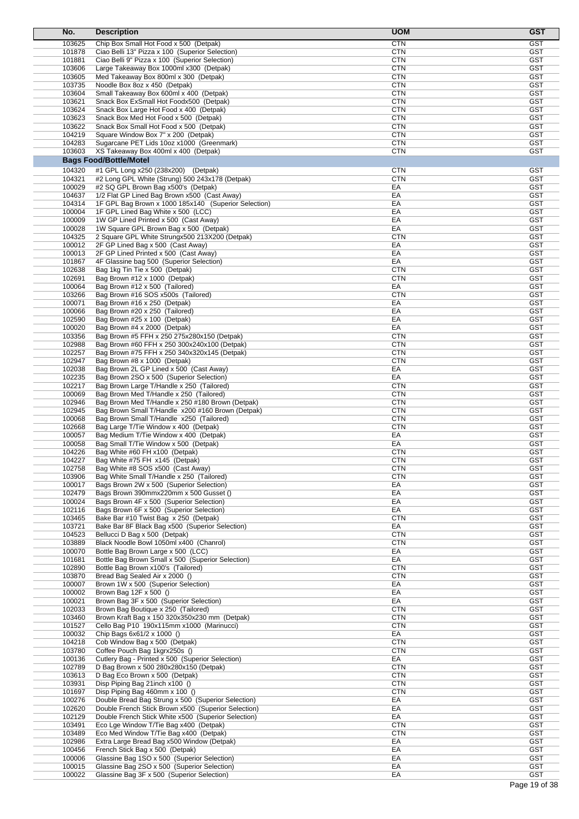| No.              | <b>Description</b>                                                                                        | <b>UOM</b>               | <b>GST</b>               |
|------------------|-----------------------------------------------------------------------------------------------------------|--------------------------|--------------------------|
| 103625           | Chip Box Small Hot Food x 500 (Detpak)                                                                    | <b>CTN</b>               | <b>GST</b>               |
| 101878           | Ciao Belli 13" Pizza x 100 (Superior Selection)                                                           | <b>CTN</b>               | GST                      |
| 101881           | Ciao Belli 9" Pizza x 100 (Superior Selection)                                                            | <b>CTN</b>               | <b>GST</b>               |
| 103606           | Large Takeaway Box 1000ml x300 (Detpak)                                                                   | <b>CTN</b>               | GST                      |
| 103605           | Med Takeaway Box 800ml x 300 (Detpak)                                                                     | <b>CTN</b>               | <b>GST</b>               |
| 103735<br>103604 | Noodle Box 8oz x 450 (Detpak)<br>Small Takeaway Box 600ml x 400 (Detpak)                                  | <b>CTN</b><br><b>CTN</b> | <b>GST</b><br><b>GST</b> |
| 103621           | Snack Box ExSmall Hot Foodx500 (Detpak)                                                                   | <b>CTN</b>               | <b>GST</b>               |
| 103624           | Snack Box Large Hot Food x 400 (Detpak)                                                                   | <b>CTN</b>               | <b>GST</b>               |
| 103623           | Snack Box Med Hot Food x 500 (Detpak)                                                                     | <b>CTN</b>               | <b>GST</b>               |
| 103622           | Snack Box Small Hot Food x 500 (Detpak)                                                                   | <b>CTN</b>               | GST                      |
| 104219           | Square Window Box 7" x 200 (Detpak)                                                                       | <b>CTN</b>               | <b>GST</b>               |
| 104283           | Sugarcane PET Lids 10oz x1000 (Greenmark)                                                                 | <b>CTN</b>               | <b>GST</b>               |
| 103603           | XS Takeaway Box 400ml x 400 (Detpak)                                                                      | <b>CTN</b>               | <b>GST</b>               |
|                  | <b>Bags Food/Bottle/Motel</b>                                                                             |                          |                          |
| 104320           | #1 GPL Long x250 (238x200)<br>(Detpak)                                                                    | <b>CTN</b>               | GST                      |
| 104321           | #2 Long GPL White (Strung) 500 243x178 (Detpak)                                                           | <b>CTN</b>               | <b>GST</b>               |
| 100029           | #2 SQ GPL Brown Bag x500's (Detpak)                                                                       | EA                       | <b>GST</b>               |
| 104637<br>104314 | 1/2 Flat GP Lined Bag Brown x500 (Cast Away)<br>1F GPL Bag Brown x 1000 185x140 (Superior Selection)      | EA<br>EA                 | <b>GST</b><br><b>GST</b> |
| 100004           | 1F GPL Lined Bag White x 500 (LCC)                                                                        | EA                       | <b>GST</b>               |
| 100009           | 1W GP Lined Printed x 500 (Cast Away)                                                                     | EA                       | <b>GST</b>               |
| 100028           | 1W Square GPL Brown Bag x 500 (Detpak)                                                                    | EA                       | GST                      |
| 104325           | 2 Square GPL White Strungx500 213X200 (Detpak)                                                            | <b>CTN</b>               | <b>GST</b>               |
| 100012           | 2F GP Lined Bag x 500 (Cast Away)                                                                         | EA                       | <b>GST</b>               |
| 100013           | 2F GP Lined Printed x 500 (Cast Away)                                                                     | EA                       | <b>GST</b>               |
| 101867           | 4F Glassine bag 500 (Superior Selection)                                                                  | EA                       | <b>GST</b>               |
| 102638           | Bag 1kg Tin Tie x 500 (Detpak)                                                                            | <b>CTN</b>               | GST                      |
| 102691<br>100064 | Bag Brown #12 x 1000 (Detpak)<br>Bag Brown #12 x 500 (Tailored)                                           | <b>CTN</b><br>EA         | <b>GST</b><br><b>GST</b> |
| 103266           | Bag Brown #16 SOS x500s (Tailored)                                                                        | <b>CTN</b>               | <b>GST</b>               |
| 100071           | Bag Brown #16 x 250 (Detpak)                                                                              | EA                       | <b>GST</b>               |
| 100066           | Bag Brown #20 x 250 (Tailored)                                                                            | EA                       | <b>GST</b>               |
| 102590           | Bag Brown #25 x 100 (Detpak)                                                                              | EA                       | <b>GST</b>               |
| 100020           | Bag Brown #4 x 2000 (Detpak)                                                                              | EA                       | GST                      |
| 103356           | Bag Brown #5 FFH x 250 275x280x150 (Detpak)                                                               | <b>CTN</b>               | <b>GST</b>               |
| 102988           | Bag Brown #60 FFH x 250 300x240x100 (Detpak)                                                              | <b>CTN</b>               | <b>GST</b>               |
| 102257           | Bag Brown #75 FFH x 250 340x320x145 (Detpak)                                                              | <b>CTN</b>               | <b>GST</b>               |
| 102947           | Bag Brown #8 x 1000 (Detpak)                                                                              | <b>CTN</b>               | <b>GST</b>               |
| 102038<br>102235 | Bag Brown 2L GP Lined x 500 (Cast Away)<br>Bag Brown 2SO x 500 (Superior Selection)                       | EA<br>EA                 | <b>GST</b><br><b>GST</b> |
| 102217           | Bag Brown Large T/Handle x 250 (Tailored)                                                                 | <b>CTN</b>               | <b>GST</b>               |
| 100069           | Bag Brown Med T/Handle x 250 (Tailored)                                                                   | <b>CTN</b>               | <b>GST</b>               |
| 102946           | Bag Brown Med T/Handle x 250 #180 Brown (Detpak)                                                          | <b>CTN</b>               | <b>GST</b>               |
| 102945           | Bag Brown Small T/Handle x200 #160 Brown (Detpak)                                                         | <b>CTN</b>               | <b>GST</b>               |
| 100068           | Bag Brown Small T/Handle x250 (Tailored)                                                                  | <b>CTN</b>               | <b>GST</b>               |
| 102668           | Bag Large T/Tie Window x 400 (Detpak)                                                                     | <b>CTN</b>               | GST                      |
| 100057           | Bag Medium T/Tie Window x 400 (Detpak)                                                                    | EA                       | <b>GST</b>               |
| 100058           | Bag Small T/Tie Window x 500 (Detpak)                                                                     | EA                       | <b>GST</b>               |
| 104226<br>104227 | Bag White #60 FH x100 (Detpak)<br>Bag White #75 FH x145 (Detpak)                                          | <b>CTN</b><br>CTN        | <b>GST</b><br>GST        |
| 102758           | Bag White #8 SOS x500 (Cast Away)                                                                         | <b>CTN</b>               | <b>GST</b>               |
| 103906           | Bag White Small T/Handle x 250 (Tailored)                                                                 | <b>CTN</b>               | <b>GST</b>               |
| 100017           | Bags Brown 2W x 500 (Superior Selection)                                                                  | EA                       | <b>GST</b>               |
| 102479           | Bags Brown 390mmx220mm x 500 Gusset ()                                                                    | EA                       | <b>GST</b>               |
| 100024           | Bags Brown 4F x 500 (Superior Selection)                                                                  | EA                       | <b>GST</b>               |
| 102116           | Bags Brown 6F x 500 (Superior Selection)                                                                  | EA                       | <b>GST</b>               |
| 103465           | Bake Bar #10 Twist Bag x 250 (Detpak)                                                                     | <b>CTN</b>               | <b>GST</b>               |
| 103721           | Bake Bar 8F Black Bag x500 (Superior Selection)                                                           | EA                       | <b>GST</b>               |
| 104523<br>103889 | Bellucci D Bag x 500 (Detpak)<br>Black Noodle Bowl 1050ml x400 (Chanrol)                                  | <b>CTN</b><br><b>CTN</b> | <b>GST</b><br><b>GST</b> |
| 100070           | Bottle Bag Brown Large x 500 (LCC)                                                                        | EA                       | <b>GST</b>               |
| 101681           | Bottle Bag Brown Small x 500 (Superior Selection)                                                         | EA                       | <b>GST</b>               |
| 102890           | Bottle Bag Brown x100's (Tailored)                                                                        | <b>CTN</b>               | <b>GST</b>               |
| 103870           | Bread Bag Sealed Air x 2000 ()                                                                            | <b>CTN</b>               | <b>GST</b>               |
| 100007           | Brown 1W x 500 (Superior Selection)                                                                       | EA                       | <b>GST</b>               |
| 100002           | Brown Bag 12F x 500 ()                                                                                    | EA                       | <b>GST</b>               |
| 100021           | Brown Bag 3F x 500 (Superior Selection)                                                                   | EA                       | <b>GST</b>               |
| 102033           | Brown Bag Boutique x 250 (Tailored)                                                                       | <b>CTN</b>               | <b>GST</b><br><b>GST</b> |
| 103460<br>101527 | Brown Kraft Bag x 150 320x350x230 mm (Detpak)<br>Cello Bag P10 190x115mm x1000 (Marinucci)                | <b>CTN</b><br><b>CTN</b> | <b>GST</b>               |
| 100032           | Chip Bags 6x61/2 x 1000 ()                                                                                | EA                       | <b>GST</b>               |
| 104218           | Cob Window Bag x 500 (Detpak)                                                                             | <b>CTN</b>               | <b>GST</b>               |
| 103780           | Coffee Pouch Bag 1kgrx250s ()                                                                             | <b>CTN</b>               | <b>GST</b>               |
| 100136           | Cutlery Bag - Printed x 500 (Superior Selection)                                                          | EA                       | <b>GST</b>               |
| 102789           | D Bag Brown x 500 280x280x150 (Detpak)                                                                    | <b>CTN</b>               | <b>GST</b>               |
| 103613           | D Bag Eco Brown x 500 (Detpak)                                                                            | <b>CTN</b>               | <b>GST</b>               |
| 103931           | Disp Piping Bag 21inch x100 ()                                                                            | <b>CTN</b>               | <b>GST</b>               |
| 101697           | Disp Piping Bag 460mm x 100 ()                                                                            | <b>CTN</b>               | <b>GST</b>               |
| 100276<br>102620 | Double Bread Bag Strung x 500 (Superior Selection)<br>Double French Stick Brown x500 (Superior Selection) | EA<br>EA                 | <b>GST</b><br><b>GST</b> |
| 102129           | Double French Stick White x500 (Superior Selection)                                                       | EA                       | <b>GST</b>               |
| 103491           | Eco Lge Window T/Tie Bag x400 (Detpak)                                                                    | <b>CTN</b>               | <b>GST</b>               |
| 103489           | Eco Med Window T/Tie Bag x400 (Detpak)                                                                    | <b>CTN</b>               | <b>GST</b>               |
| 102986           | Extra Large Bread Bag x500 Window (Detpak)                                                                | EA                       | <b>GST</b>               |
| 100456           | French Stick Bag x 500 (Detpak)                                                                           | EA                       | <b>GST</b>               |
| 100006           | Glassine Bag 1SO x 500 (Superior Selection)                                                               | EA                       | <b>GST</b>               |
| 100015           | Glassine Bag 2SO x 500 (Superior Selection)                                                               | EA                       | <b>GST</b>               |
| 100022           | Glassine Bag 3F x 500 (Superior Selection)                                                                | EA                       | <b>GST</b>               |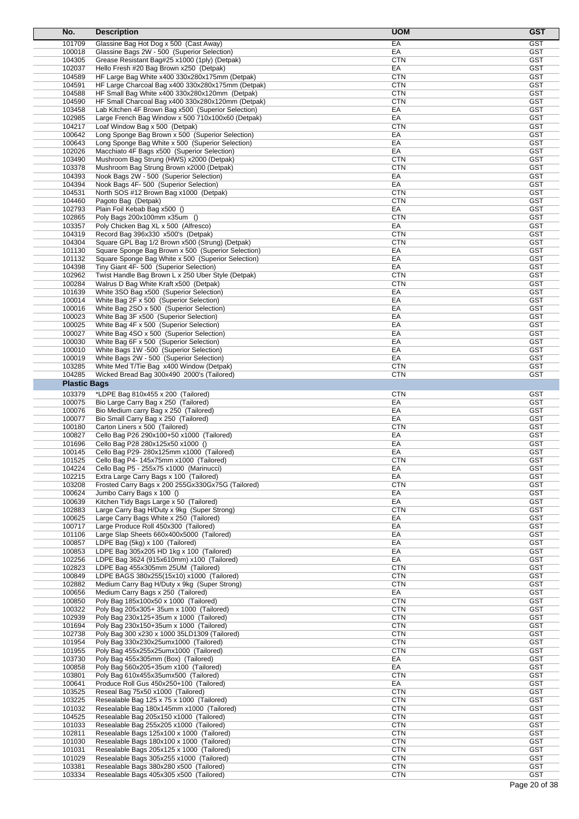| No.                 | <b>Description</b>                                                                                  | <b>UOM</b>               | <b>GST</b>               |
|---------------------|-----------------------------------------------------------------------------------------------------|--------------------------|--------------------------|
| 101709              | Glassine Bag Hot Dog x 500 (Cast Away)                                                              | EA                       | <b>GST</b>               |
| 100018              | Glassine Bags 2W - 500 (Superior Selection)                                                         | EA                       | <b>GST</b>               |
| 104305              | Grease Resistant Bag#25 x1000 (1ply) (Detpak)                                                       | <b>CTN</b>               | <b>GST</b>               |
| 102037              | Hello Fresh #20 Bag Brown x250 (Detpak)                                                             | EA                       | <b>GST</b>               |
| 104589<br>104591    | HF Large Bag White x400 330x280x175mm (Detpak)<br>HF Large Charcoal Bag x400 330x280x175mm (Detpak) | CTN<br>CTN               | <b>GST</b><br><b>GST</b> |
| 104588              | HF Small Bag White x400 330x280x120mm (Detpak)                                                      | CTN                      | <b>GST</b>               |
| 104590              | HF Small Charcoal Bag x400 330x280x120mm (Detpak)                                                   | CTN                      | <b>GST</b>               |
| 103458              | Lab Kitchen 4F Brown Bag x500 (Superior Selection)                                                  | EA                       | <b>GST</b>               |
| 102985              | Large French Bag Window x 500 710x100x60 (Detpak)                                                   | EA                       | <b>GST</b>               |
| 104217              | Loaf Window Bag x 500 (Detpak)                                                                      | CTN                      | <b>GST</b>               |
| 100642              | Long Sponge Bag Brown x 500 (Superior Selection)                                                    | EA                       | <b>GST</b><br><b>GST</b> |
| 100643<br>102026    | Long Sponge Bag White x 500 (Superior Selection)<br>Macchiato 4F Bags x500 (Superior Selection)     | EA<br>EA                 | <b>GST</b>               |
| 103490              | Mushroom Bag Strung (HWS) x2000 (Detpak)                                                            | CTN                      | <b>GST</b>               |
| 103378              | Mushroom Bag Strung Brown x2000 (Detpak)                                                            | CTN                      | <b>GST</b>               |
| 104393              | Nook Bags 2W - 500 (Superior Selection)                                                             | EA                       | <b>GST</b>               |
| 104394              | Nook Bags 4F-500 (Superior Selection)                                                               | EA                       | GST                      |
| 104531              | North SOS #12 Brown Bag x1000 (Detpak)                                                              | CTN                      | <b>GST</b>               |
| 104460<br>102793    | Pagoto Bag (Detpak)<br>Plain Foil Kebab Bag x500 ()                                                 | CTN<br>EA                | <b>GST</b><br><b>GST</b> |
| 102865              | Poly Bags 200x100mm x35um ()                                                                        | <b>CTN</b>               | <b>GST</b>               |
| 103357              | Poly Chicken Bag XL x 500 (Alfresco)                                                                | EA                       | <b>GST</b>               |
| 104319              | Record Bag 396x330 x500's (Detpak)                                                                  | CTN                      | GST                      |
| 104304              | Square GPL Bag 1/2 Brown x500 (Strung) (Detpak)                                                     | <b>CTN</b>               | <b>GST</b>               |
| 101130              | Square Sponge Bag Brown x 500 (Superior Selection)                                                  | EA                       | <b>GST</b>               |
| 101132              | Square Sponge Bag White x 500 (Superior Selection)                                                  | EA                       | <b>GST</b>               |
| 104398<br>102962    | Tiny Giant 4F- 500 (Superior Selection)                                                             | EA<br>CTN                | <b>GST</b><br><b>GST</b> |
| 100284              | Twist Handle Bag Brown L x 250 Uber Style (Detpak)<br>Walrus D Bag White Kraft x500 (Detpak)        | CTN                      | GST                      |
| 101639              | White 3SO Bag x500 (Superior Selection)                                                             | EA                       | <b>GST</b>               |
| 100014              | White Bag 2F x 500 (Superior Selection)                                                             | EA                       | <b>GST</b>               |
| 100016              | White Bag 2SO x 500 (Superior Selection)                                                            | EA                       | <b>GST</b>               |
| 100023              | White Bag 3F x500 (Superior Selection)                                                              | ЕA                       | <b>GST</b>               |
| 100025              | White Bag 4F x 500 (Superior Selection)                                                             | EA                       | <b>GST</b>               |
| 100027              | White Bag 4SO x 500 (Superior Selection)                                                            | EA                       | GST                      |
| 100030              | White Bag 6F x 500 (Superior Selection)                                                             | EA                       | <b>GST</b>               |
| 100010<br>100019    | White Bags 1W -500 (Superior Selection)<br>White Bags 2W - 500 (Superior Selection)                 | EA<br>EA                 | <b>GST</b><br><b>GST</b> |
| 103285              | White Med T/Tie Bag x400 Window (Detpak)                                                            | <b>CTN</b>               | <b>GST</b>               |
| 104285              | Wicked Bread Bag 300x490 2000's (Tailored)                                                          | CTN                      | <b>GST</b>               |
| <b>Plastic Bags</b> |                                                                                                     |                          |                          |
| 103379              | *LDPE Bag 810x455 x 200 (Tailored)                                                                  | <b>CTN</b>               | <b>GST</b>               |
| 100075              | Bio Large Carry Bag x 250 (Tailored)                                                                | EA                       | <b>GST</b>               |
| 100076              | Bio Medium carry Bag x 250 (Tailored)                                                               | EA                       | <b>GST</b>               |
| 100077              | Bio Small Carry Bag x 250 (Tailored)                                                                | EA                       | <b>GST</b>               |
| 100180              | Carton Liners x 500 (Tailored)                                                                      | CTN                      | <b>GST</b>               |
| 100827              | Cello Bag P26 290x100+50 x1000 (Tailored)                                                           | EA                       | GST                      |
| 101696              | Cello Bag P28 280x125x50 x1000 ()                                                                   | EA                       | <b>GST</b>               |
| 100145<br>101525    | Cello Bag P29-280x125mm x1000 (Tailored)<br>Cello Bag P4-145x75mm x1000 (Tailored)                  | EA<br>CTN                | <b>GST</b><br><b>GST</b> |
| 104224              | Cello Bag P5 - 255x75 x1000 (Marinucci)                                                             | EA                       | <b>GST</b>               |
| 102215              | Extra Large Carry Bags x 100 (Tailored)                                                             | EA                       | <b>GST</b>               |
| 103208              | Frosted Carry Bags x 200 255Gx330Gx75G (Tailored)                                                   | <b>CTN</b>               | GST                      |
| 100624              | Jumbo Carry Bags x 100 ()                                                                           | ЕA                       | <b>GST</b>               |
| 100639              | Kitchen Tidy Bags Large x 50 (Tailored)                                                             | EA                       | <b>GST</b>               |
| 102883              | Large Carry Bag H/Duty x 9kg (Super Strong)                                                         | <b>CTN</b>               | <b>GST</b>               |
| 100625              | Large Carry Bags White x 250 (Tailored)                                                             | EA                       | <b>GST</b>               |
| 100717              | Large Produce Roll 450x300 (Tailored)                                                               | EA                       | <b>GST</b>               |
| 101106<br>100857    | Large Slap Sheets 660x400x5000 (Tailored)<br>LDPE Bag (5kg) x 100 (Tailored)                        | ЕA<br>EA                 | <b>GST</b><br><b>GST</b> |
| 100853              | LDPE Bag 305x205 HD 1kg x 100 (Tailored)                                                            | EA                       | <b>GST</b>               |
| 102256              | LDPE Bag 3624 (915x610mm) x100 (Tailored)                                                           | EA                       | <b>GST</b>               |
| 102823              | LDPE Bag 455x305mm 25UM (Tailored)                                                                  | <b>CTN</b>               | <b>GST</b>               |
| 100849              | LDPE BAGS 380x255(15x10) x1000 (Tailored)                                                           | CTN                      | <b>GST</b>               |
| 102882              | Medium Carry Bag H/Duty x 9kg (Super Strong)                                                        | <b>CTN</b>               | <b>GST</b>               |
| 100656              | Medium Carry Bags x 250 (Tailored)                                                                  | EA                       | <b>GST</b>               |
| 100850              | Poly Bag 185x100x50 x 1000 (Tailored)                                                               | <b>CTN</b>               | GST                      |
| 100322<br>102939    | Poly Bag 205x305+ 35um x 1000 (Tailored)<br>Poly Bag 230x125+35um x 1000 (Tailored)                 | <b>CTN</b><br>CTN        | <b>GST</b><br><b>GST</b> |
| 101694              | Poly Bag 230x150+35um x 1000 (Tailored)                                                             | <b>CTN</b>               | <b>GST</b>               |
| 102738              | Poly Bag 300 x230 x 1000 35LD1309 (Tailored)                                                        | <b>CTN</b>               | <b>GST</b>               |
| 101954              | Poly Bag 330x230x25umx1000 (Tailored)                                                               | <b>CTN</b>               | <b>GST</b>               |
| 101955              | Poly Bag 455x255x25umx1000 (Tailored)                                                               | <b>CTN</b>               | <b>GST</b>               |
| 103730              | Poly Bag 455x305mm (Box) (Tailored)                                                                 | EA                       | <b>GST</b>               |
| 100858              | Poly Bag 560x205+35um x100 (Tailored)                                                               | EA                       | <b>GST</b>               |
| 103801              | Poly Bag 610x455x35umx500 (Tailored)                                                                | <b>CTN</b>               | <b>GST</b>               |
| 100641              | Produce Roll Gus 450x250+100 (Tailored)                                                             | EA                       | <b>GST</b><br><b>GST</b> |
| 103525<br>103225    | Reseal Bag 75x50 x1000 (Tailored)<br>Resealable Bag 125 x 75 x 1000 (Tailored)                      | <b>CTN</b><br><b>CTN</b> | <b>GST</b>               |
| 101032              | Resealable Bag 180x145mm x1000 (Tailored)                                                           | <b>CTN</b>               | <b>GST</b>               |
| 104525              | Resealable Bag 205x150 x1000 (Tailored)                                                             | CTN                      | <b>GST</b>               |
| 101033              | Resealable Bag 255x205 x1000 (Tailored)                                                             | <b>CTN</b>               | <b>GST</b>               |
| 102811              | Resealable Bags 125x100 x 1000 (Tailored)                                                           | <b>CTN</b>               | <b>GST</b>               |
| 101030              | Resealable Bags 180x100 x 1000 (Tailored)                                                           | <b>CTN</b>               | <b>GST</b>               |
| 101031              | Resealable Bags 205x125 x 1000 (Tailored)                                                           | <b>CTN</b>               | <b>GST</b>               |
| 101029              | Resealable Bags 305x255 x1000 (Tailored)                                                            | <b>CTN</b>               | <b>GST</b>               |
| 103381<br>103334    | Resealable Bags 380x280 x500 (Tailored)                                                             | <b>CTN</b><br><b>CTN</b> | <b>GST</b><br><b>GST</b> |
|                     | Resealable Bags 405x305 x500 (Tailored)                                                             |                          |                          |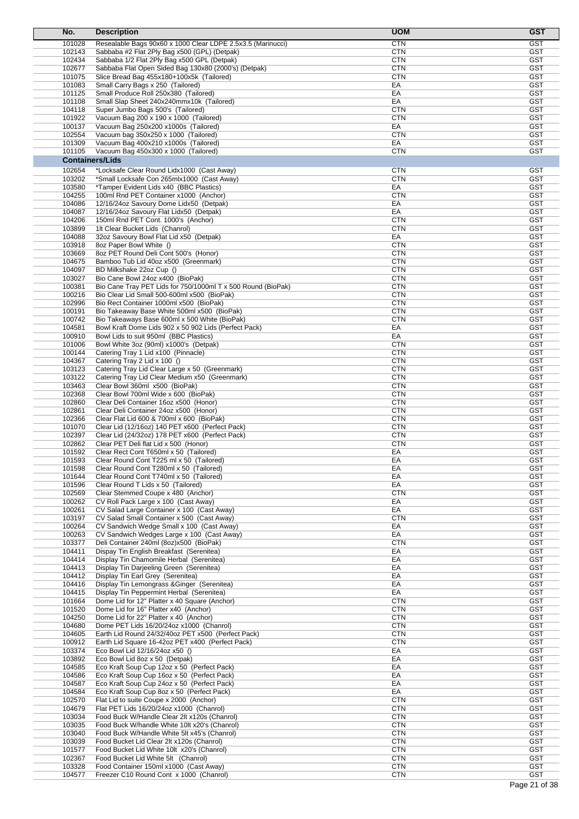| No.                    | <b>Description</b>                                                                           | <b>UOM</b>               | <b>GST</b>               |
|------------------------|----------------------------------------------------------------------------------------------|--------------------------|--------------------------|
| 101028                 | Resealable Bags 90x60 x 1000 Clear LDPE 2.5x3.5 (Marinucci)                                  | <b>CTN</b>               | <b>GST</b>               |
| 102143                 | Sabbaba #2 Flat 2Ply Bag x500 (GPL) (Detpak)                                                 | <b>CTN</b>               | <b>GST</b>               |
| 102434                 | Sabbaba 1/2 Flat 2Ply Bag x500 GPL (Detpak)                                                  | <b>CTN</b>               | <b>GST</b>               |
| 102677                 | Sabbaba Flat Open Sided Bag 130x80 (2000's) (Detpak)                                         | <b>CTN</b>               | GST                      |
| 101075                 | Slice Bread Bag 455x180+100x5k (Tailored)                                                    | <b>CTN</b>               | <b>GST</b>               |
| 101083                 | Small Carry Bags x 250 (Tailored)                                                            | EA                       | <b>GST</b>               |
| 101125<br>101108       | Small Produce Roll 250x380 (Tailored)                                                        | EA<br>EA                 | <b>GST</b><br><b>GST</b> |
| 104118                 | Small Slap Sheet 240x240mmx10k (Tailored)<br>Super Jumbo Bags 500's (Tailored)               | <b>CTN</b>               | <b>GST</b>               |
| 101922                 | Vacuum Bag 200 x 190 x 1000 (Tailored)                                                       | <b>CTN</b>               | <b>GST</b>               |
| 100137                 | Vacuum Bag 250x200 x1000s (Tailored)                                                         | EA                       | <b>GST</b>               |
| 102554                 | Vacuum bag 350x250 x 1000 (Tailored)                                                         | <b>CTN</b>               | <b>GST</b>               |
| 101309                 | Vacuum Bag 400x210 x1000s (Tailored)                                                         | EA                       | <b>GST</b>               |
| 101105                 | Vacuum Bag 450x300 x 1000 (Tailored)                                                         | <b>CTN</b>               | <b>GST</b>               |
| <b>Containers/Lids</b> |                                                                                              |                          |                          |
| 102654                 | *Locksafe Clear Round Lidx1000 (Cast Away)                                                   | <b>CTN</b>               | <b>GST</b>               |
| 103202                 | *Small Locksafe Con 265mlx1000 (Cast Away)                                                   | <b>CTN</b>               | <b>GST</b>               |
| 103580                 | *Tamper Evident Lids x40 (BBC Plastics)                                                      | EA                       | <b>GST</b>               |
| 104255                 | 100ml Rnd PET Container x1000 (Anchor)                                                       | <b>CTN</b>               | <b>GST</b>               |
| 104086                 | 12/16/24oz Savoury Dome Lidx50 (Detpak)                                                      | EA                       | <b>GST</b><br><b>GST</b> |
| 104087<br>104206       | 12/16/24oz Savoury Flat Lidx50 (Detpak)<br>150ml Rnd PET Cont. 1000's (Anchor)               | EA<br><b>CTN</b>         | <b>GST</b>               |
| 103899                 | 1lt Clear Bucket Lids (Chanrol)                                                              | <b>CTN</b>               | <b>GST</b>               |
| 104088                 | 32oz Savoury Bowl Flat Lid x50 (Detpak)                                                      | EA                       | <b>GST</b>               |
| 103918                 | 8oz Paper Bowl White ()                                                                      | <b>CTN</b>               | <b>GST</b>               |
| 103669                 | 8oz PET Round Deli Cont 500's (Honor)                                                        | <b>CTN</b>               | <b>GST</b>               |
| 104675                 | Bamboo Tub Lid 40oz x500 (Greenmark)                                                         | <b>CTN</b>               | <b>GST</b>               |
| 104097                 | BD Milkshake 22oz Cup ()                                                                     | <b>CTN</b>               | <b>GST</b>               |
| 103027                 | Bio Cane Bowl 24oz x400 (BioPak)                                                             | <b>CTN</b>               | <b>GST</b>               |
| 100381                 | Bio Cane Tray PET Lids for 750/1000ml T x 500 Round (BioPak)                                 | <b>CTN</b>               | <b>GST</b>               |
| 100216                 | Bio Clear Lid Small 500-600ml x500 (BioPak)                                                  | <b>CTN</b>               | <b>GST</b>               |
| 102996                 | Bio Rect Container 1000ml x500 (BioPak)                                                      | <b>CTN</b>               | <b>GST</b><br><b>GST</b> |
| 100191<br>100742       | Bio Takeaway Base White 500ml x500 (BioPak)<br>Bio Takeaways Base 600ml x 500 White (BioPak) | <b>CTN</b><br><b>CTN</b> | <b>GST</b>               |
| 104581                 | Bowl Kraft Dome Lids 902 x 50 902 Lids (Perfect Pack)                                        | EA                       | <b>GST</b>               |
| 100910                 | Bowl Lids to suit 950ml (BBC Plastics)                                                       | EA                       | <b>GST</b>               |
| 101006                 | Bowl White 3oz (90ml) x1000's (Detpak)                                                       | <b>CTN</b>               | <b>GST</b>               |
| 100144                 | Catering Tray 1 Lid x100 (Pinnacle)                                                          | <b>CTN</b>               | <b>GST</b>               |
| 104367                 | Catering Tray 2 Lid x 100 ()                                                                 | <b>CTN</b>               | GST                      |
| 103123                 | Catering Tray Lid Clear Large x 50 (Greenmark)                                               | <b>CTN</b>               | <b>GST</b>               |
| 103122                 | Catering Tray Lid Clear Medium x50 (Greenmark)                                               | <b>CTN</b>               | <b>GST</b>               |
| 103463                 | Clear Bowl 360ml x500 (BioPak)                                                               | <b>CTN</b>               | <b>GST</b>               |
| 102368                 | Clear Bowl 700ml Wide x 600 (BioPak)                                                         | <b>CTN</b>               | <b>GST</b>               |
| 102860<br>102861       | Clear Deli Container 16oz x500 (Honor)<br>Clear Deli Container 24oz x500 (Honor)             | <b>CTN</b><br><b>CTN</b> | <b>GST</b><br><b>GST</b> |
| 102366                 | Clear Flat Lid 600 & 700ml x 600 (BioPak)                                                    | <b>CTN</b>               | <b>GST</b>               |
| 101070                 | Clear Lid (12/16oz) 140 PET x600 (Perfect Pack)                                              | <b>CTN</b>               | <b>GST</b>               |
| 102397                 | Clear Lid (24/32oz) 178 PET x600 (Perfect Pack)                                              | <b>CTN</b>               | <b>GST</b>               |
| 102862                 | Clear PET Deli flat Lid x 500 (Honor)                                                        | <b>CTN</b>               | <b>GST</b>               |
| 101592                 | Clear Rect Cont T650ml x 50 (Tailored)                                                       | EA                       | <b>GST</b>               |
| 101593                 | Clear Round Cont T225 ml x 50 (Tailored)                                                     | EA                       | GST                      |
| 101598                 | Clear Round Cont T280ml x 50 (Tailored)                                                      | EA                       | <b>GST</b>               |
| 101644                 | Clear Round Cont T740ml x 50 (Tailored)                                                      | EA                       | <b>GST</b>               |
| 101596                 | Clear Round T Lids x 50 (Tailored)                                                           | EA                       | <b>GST</b><br><b>GST</b> |
| 102569<br>100262       | Clear Stemmed Coupe x 480 (Anchor)<br>CV Roll Pack Large x 100 (Cast Away)                   | <b>CTN</b><br>EA         | <b>GST</b>               |
| 100261                 | CV Salad Large Container x 100 (Cast Away)                                                   | EA                       | <b>GST</b>               |
| 103197                 | CV Salad Small Container x 500 (Cast Away)                                                   | <b>CTN</b>               | <b>GST</b>               |
| 100264                 | CV Sandwich Wedge Small x 100 (Cast Away)                                                    | EA                       | <b>GST</b>               |
| 100263                 | CV Sandwich Wedges Large x 100 (Cast Away)                                                   | EA                       | <b>GST</b>               |
| 103377                 | Deli Container 240ml (8oz)x500 (BioPak)                                                      | <b>CTN</b>               | <b>GST</b>               |
| 104411                 | Dispay Tin English Breakfast (Serenitea)                                                     | EA                       | <b>GST</b>               |
| 104414                 | Display Tin Chamomile Herbal (Serenitea)                                                     | EA                       | <b>GST</b>               |
| 104413                 | Display Tin Darjeeling Green (Serenitea)                                                     | EA                       | <b>GST</b>               |
| 104412                 | Display Tin Earl Grey (Serenitea)                                                            | EA                       | <b>GST</b><br><b>GST</b> |
| 104416<br>104415       | Display Tin Lemongrass & Ginger (Serenitea)<br>Display Tin Peppermint Herbal (Serenitea)     | EA<br>EA                 | <b>GST</b>               |
| 101664                 | Dome Lid for 12" Platter x 40 Square (Anchor)                                                | <b>CTN</b>               | <b>GST</b>               |
| 101520                 | Dome Lid for 16" Platter x40 (Anchor)                                                        | <b>CTN</b>               | <b>GST</b>               |
| 104250                 | Dome Lid for 22" Platter x 40 (Anchor)                                                       | <b>CTN</b>               | <b>GST</b>               |
| 104680                 | Dome PET Lids 16/20/24oz x1000 (Chanrol)                                                     | <b>CTN</b>               | <b>GST</b>               |
| 104605                 | Earth Lid Round 24/32/40oz PET x500 (Perfect Pack)                                           | <b>CTN</b>               | <b>GST</b>               |
| 100912                 | Earth Lid Square 16-42oz PET x400 (Perfect Pack)                                             | <b>CTN</b>               | <b>GST</b>               |
| 103374                 | Eco Bowl Lid 12/16/24oz x50 ()                                                               | EA                       | <b>GST</b>               |
| 103892                 | Eco Bowl Lid 8oz x 50 (Detpak)                                                               | EA                       | <b>GST</b>               |
| 104585                 | Eco Kraft Soup Cup 12oz x 50 (Perfect Pack)                                                  | EA                       | <b>GST</b>               |
| 104586                 | Eco Kraft Soup Cup 16oz x 50 (Perfect Pack)                                                  | EA                       | <b>GST</b>               |
| 104587<br>104584       | Eco Kraft Soup Cup 24oz x 50 (Perfect Pack)                                                  | EA<br>EA                 | <b>GST</b><br><b>GST</b> |
| 102570                 | Eco Kraft Soup Cup 8oz x 50 (Perfect Pack)<br>Flat Lid to suite Coupe x 2000 (Anchor)        | <b>CTN</b>               | <b>GST</b>               |
| 104679                 | Flat PET Lids 16/20/24oz x1000 (Chanrol)                                                     | <b>CTN</b>               | <b>GST</b>               |
| 103034                 | Food Buck W/Handle Clear 2lt x120s (Chanrol)                                                 | <b>CTN</b>               | <b>GST</b>               |
| 103035                 | Food Buck W/handle White 10lt x20's (Chanrol)                                                | <b>CTN</b>               | <b>GST</b>               |
| 103040                 | Food Buck W/Handle White 5lt x45's (Chanrol)                                                 | <b>CTN</b>               | <b>GST</b>               |
| 103039                 | Food Bucket Lid Clear 2lt x120s (Chanrol)                                                    | <b>CTN</b>               | <b>GST</b>               |
| 101577                 | Food Bucket Lid White 10lt x20's (Chanrol)                                                   | <b>CTN</b>               | <b>GST</b>               |
| 102367                 | Food Bucket Lid White 5lt (Chanrol)                                                          | <b>CTN</b>               | <b>GST</b>               |
| 103328                 | Food Container 150ml x1000 (Cast Away)                                                       | <b>CTN</b>               | <b>GST</b>               |
| 104577                 | Freezer C10 Round Cont x 1000 (Chanrol)                                                      | <b>CTN</b>               | <b>GST</b>               |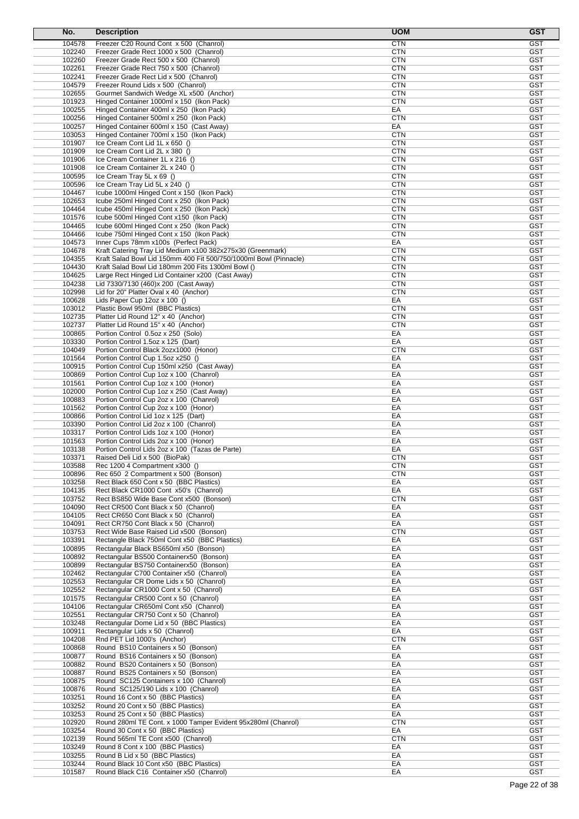| No.              | <b>Description</b>                                                                   | <b>UOM</b>               | <b>GST</b>               |
|------------------|--------------------------------------------------------------------------------------|--------------------------|--------------------------|
| 104578           | Freezer C20 Round Cont x 500 (Chanrol)                                               | <b>CTN</b>               | <b>GST</b>               |
| 102240           | Freezer Grade Rect 1000 x 500 (Chanrol)                                              | <b>CTN</b>               | <b>GST</b>               |
| 102260           | Freezer Grade Rect 500 x 500 (Chanrol)                                               | <b>CTN</b>               | <b>GST</b>               |
| 102261           | Freezer Grade Rect 750 x 500 (Chanrol)                                               | <b>CTN</b>               | <b>GST</b>               |
| 102241           | Freezer Grade Rect Lid x 500 (Chanrol)                                               | <b>CTN</b>               | <b>GST</b>               |
| 104579           | Freezer Round Lids x 500 (Chanrol)                                                   | <b>CTN</b>               | <b>GST</b>               |
| 102655           | Gourmet Sandwich Wedge XL x500 (Anchor)                                              | <b>CTN</b>               | <b>GST</b>               |
| 101923           | Hinged Container 1000ml x 150 (Ikon Pack)                                            | <b>CTN</b>               | <b>GST</b>               |
| 100255           | Hinged Container 400ml x 250 (Ikon Pack)                                             | EA<br><b>CTN</b>         | <b>GST</b>               |
| 100256<br>100257 | Hinged Container 500ml x 250 (Ikon Pack)<br>Hinged Container 600ml x 150 (Cast Away) | EA                       | <b>GST</b><br><b>GST</b> |
| 103053           | Hinged Container 700ml x 150 (Ikon Pack)                                             | <b>CTN</b>               | <b>GST</b>               |
| 101907           | Ice Cream Cont Lid 1L x 650 ()                                                       | <b>CTN</b>               | <b>GST</b>               |
| 101909           | Ice Cream Cont Lid 2L x 380 ()                                                       | <b>CTN</b>               | <b>GST</b>               |
| 101906           | Ice Cream Container 1L x 216 ()                                                      | <b>CTN</b>               | <b>GST</b>               |
| 101908           | Ice Cream Container 2L x 240 ()                                                      | <b>CTN</b>               | <b>GST</b>               |
| 100595           | Ice Cream Tray 5L x 69 ()                                                            | <b>CTN</b>               | <b>GST</b>               |
| 100596           | Ice Cream Tray Lid 5L x 240 ()                                                       | <b>CTN</b>               | <b>GST</b>               |
| 104467           | Icube 1000ml Hinged Cont x 150 (Ikon Pack)                                           | <b>CTN</b>               | <b>GST</b>               |
| 102653           | Icube 250ml Hinged Cont x 250 (Ikon Pack)                                            | <b>CTN</b>               | <b>GST</b>               |
| 104464           | Icube 450ml Hinged Cont x 250 (Ikon Pack)                                            | <b>CTN</b>               | <b>GST</b>               |
| 101576           | Icube 500ml Hinged Cont x150 (Ikon Pack)                                             | <b>CTN</b>               | <b>GST</b>               |
| 104465           | Icube 600ml Hinged Cont x 250 (Ikon Pack)                                            | <b>CTN</b>               | <b>GST</b>               |
| 104466           | Icube 750ml Hinged Cont x 150 (Ikon Pack)                                            | <b>CTN</b>               | <b>GST</b>               |
| 104573           | Inner Cups 78mm x100s (Perfect Pack)                                                 | EA                       | <b>GST</b>               |
| 104678           | Kraft Catering Tray Lid Medium x100 382x275x30 (Greenmark)                           | <b>CTN</b>               | <b>GST</b>               |
| 104355           | Kraft Salad Bowl Lid 150mm 400 Fit 500/750/1000ml Bowl (Pinnacle)                    | <b>CTN</b>               | <b>GST</b>               |
| 104430           | Kraft Salad Bowl Lid 180mm 200 Fits 1300ml Bowl ()                                   | <b>CTN</b>               | <b>GST</b>               |
| 104625           | Large Rect Hinged Lid Container x200 (Cast Away)                                     | <b>CTN</b>               | <b>GST</b><br><b>GST</b> |
| 104238<br>102998 | Lid 7330/7130 (460)x 200 (Cast Away)                                                 | <b>CTN</b><br><b>CTN</b> | <b>GST</b>               |
| 100628           | Lid for 20" Platter Oval x 40 (Anchor)<br>Lids Paper Cup $12oz \times 100$ ()        | EA                       | <b>GST</b>               |
| 103012           | Plastic Bowl 950ml (BBC Plastics)                                                    | <b>CTN</b>               | <b>GST</b>               |
| 102735           | Platter Lid Round 12" x 40 (Anchor)                                                  | <b>CTN</b>               | <b>GST</b>               |
| 102737           | Platter Lid Round 15" x 40 (Anchor)                                                  | <b>CTN</b>               | <b>GST</b>               |
| 100865           | Portion Control 0.5oz x 250 (Solo)                                                   | EA                       | <b>GST</b>               |
| 103330           | Portion Control 1.5oz x 125 (Dart)                                                   | EA                       | <b>GST</b>               |
| 104049           | Portion Control Black 2ozx1000 (Honor)                                               | <b>CTN</b>               | <b>GST</b>               |
| 101564           | Portion Control Cup 1.5oz x250 ()                                                    | EA                       | <b>GST</b>               |
| 100915           | Portion Control Cup 150ml x250 (Cast Away)                                           | EA                       | <b>GST</b>               |
| 100869           | Portion Control Cup 1oz x 100 (Chanrol)                                              | EA                       | <b>GST</b>               |
| 101561           | Portion Control Cup 1oz x 100 (Honor)                                                | EA                       | <b>GST</b>               |
| 102000           | Portion Control Cup 1oz x 250 (Cast Away)                                            | EA                       | <b>GST</b>               |
| 100883           | Portion Control Cup 2oz x 100 (Chanrol)                                              | EA                       | <b>GST</b>               |
| 101562           | Portion Control Cup 2oz x 100 (Honor)                                                | EA                       | <b>GST</b>               |
| 100866           | Portion Control Lid 1oz x 125 (Dart)                                                 | EA                       | <b>GST</b>               |
| 103390           | Portion Control Lid 2oz x 100 (Chanrol)                                              | EA                       | <b>GST</b>               |
| 103317           | Portion Control Lids 1oz x 100 (Honor)                                               | EA                       | <b>GST</b>               |
| 101563           | Portion Control Lids 2oz x 100 (Honor)                                               | EA                       | <b>GST</b>               |
| 103138           | Portion Control Lids 2oz x 100 (Tazas de Parte)                                      | EA                       | <b>GST</b>               |
| 103371           | Raised Deli Lid x 500 (BioPak)                                                       | <b>CTN</b>               | GST                      |
| 103588           | Rec 1200 4 Compartment x300 ()                                                       | CTN                      | GST                      |
| 100896           | Rec 650 2 Compartment x 500 (Bonson)                                                 | <b>CTN</b>               | <b>GST</b><br><b>GST</b> |
| 103258<br>104135 | Rect Black 650 Cont x 50 (BBC Plastics)<br>Rect Black CR1000 Cont x50's (Chanrol)    | EA<br>EA                 | <b>GST</b>               |
| 103752           | Rect BS850 Wide Base Cont x500 (Bonson)                                              | <b>CTN</b>               | <b>GST</b>               |
| 104090           | Rect CR500 Cont Black x 50 (Chanrol)                                                 | EA                       | <b>GST</b>               |
| 104105           | Rect CR650 Cont Black x 50 (Chanrol)                                                 | EA                       | <b>GST</b>               |
| 104091           | Rect CR750 Cont Black x 50 (Chanrol)                                                 | EA                       | <b>GST</b>               |
| 103753           | Rect Wide Base Raised Lid x500 (Bonson)                                              | <b>CTN</b>               | <b>GST</b>               |
| 103391           | Rectangle Black 750ml Cont x50 (BBC Plastics)                                        | EA                       | <b>GST</b>               |
| 100895           | Rectangular Black BS650ml x50 (Bonson)                                               | EA                       | <b>GST</b>               |
| 100892           | Rectangular BS500 Containerx50 (Bonson)                                              | EA                       | <b>GST</b>               |
| 100899           | Rectangular BS750 Containerx50 (Bonson)                                              | EA                       | <b>GST</b>               |
| 102462           | Rectangular C700 Container x50 (Chanrol)                                             | EA                       | <b>GST</b>               |
| 102553           | Rectangular CR Dome Lids x 50 (Chanrol)                                              | EA                       | <b>GST</b>               |
| 102552           | Rectangular CR1000 Cont x 50 (Chanrol)                                               | EA                       | <b>GST</b>               |
| 101575           | Rectangular CR500 Cont x 50 (Chanrol)                                                | EA                       | <b>GST</b>               |
| 104106           | Rectangular CR650ml Cont x50 (Chanrol)                                               | EA                       | <b>GST</b>               |
| 102551<br>103248 | Rectangular CR750 Cont x 50 (Chanrol)                                                | EA<br>EA                 | <b>GST</b><br><b>GST</b> |
| 100911           | Rectangular Dome Lid x 50 (BBC Plastics)<br>Rectangular Lids x 50 (Chanrol)          | EA                       | <b>GST</b>               |
| 104208           | Rnd PET Lid 1000's (Anchor)                                                          | <b>CTN</b>               | <b>GST</b>               |
| 100868           | Round BS10 Containers x 50 (Bonson)                                                  | EA                       | <b>GST</b>               |
| 100877           | Round BS16 Containers x 50 (Bonson)                                                  | EA                       | <b>GST</b>               |
| 100882           | Round BS20 Containers x 50 (Bonson)                                                  | EA                       | <b>GST</b>               |
| 100887           | Round BS25 Containers x 50 (Bonson)                                                  | EA                       | <b>GST</b>               |
| 100875           | Round SC125 Containers x 100 (Chanrol)                                               | EA                       | <b>GST</b>               |
| 100876           | Round SC125/190 Lids x 100 (Chanrol)                                                 | EA                       | <b>GST</b>               |
| 103251           | Round 16 Cont x 50 (BBC Plastics)                                                    | EA                       | <b>GST</b>               |
| 103252           | Round 20 Cont x 50 (BBC Plastics)                                                    | EA                       | <b>GST</b>               |
| 103253           | Round 25 Cont x 50 (BBC Plastics)                                                    | EA                       | <b>GST</b>               |
| 102920           | Round 280ml TE Cont. x 1000 Tamper Evident 95x280ml (Chanrol)                        | <b>CTN</b>               | <b>GST</b>               |
| 103254           | Round 30 Cont x 50 (BBC Plastics)                                                    | EA                       | <b>GST</b>               |
| 102139           | Round 565ml TE Cont x500 (Chanrol)                                                   | <b>CTN</b>               | <b>GST</b>               |
| 103249           | Round 8 Cont x 100 (BBC Plastics)                                                    | EA                       | <b>GST</b>               |
| 103255           | Round B Lid x 50 (BBC Plastics)                                                      | EA                       | <b>GST</b>               |
| 103244           | Round Black 10 Cont x50 (BBC Plastics)                                               | EA                       | <b>GST</b>               |
| 101587           | Round Black C16 Container x50 (Chanrol)                                              | EA                       | <b>GST</b>               |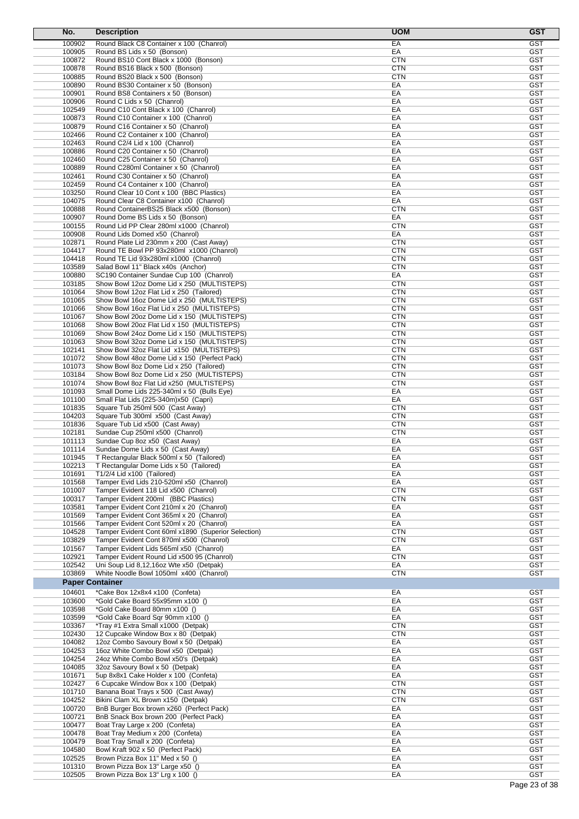| No.                    | <b>Description</b>                                                                       | <b>UOM</b>               | <b>GST</b>               |
|------------------------|------------------------------------------------------------------------------------------|--------------------------|--------------------------|
| 100902                 | Round Black C8 Container x 100 (Chanrol)                                                 | EA                       | <b>GST</b>               |
| 100905                 | Round BS Lids x 50 (Bonson)                                                              | EA                       | <b>GST</b>               |
| 100872                 | Round BS10 Cont Black x 1000 (Bonson)                                                    | <b>CTN</b>               | <b>GST</b><br><b>GST</b> |
| 100878<br>100885       | Round BS16 Black x 500 (Bonson)<br>Round BS20 Black x 500 (Bonson)                       | CTN<br><b>CTN</b>        | <b>GST</b>               |
| 100890                 | Round BS30 Container x 50 (Bonson)                                                       | EA                       | <b>GST</b>               |
| 100901                 | Round BS8 Containers x 50 (Bonson)                                                       | EA                       | <b>GST</b>               |
| 100906                 | Round C Lids x 50 (Chanrol)                                                              | EA                       | <b>GST</b>               |
| 102549                 | Round C10 Cont Black x 100 (Chanrol)                                                     | EA                       | <b>GST</b>               |
| 100873<br>100879       | Round C10 Container x 100 (Chanrol)<br>Round C16 Container x 50 (Chanrol)                | EA<br>EA                 | <b>GST</b><br><b>GST</b> |
| 102466                 | Round C2 Container x 100 (Chanrol)                                                       | EA                       | <b>GST</b>               |
| 102463                 | Round C2/4 Lid x 100 (Chanrol)                                                           | EA                       | <b>GST</b>               |
| 100886                 | Round C20 Container x 50 (Chanrol)                                                       | EA                       | <b>GST</b>               |
| 102460                 | Round C25 Container x 50 (Chanrol)                                                       | EA                       | <b>GST</b>               |
| 100889<br>102461       | Round C280ml Container x 50 (Chanrol)<br>Round C30 Container x 50 (Chanrol)              | EA<br>EA                 | <b>GST</b><br><b>GST</b> |
| 102459                 | Round C4 Container x 100 (Chanrol)                                                       | EA                       | <b>GST</b>               |
| 103250                 | Round Clear 10 Cont x 100 (BBC Plastics)                                                 | EA                       | <b>GST</b>               |
| 104075                 | Round Clear C8 Container x100 (Chanrol)                                                  | EA                       | <b>GST</b>               |
| 100888                 | Round ContainerBS25 Black x500 (Bonson)                                                  | <b>CTN</b>               | <b>GST</b>               |
| 100907<br>100155       | Round Dome BS Lids x 50 (Bonson)<br>Round Lid PP Clear 280ml x1000 (Chanrol)             | EA<br><b>CTN</b>         | <b>GST</b><br><b>GST</b> |
| 100908                 | Round Lids Domed x50 (Chanrol)                                                           | EA                       | <b>GST</b>               |
| 102871                 | Round Plate Lid 230mm x 200 (Cast Away)                                                  | <b>CTN</b>               | <b>GST</b>               |
| 104417                 | Round TE Bowl PP 93x280ml x1000 (Chanrol)                                                | <b>CTN</b>               | <b>GST</b>               |
| 104418                 | Round TE Lid 93x280ml x1000 (Chanrol)                                                    | <b>CTN</b>               | <b>GST</b>               |
| 103589<br>100880       | Salad Bowl 11" Black x40s (Anchor)<br>SC190 Container Sundae Cup 100 (Chanrol)           | <b>CTN</b><br>EA         | <b>GST</b><br><b>GST</b> |
| 103185                 | Show Bowl 12oz Dome Lid x 250 (MULTISTEPS)                                               | <b>CTN</b>               | <b>GST</b>               |
| 101064                 | Show Bowl 12oz Flat Lid x 250 (Tailored)                                                 | <b>CTN</b>               | <b>GST</b>               |
| 101065                 | Show Bowl 16oz Dome Lid x 250 (MULTISTEPS)                                               | <b>CTN</b>               | <b>GST</b>               |
| 101066                 | Show Bowl 16oz Flat Lid x 250 (MULTISTEPS)                                               | <b>CTN</b>               | <b>GST</b>               |
| 101067<br>101068       | Show Bowl 20oz Dome Lid x 150 (MULTISTEPS)<br>Show Bowl 20oz Flat Lid x 150 (MULTISTEPS) | <b>CTN</b><br>CTN        | GST<br><b>GST</b>        |
| 101069                 | Show Bowl 24oz Dome Lid x 150 (MULTISTEPS)                                               | <b>CTN</b>               | <b>GST</b>               |
| 101063                 | Show Bowl 32oz Dome Lid x 150 (MULTISTEPS)                                               | <b>CTN</b>               | <b>GST</b>               |
| 102141                 | Show Bowl 32oz Flat Lid x150 (MULTISTEPS)                                                | <b>CTN</b>               | <b>GST</b>               |
| 101072                 | Show Bowl 48oz Dome Lid x 150 (Perfect Pack)                                             | <b>CTN</b>               | <b>GST</b>               |
| 101073<br>103184       | Show Bowl 8oz Dome Lid x 250 (Tailored)<br>Show Bowl 8oz Dome Lid x 250 (MULTISTEPS)     | <b>CTN</b><br>CTN        | <b>GST</b><br><b>GST</b> |
| 101074                 | Show Bowl 8oz Flat Lid x250 (MULTISTEPS)                                                 | <b>CTN</b>               | <b>GST</b>               |
| 101093                 | Small Dome Lids 225-340ml x 50 (Bulls Eye)                                               | EA                       | <b>GST</b>               |
| 101100                 | Small Flat Lids (225-340m)x50 (Capri)                                                    | EA                       | <b>GST</b>               |
| 101835                 | Square Tub 250ml 500 (Cast Away)                                                         | <b>CTN</b>               | <b>GST</b>               |
| 104203<br>101836       | Square Tub 300ml x500 (Cast Away)<br>Square Tub Lid x500 (Cast Away)                     | <b>CTN</b><br>CTN        | GST<br><b>GST</b>        |
| 102181                 | Sundae Cup 250ml x500 (Chanrol)                                                          | <b>CTN</b>               | <b>GST</b>               |
| 101113                 | Sundae Cup 8oz x50 (Cast Away)                                                           | EA                       | <b>GST</b>               |
| 101114                 | Sundae Dome Lids x 50 (Cast Away)                                                        | EA                       | <b>GST</b>               |
| 101945<br>102213       | T Rectangular Black 500ml x 50 (Tailored)                                                | EA                       | <b>GST</b>               |
| 101691                 | T Rectangular Dome Lids x 50 (Tailored)<br>T1/2/4 Lid x100 (Tailored)                    | EA<br>EA                 | GST<br><b>GST</b>        |
| 101568                 | Tamper Evid Lids 210-520ml x50 (Chanrol)                                                 | EA                       | <b>GST</b>               |
| 101007                 | Tamper Evident 118 Lid x500 (Chanrol)                                                    | <b>CTN</b>               | <b>GST</b>               |
| 100317                 | Tamper Evident 200ml (BBC Plastics)                                                      | <b>CTN</b>               | <b>GST</b>               |
| 103581<br>101569       | Tamper Evident Cont 210ml x 20 (Chanrol)<br>Tamper Evident Cont 365ml x 20 (Chanrol)     | EA<br>EA                 | <b>GST</b><br><b>GST</b> |
| 101566                 | Tamper Evident Cont 520ml x 20 (Chanrol)                                                 | EA                       | <b>GST</b>               |
| 104528                 | Tamper Evident Cont 60ml x1890 (Superior Selection)                                      | <b>CTN</b>               | <b>GST</b>               |
| 103829                 | Tamper Evident Cont 870ml x500 (Chanrol)                                                 | <b>CTN</b>               | <b>GST</b>               |
| 101567                 | Tamper Evident Lids 565ml x50 (Chanrol)                                                  | EA                       | <b>GST</b>               |
| 102921<br>102542       | Tamper Evident Round Lid x500 95 (Chanrol)<br>Uni Soup Lid 8,12,16oz Wte x50 (Detpak)    | <b>CTN</b><br>EA         | <b>GST</b><br><b>GST</b> |
| 103869                 | White Noodle Bowl 1050ml x400 (Chanrol)                                                  | <b>CTN</b>               | <b>GST</b>               |
| <b>Paper Container</b> |                                                                                          |                          |                          |
| 104601                 | *Cake Box 12x8x4 x100 (Confeta)                                                          | EA                       | <b>GST</b>               |
| 103600                 | *Gold Cake Board 55x95mm x100 ()                                                         | EA                       | <b>GST</b>               |
| 103598                 | *Gold Cake Board 80mm x100 ()                                                            | EA                       | <b>GST</b>               |
| 103599                 | *Gold Cake Board Sqr 90mm x100 ()                                                        | EA                       | GST                      |
| 103367<br>102430       | *Tray #1 Extra Small x1000 (Detpak)<br>12 Cupcake Window Box x 80 (Detpak)               | <b>CTN</b><br><b>CTN</b> | <b>GST</b><br><b>GST</b> |
| 104082                 | 12oz Combo Savoury Bowl x 50 (Detpak)                                                    | EA                       | <b>GST</b>               |
| 104253                 | 16oz White Combo Bowl x50 (Detpak)                                                       | EA                       | <b>GST</b>               |
| 104254                 | 24oz White Combo Bowl x50's (Detpak)                                                     | EA                       | <b>GST</b>               |
| 104085                 | 32oz Savoury Bowl x 50 (Detpak)                                                          | EA                       | <b>GST</b>               |
| 101671<br>102427       | 5up 8x8x1 Cake Holder x 100 (Confeta)<br>6 Cupcake Window Box x 100 (Detpak)             | EA<br><b>CTN</b>         | <b>GST</b><br><b>GST</b> |
| 101710                 | Banana Boat Trays x 500 (Cast Away)                                                      | <b>CTN</b>               | <b>GST</b>               |
| 104252                 | Bikini Clam XL Brown x150 (Detpak)                                                       | <b>CTN</b>               | <b>GST</b>               |
| 100720                 | BnB Burger Box brown x260 (Perfect Pack)                                                 | EA                       | <b>GST</b>               |
| 100721                 | BnB Snack Box brown 200 (Perfect Pack)                                                   | EA                       | <b>GST</b>               |
| 100477<br>100478       | Boat Tray Large x 200 (Confeta)<br>Boat Tray Medium x 200 (Confeta)                      | EA<br>EA                 | <b>GST</b><br><b>GST</b> |
| 100479                 | Boat Tray Small x 200 (Confeta)                                                          | EA                       | <b>GST</b>               |
| 104580                 | Bowl Kraft 902 x 50 (Perfect Pack)                                                       | EA                       | <b>GST</b>               |
| 102525                 | Brown Pizza Box 11" Med x 50 ()                                                          | EA                       | <b>GST</b>               |
| 101310<br>102505       | Brown Pizza Box 13" Large x50 ()<br>Brown Pizza Box 13" Lrg x 100 ()                     | EA<br>EA                 | <b>GST</b><br><b>GST</b> |
|                        |                                                                                          |                          |                          |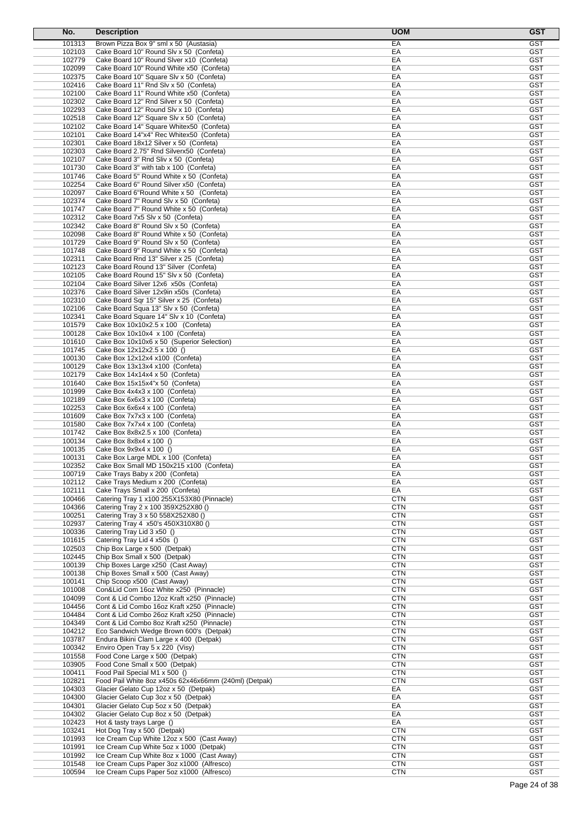| No.              | <b>Description</b>                                                                        | <b>UOM</b>               | <b>GST</b>               |
|------------------|-------------------------------------------------------------------------------------------|--------------------------|--------------------------|
| 101313           | Brown Pizza Box 9" sml x 50 (Austasia)                                                    | EA                       | <b>GST</b>               |
| 102103           | Cake Board 10" Round Slv x 50 (Confeta)                                                   | EA                       | <b>GST</b>               |
| 102779           | Cake Board 10" Round Siver x10 (Confeta)                                                  | EA                       | <b>GST</b>               |
| 102099           | Cake Board 10" Round White x50 (Confeta)                                                  | EA                       | GST                      |
| 102375           | Cake Board 10" Square Slv x 50 (Confeta)                                                  | EA                       | <b>GST</b>               |
| 102416           | Cake Board 11" Rnd Slv x 50 (Confeta)                                                     | EA                       | <b>GST</b>               |
| 102100           | Cake Board 11" Round White x50 (Confeta)                                                  | EA                       | <b>GST</b>               |
| 102302           | Cake Board 12" Rnd Silver x 50 (Confeta)                                                  | EA<br>EA                 | <b>GST</b><br><b>GST</b> |
| 102293<br>102518 | Cake Board 12" Round Slv x 10 (Confeta)<br>Cake Board 12" Square Slv x 50 (Confeta)       | EA                       | <b>GST</b>               |
| 102102           | Cake Board 14" Square Whitex50 (Confeta)                                                  | EA                       | GST                      |
| 102101           | Cake Board 14"x4" Rec Whitex50 (Confeta)                                                  | EA                       | <b>GST</b>               |
| 102301           | Cake Board 18x12 Silver x 50 (Confeta)                                                    | EA                       | <b>GST</b>               |
| 102303           | Cake Board 2.75" Rnd Silverx50 (Confeta)                                                  | EA                       | <b>GST</b>               |
| 102107           | Cake Board 3" Rnd Sliv x 50 (Confeta)                                                     | EA                       | <b>GST</b>               |
| 101730           | Cake Board 3" with tab x 100 (Confeta)                                                    | EA                       | <b>GST</b>               |
| 101746           | Cake Board 5" Round White x 50 (Confeta)                                                  | EA                       | <b>GST</b>               |
| 102254           | Cake Board 6" Round Silver x50 (Confeta)                                                  | EA                       | <b>GST</b>               |
| 102097           | Cake Board 6"Round White x 50 (Confeta)                                                   | EA                       | <b>GST</b>               |
| 102374           | Cake Board 7" Round Slv x 50 (Confeta)                                                    | EA                       | <b>GST</b>               |
| 101747           | Cake Board 7" Round White x 50 (Confeta)                                                  | EA                       | <b>GST</b>               |
| 102312           | Cake Board 7x5 Slv x 50 (Confeta)                                                         | EA                       | <b>GST</b>               |
| 102342<br>102098 | Cake Board 8" Round Slv x 50 (Confeta)<br>Cake Board 8" Round White x 50 (Confeta)        | EA<br>EA                 | <b>GST</b><br><b>GST</b> |
| 101729           | Cake Board 9" Round Slv x 50 (Confeta)                                                    | EA                       | <b>GST</b>               |
| 101748           | Cake Board 9" Round White x 50 (Confeta)                                                  | EA                       | <b>GST</b>               |
| 102311           | Cake Board Rnd 13" Silver x 25 (Confeta)                                                  | EA                       | <b>GST</b>               |
| 102123           | Cake Board Round 13" Silver (Confeta)                                                     | EA                       | <b>GST</b>               |
| 102105           | Cake Board Round 15" Slv x 50 (Confeta)                                                   | EA                       | <b>GST</b>               |
| 102104           | Cake Board Silver 12x6 x50s (Confeta)                                                     | EA                       | <b>GST</b>               |
| 102376           | Cake Board Silver 12x9in x50s (Confeta)                                                   | EA                       | <b>GST</b>               |
| 102310           | Cake Board Sqr 15" Silver x 25 (Confeta)                                                  | EA                       | <b>GST</b>               |
| 102106           | Cake Board Squa 13" Slv x 50 (Confeta)                                                    | EA                       | <b>GST</b>               |
| 102341           | Cake Board Square 14" Slv x 10 (Confeta)                                                  | EA                       | <b>GST</b>               |
| 101579           | Cake Box 10x10x2.5 x 100 (Confeta)                                                        | EA                       | <b>GST</b>               |
| 100128           | Cake Box 10x10x4 x 100 (Confeta)                                                          | EA                       | <b>GST</b>               |
| 101610           | Cake Box 10x10x6 x 50 (Superior Selection)                                                | EA                       | <b>GST</b>               |
| 101745           | Cake Box 12x12x2.5 x 100 ()                                                               | EA                       | <b>GST</b>               |
| 100130           | Cake Box 12x12x4 x100 (Confeta)                                                           | EA                       | <b>GST</b><br><b>GST</b> |
| 100129<br>102179 | Cake Box 13x13x4 x100 (Confeta)<br>Cake Box 14x14x4 x 50 (Confeta)                        | EA<br>EA                 | GST                      |
| 101640           | Cake Box 15x15x4"x 50 (Confeta)                                                           | EA                       | <b>GST</b>               |
| 101999           | Cake Box 4x4x3 x 100 (Confeta)                                                            | EA                       | <b>GST</b>               |
| 102189           | Cake Box 6x6x3 x 100 (Confeta)                                                            | EA                       | <b>GST</b>               |
| 102253           | Cake Box 6x6x4 x 100 (Confeta)                                                            | EA                       | <b>GST</b>               |
| 101609           | Cake Box 7x7x3 x 100 (Confeta)                                                            | EA                       | <b>GST</b>               |
| 101580           | Cake Box 7x7x4 x 100 (Confeta)                                                            | EA                       | <b>GST</b>               |
| 101742           | Cake Box 8x8x2.5 x 100 (Confeta)                                                          | EA                       | <b>GST</b>               |
| 100134           | Cake Box 8x8x4 x 100 ()                                                                   | EA                       | <b>GST</b>               |
| 100135           | Cake Box 9x9x4 x 100 ()                                                                   | EA                       | <b>GST</b>               |
| 100131           | Cake Box Large MDL x 100 (Confeta)                                                        | EA                       | <b>GST</b>               |
| 102352           | Cake Box Small MD 150x215 x100 (Confeta)                                                  | EA                       | GST                      |
| 100719           | Cake Trays Baby x 200 (Confeta)                                                           | EA                       | <b>GST</b>               |
| 102112<br>102111 | Cake Trays Medium x 200 (Confeta)<br>Cake Trays Small x 200 (Confeta)                     | EA<br>EA                 | <b>GST</b><br><b>GST</b> |
| 100466           | Catering Tray 1 x100 255X153X80 (Pinnacle)                                                | <b>CTN</b>               | <b>GST</b>               |
| 104366           | Catering Tray 2 x 100 359X252X80 ()                                                       | <b>CTN</b>               | <b>GST</b>               |
| 100251           | Catering Tray 3 x 50 558X252X80 ()                                                        | <b>CTN</b>               | <b>GST</b>               |
| 102937           | Catering Tray 4 x50's 450X310X80 ()                                                       | <b>CTN</b>               | <b>GST</b>               |
| 100336           | Catering Tray Lid 3 x50 ()                                                                | <b>CTN</b>               | <b>GST</b>               |
| 101615           | Catering Tray Lid 4 x50s ()                                                               | <b>CTN</b>               | <b>GST</b>               |
| 102503           | Chip Box Large x 500 (Detpak)                                                             | <b>CTN</b>               | <b>GST</b>               |
| 102445           | Chip Box Small x 500 (Detpak)                                                             | <b>CTN</b>               | <b>GST</b>               |
| 100139           | Chip Boxes Large x250 (Cast Away)                                                         | <b>CTN</b>               | <b>GST</b>               |
| 100138           | Chip Boxes Small x 500 (Cast Away)                                                        | <b>CTN</b>               | <b>GST</b>               |
| 100141           | Chip Scoop x500 (Cast Away)                                                               | <b>CTN</b>               | <b>GST</b>               |
| 101008           | Con&Lid Com 16oz White x250 (Pinnacle)                                                    | <b>CTN</b>               | <b>GST</b>               |
| 104099           | Cont & Lid Combo 12oz Kraft x250 (Pinnacle)                                               | <b>CTN</b>               | <b>GST</b>               |
| 104456           | Cont & Lid Combo 16oz Kraft x250 (Pinnacle)                                               | <b>CTN</b>               | <b>GST</b>               |
| 104484<br>104349 | Cont & Lid Combo 26oz Kraft x250 (Pinnacle)<br>Cont & Lid Combo 8oz Kraft x250 (Pinnacle) | <b>CTN</b><br><b>CTN</b> | <b>GST</b><br><b>GST</b> |
| 104212           | Eco Sandwich Wedge Brown 600's (Detpak)                                                   | <b>CTN</b>               | <b>GST</b>               |
| 103787           | Endura Bikini Clam Large x 400 (Detpak)                                                   | <b>CTN</b>               | <b>GST</b>               |
| 100342           | Enviro Open Tray 5 x 220 (Visy)                                                           | <b>CTN</b>               | <b>GST</b>               |
| 101558           | Food Cone Large x 500 (Detpak)                                                            | <b>CTN</b>               | <b>GST</b>               |
| 103905           | Food Cone Small x 500 (Detpak)                                                            | <b>CTN</b>               | <b>GST</b>               |
| 100411           | Food Pail Special M1 x 500 ()                                                             | <b>CTN</b>               | <b>GST</b>               |
| 102821           | Food Pail White 8oz x450s 62x46x66mm (240ml) (Detpak)                                     | <b>CTN</b>               | <b>GST</b>               |
| 104303           | Glacier Gelato Cup 12oz x 50 (Detpak)                                                     | EA                       | <b>GST</b>               |
| 104300           | Glacier Gelato Cup 3oz x 50 (Detpak)                                                      | EA                       | <b>GST</b>               |
| 104301           | Glacier Gelato Cup 5oz x 50 (Detpak)                                                      | EA                       | <b>GST</b>               |
| 104302           | Glacier Gelato Cup 8oz x 50 (Detpak)                                                      | EA                       | <b>GST</b>               |
| 102423           | Hot & tasty trays Large ()                                                                | EA                       | <b>GST</b>               |
| 103241           | Hot Dog Tray x 500 (Detpak)                                                               | <b>CTN</b>               | <b>GST</b>               |
| 101993           | Ice Cream Cup White 12oz x 500 (Cast Away)                                                | <b>CTN</b>               | <b>GST</b>               |
| 101991<br>101992 | Ice Cream Cup White 5oz x 1000 (Detpak)<br>Ice Cream Cup White 8oz x 1000 (Cast Away)     | <b>CTN</b><br><b>CTN</b> | <b>GST</b><br><b>GST</b> |
| 101548           | Ice Cream Cups Paper 3oz x1000 (Alfresco)                                                 | <b>CTN</b>               | <b>GST</b>               |
| 100594           | Ice Cream Cups Paper 5oz x1000 (Alfresco)                                                 | <b>CTN</b>               | <b>GST</b>               |
|                  |                                                                                           |                          |                          |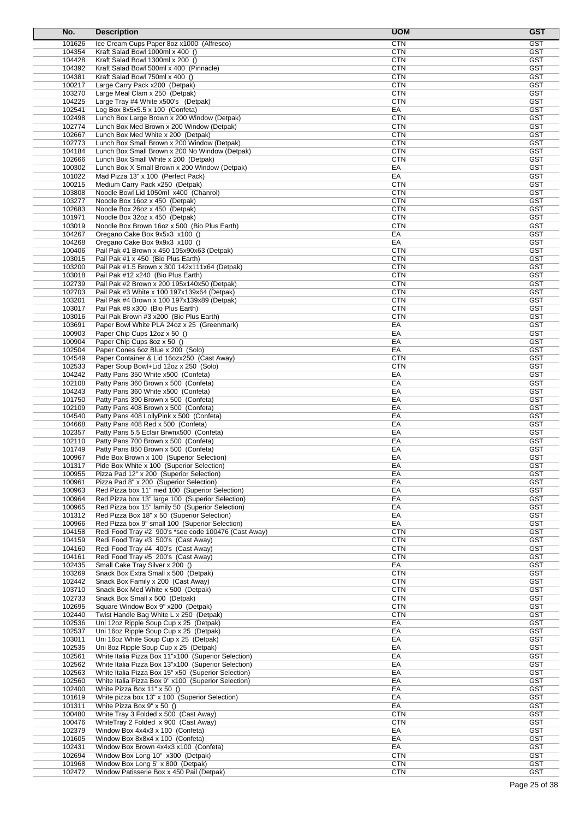| No.              | <b>Description</b>                                                                                   | <b>UOM</b>               | <b>GST</b>               |
|------------------|------------------------------------------------------------------------------------------------------|--------------------------|--------------------------|
| 101626           | Ice Cream Cups Paper 8oz x1000 (Alfresco)                                                            | <b>CTN</b>               | <b>GST</b>               |
| 104354           | Kraft Salad Bowl 1000ml x 400 ()                                                                     | CTN                      | GST                      |
| 104428<br>104392 | Kraft Salad Bowl 1300ml x 200 ()<br>Kraft Salad Bowl 500ml x 400 (Pinnacle)                          | <b>CTN</b><br>CTN        | <b>GST</b><br><b>GST</b> |
| 104381           | Kraft Salad Bowl 750ml x 400 ()                                                                      | <b>CTN</b>               | <b>GST</b>               |
| 100217           | Large Carry Pack x200 (Detpak)                                                                       | <b>CTN</b>               | <b>GST</b>               |
| 103270           | Large Meal Clam x 250 (Detpak)                                                                       | <b>CTN</b>               | <b>GST</b>               |
| 104225           | Large Tray #4 White x500's (Detpak)                                                                  | CTN                      | GST                      |
| 102541           | Log Box $8x5x5.5 \times 100$ (Confeta)                                                               | EA                       | <b>GST</b>               |
| 102498<br>102774 | Lunch Box Large Brown x 200 Window (Detpak)<br>Lunch Box Med Brown x 200 Window (Detpak)             | <b>CTN</b><br><b>CTN</b> | <b>GST</b><br><b>GST</b> |
| 102667           | Lunch Box Med White x 200 (Detpak)                                                                   | <b>CTN</b>               | <b>GST</b>               |
| 102773           | Lunch Box Small Brown x 200 Window (Detpak)                                                          | <b>CTN</b>               | <b>GST</b>               |
| 104184           | Lunch Box Small Brown x 200 No Window (Detpak)                                                       | <b>CTN</b>               | <b>GST</b>               |
| 102666           | Lunch Box Small White x 200 (Detpak)                                                                 | CTN                      | <b>GST</b>               |
| 100302           | Lunch Box X Small Brown x 200 Window (Detpak)                                                        | EA                       | <b>GST</b>               |
| 101022           | Mad Pizza 13" x 100 (Perfect Pack)                                                                   | EA                       | <b>GST</b>               |
| 100215<br>103808 | Medium Carry Pack x250 (Detpak)<br>Noodle Bowl Lid 1050ml x400 (Chanrol)                             | <b>CTN</b><br><b>CTN</b> | <b>GST</b><br><b>GST</b> |
| 103277           | Noodle Box 16oz x 450 (Detpak)                                                                       | CTN                      | GST                      |
| 102683           | Noodle Box 26oz x 450 (Detpak)                                                                       | CTN                      | <b>GST</b>               |
| 101971           | Noodle Box 32oz x 450 (Detpak)                                                                       | <b>CTN</b>               | <b>GST</b>               |
| 103019           | Noodle Box Brown 16oz x 500 (Bio Plus Earth)                                                         | <b>CTN</b>               | <b>GST</b>               |
| 104267           | Oregano Cake Box 9x5x3 x100 ()                                                                       | EA                       | <b>GST</b>               |
| 104268<br>100406 | Oregano Cake Box 9x9x3 x100 ()<br>Pail Pak #1 Brown x 450 105x90x63 (Detpak)                         | EA<br><b>CTN</b>         | <b>GST</b><br><b>GST</b> |
| 103015           | Pail Pak #1 x 450 (Bio Plus Earth)                                                                   | CTN                      | <b>GST</b>               |
| 103200           | Pail Pak #1.5 Brown x 300 142x111x64 (Detpak)                                                        | <b>CTN</b>               | <b>GST</b>               |
| 103018           | Pail Pak #12 x240 (Bio Plus Earth)                                                                   | <b>CTN</b>               | <b>GST</b>               |
| 102739           | Pail Pak #2 Brown x 200 195x140x50 (Detpak)                                                          | <b>CTN</b>               | <b>GST</b>               |
| 102703           | Pail Pak #3 White x 100 197x139x64 (Detpak)                                                          | <b>CTN</b>               | <b>GST</b>               |
| 103201           | Pail Pak #4 Brown x 100 197x139x89 (Detpak)                                                          | <b>CTN</b>               | <b>GST</b>               |
| 103017<br>103016 | Pail Pak #8 x300 (Bio Plus Earth)<br>Pail Pak Brown #3 x200 (Bio Plus Earth)                         | <b>CTN</b><br><b>CTN</b> | <b>GST</b><br><b>GST</b> |
| 103691           | Paper Bowl White PLA 24oz x 25 (Greenmark)                                                           | EA                       | <b>GST</b>               |
| 100903           | Paper Chip Cups 12oz x 50 ()                                                                         | EA                       | <b>GST</b>               |
| 100904           | Paper Chip Cups 8oz x 50 ()                                                                          | EA                       | <b>GST</b>               |
| 102504           | Paper Cones 6oz Blue x 200 (Solo)                                                                    | EA                       | <b>GST</b>               |
| 104549           | Paper Container & Lid 16ozx250 (Cast Away)                                                           | CTN                      | <b>GST</b>               |
| 102533<br>104242 | Paper Soup Bowl+Lid 12oz x 250 (Solo)                                                                | <b>CTN</b><br>EA         | <b>GST</b><br><b>GST</b> |
| 102108           | Patty Pans 350 White x500 (Confeta)<br>Patty Pans 360 Brown x 500 (Confeta)                          | EA                       | <b>GST</b>               |
| 104243           | Patty Pans 360 White x500 (Confeta)                                                                  | EA                       | <b>GST</b>               |
| 101750           | Patty Pans 390 Brown x 500 (Confeta)                                                                 | EA                       | <b>GST</b>               |
| 102109           | Patty Pans 408 Brown x 500 (Confeta)                                                                 | EA                       | <b>GST</b>               |
| 104540           | Patty Pans 408 Lolly Pink x 500 (Confeta)                                                            | EA                       | <b>GST</b>               |
| 104668           | Patty Pans 408 Red x 500 (Confeta)                                                                   | EA                       | <b>GST</b>               |
| 102357<br>102110 | Patty Pans 5.5 Eclair Brwnx500 (Confeta)<br>Patty Pans 700 Brown x 500 (Confeta)                     | EA<br>EA                 | <b>GST</b><br><b>GST</b> |
| 101749           | Patty Pans 850 Brown x 500 (Confeta)                                                                 | EA                       | GST                      |
| 100967           | Pide Box Brown x 100 (Superior Selection)                                                            | EA                       | GST                      |
| 101317           | Pide Box White x 100 (Superior Selection)                                                            | EА                       | GST                      |
| 100955           | Pizza Pad 12" x 200 (Superior Selection)                                                             | EA                       | <b>GST</b>               |
| 100961           | Pizza Pad 8" x 200 (Superior Selection)                                                              | EA                       | <b>GST</b>               |
| 100963           | Red Pizza box 11" med 100 (Superior Selection)                                                       | EA                       | <b>GST</b><br><b>GST</b> |
| 100964<br>100965 | Red Pizza box 13" large 100 (Superior Selection)<br>Red Pizza box 15" family 50 (Superior Selection) | EA<br>EA                 | <b>GST</b>               |
| 101312           | Red Pizza Box 18" x 50 (Superior Selection)                                                          | EA                       | <b>GST</b>               |
| 100966           | Red Pizza box 9" small 100 (Superior Selection)                                                      | EA                       | GST                      |
| 104158           | Redi Food Tray #2 900's *see code 100476 (Cast Away)                                                 | <b>CTN</b>               | <b>GST</b>               |
| 104159           | Redi Food Tray #3 500's (Cast Away)                                                                  | <b>CTN</b>               | <b>GST</b>               |
| 104160           | Redi Food Tray #4 400's (Cast Away)                                                                  | CTN                      | <b>GST</b>               |
| 104161           | Redi Food Tray #5 200's (Cast Away)                                                                  | <b>CTN</b>               | <b>GST</b>               |
| 102435<br>103269 | Small Cake Tray Silver x 200 ()<br>Snack Box Extra Small x 500 (Detpak)                              | EA<br><b>CTN</b>         | <b>GST</b><br><b>GST</b> |
| 102442           | Snack Box Family x 200 (Cast Away)                                                                   | <b>CTN</b>               | <b>GST</b>               |
| 103710           | Snack Box Med White x 500 (Detpak)                                                                   | <b>CTN</b>               | <b>GST</b>               |
| 102733           | Snack Box Small x 500 (Detpak)                                                                       | <b>CTN</b>               | <b>GST</b>               |
| 102695           | Square Window Box 9" x200 (Detpak)                                                                   | <b>CTN</b>               | <b>GST</b>               |
| 102440           | Twist Handle Bag White L x 250 (Detpak)                                                              | <b>CTN</b>               | <b>GST</b>               |
| 102536<br>102537 | Uni 12oz Ripple Soup Cup x 25 (Detpak)<br>Uni 16oz Ripple Soup Cup x 25 (Detpak)                     | EA<br>EA                 | <b>GST</b><br><b>GST</b> |
| 103011           | Uni 16oz White Soup Cup x 25 (Detpak)                                                                | EA                       | <b>GST</b>               |
| 102535           | Uni 8oz Ripple Soup Cup x 25 (Detpak)                                                                | EA                       | <b>GST</b>               |
| 102561           | White Italia Pizza Box 11"x100 (Superior Selection)                                                  | EA                       | <b>GST</b>               |
| 102562           | White Italia Pizza Box 13"x100 (Superior Selection)                                                  | EA                       | <b>GST</b>               |
| 102563           | White Italia Pizza Box 15" x50 (Superior Selection)                                                  | EA                       | <b>GST</b>               |
| 102560           | White Italia Pizza Box 9" x100 (Superior Selection)                                                  | EA                       | <b>GST</b>               |
| 102400<br>101619 | White Pizza Box 11" x 50 ()                                                                          | EA<br>EA                 | <b>GST</b><br><b>GST</b> |
| 101311           | White pizza box 13" x 100 (Superior Selection)<br>White Pizza Box 9" x 50 ()                         | EA                       | GST                      |
| 100480           | White Tray 3 Folded x 500 (Cast Away)                                                                | CTN                      | <b>GST</b>               |
| 100476           | WhiteTray 2 Folded x 900 (Cast Away)                                                                 | <b>CTN</b>               | <b>GST</b>               |
| 102379           | Window Box 4x4x3 x 100 (Confeta)                                                                     | EA                       | <b>GST</b>               |
| 101605           | Window Box 8x8x4 x 100 (Confeta)                                                                     | EA                       | <b>GST</b>               |
| 102431           | Window Box Brown 4x4x3 x100 (Confeta)                                                                | EA                       | <b>GST</b>               |
| 102694           | Window Box Long 10" x300 (Detpak)                                                                    | CTN                      | <b>GST</b>               |
| 101968<br>102472 | Window Box Long 5" x 800 (Detpak)<br>Window Patisserie Box x 450 Pail (Detpak)                       | <b>CTN</b><br><b>CTN</b> | <b>GST</b><br><b>GST</b> |
|                  |                                                                                                      |                          |                          |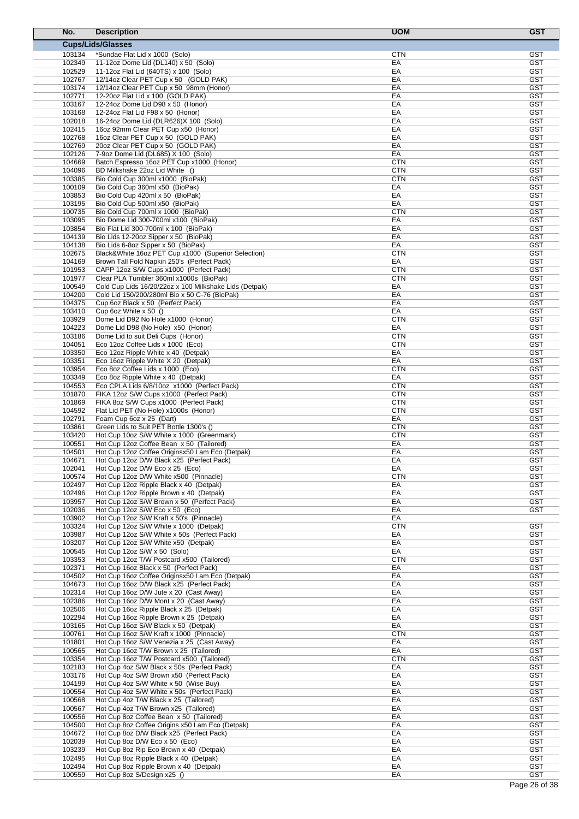| No.              | <b>Description</b>                                                                            | <b>UOM</b>               | <b>GST</b>               |
|------------------|-----------------------------------------------------------------------------------------------|--------------------------|--------------------------|
|                  | <b>Cups/Lids/Glasses</b>                                                                      |                          |                          |
| 103134           | *Sundae Flat Lid x 1000 (Solo)                                                                | <b>CTN</b>               | <b>GST</b>               |
| 102349           | 11-12oz Dome Lid (DL140) x 50 (Solo)                                                          | EA                       | <b>GST</b>               |
| 102529           | 11-12oz Flat Lid (640TS) x 100 (Solo)                                                         | EA                       | <b>GST</b>               |
| 102767           | 12/14oz Clear PET Cup x 50 (GOLD PAK)                                                         | EA                       | <b>GST</b>               |
| 103174<br>102771 | 12/14oz Clear PET Cup x 50 98mm (Honor)<br>12-20oz Flat Lid x 100 (GOLD PAK)                  | EA<br>EA                 | <b>GST</b><br><b>GST</b> |
| 103167           | 12-24oz Dome Lid D98 x 50 (Honor)                                                             | EA                       | <b>GST</b>               |
| 103168           | 12-24oz Flat Lid F98 x 50 (Honor)                                                             | EA                       | <b>GST</b>               |
| 102018           | 16-24oz Dome Lid (DLR626) X 100 (Solo)                                                        | EA                       | <b>GST</b>               |
| 102415           | 16oz 92mm Clear PET Cup x50 (Honor)                                                           | EA                       | <b>GST</b>               |
| 102768           | 16oz Clear PET Cup x 50 (GOLD PAK)                                                            | EA                       | <b>GST</b>               |
| 102769           | 20oz Clear PET Cup x 50 (GOLD PAK)                                                            | EA                       | <b>GST</b>               |
| 102126           | 7-9oz Dome Lid (DL685) X 100 (Solo)                                                           | EA                       | <b>GST</b>               |
| 104669<br>104096 | Batch Espresso 16oz PET Cup x1000 (Honor)<br>BD Milkshake 22oz Lid White ()                   | <b>CTN</b><br><b>CTN</b> | <b>GST</b><br><b>GST</b> |
| 103385           | Bio Cold Cup 300ml x1000 (BioPak)                                                             | <b>CTN</b>               | <b>GST</b>               |
| 100109           | Bio Cold Cup 360ml x50 (BioPak)                                                               | EA                       | <b>GST</b>               |
| 103853           | Bio Cold Cup 420ml x 50 (BioPak)                                                              | EA                       | <b>GST</b>               |
| 103195           | Bio Cold Cup 500ml x50 (BioPak)                                                               | EA                       | <b>GST</b>               |
| 100735           | Bio Cold Cup 700ml x 1000 (BioPak)                                                            | <b>CTN</b>               | <b>GST</b>               |
| 103095           | Bio Dome Lid 300-700ml x100 (BioPak)                                                          | EA                       | <b>GST</b>               |
| 103854           | Bio Flat Lid 300-700ml x 100 (BioPak)                                                         | EA<br>EA                 | <b>GST</b><br><b>GST</b> |
| 104139<br>104138 | Bio Lids 12-20oz Sipper x 50 (BioPak)<br>Bio Lids 6-8oz Sipper x 50 (BioPak)                  | EA                       | <b>GST</b>               |
| 102675           | Black&White 16oz PET Cup x1000 (Superior Selection)                                           | <b>CTN</b>               | <b>GST</b>               |
| 104169           | Brown Tall Fold Napkin 250's (Perfect Pack)                                                   | EA                       | <b>GST</b>               |
| 101953           | CAPP 12oz S/W Cups x1000 (Perfect Pack)                                                       | <b>CTN</b>               | <b>GST</b>               |
| 101977           | Clear PLA Tumbler 360ml x1000s (BioPak)                                                       | <b>CTN</b>               | <b>GST</b>               |
| 100549           | Cold Cup Lids 16/20/22oz x 100 Milkshake Lids (Detpak)                                        | EA                       | <b>GST</b>               |
| 104200           | Cold Lid 150/200/280ml Bio x 50 C-76 (BioPak)                                                 | EA                       | <b>GST</b>               |
| 104375           | Cup 6oz Black x 50 (Perfect Pack)                                                             | EA                       | GST                      |
| 103410<br>103929 | Cup 6oz White $x$ 50 ()<br>Dome Lid D92 No Hole x1000 (Honor)                                 | EA<br><b>CTN</b>         | <b>GST</b><br><b>GST</b> |
| 104223           | Dome Lid D98 (No Hole) x50 (Honor)                                                            | EA                       | <b>GST</b>               |
| 103186           | Dome Lid to suit Deli Cups (Honor)                                                            | <b>CTN</b>               | <b>GST</b>               |
| 104051           | Eco 12oz Coffee Lids x 1000 (Eco)                                                             | <b>CTN</b>               | <b>GST</b>               |
| 103350           | Eco 12oz Ripple White x 40 (Detpak)                                                           | EA                       | <b>GST</b>               |
| 103351           | Eco 16oz Ripple White X 20 (Detpak)                                                           | EA                       | GST                      |
| 103954           | Eco 8oz Coffee Lids x 1000 (Eco)                                                              | <b>CTN</b>               | <b>GST</b>               |
| 103349           | Eco 8oz Ripple White x 40 (Detpak)                                                            | EA                       | <b>GST</b>               |
| 104553<br>101870 | Eco CPLA Lids 6/8/10oz x1000 (Perfect Pack)<br>FIKA 12oz S/W Cups x1000 (Perfect Pack)        | <b>CTN</b><br><b>CTN</b> | <b>GST</b><br><b>GST</b> |
| 101869           | FIKA 8oz S/W Cups x1000 (Perfect Pack)                                                        | <b>CTN</b>               | GST                      |
| 104592           | Flat Lid PET (No Hole) x1000s (Honor)                                                         | <b>CTN</b>               | GST                      |
| 102791           | Foam Cup 6oz x 25 (Dart)                                                                      | EA                       | <b>GST</b>               |
| 103861           | Green Lids to Suit PET Bottle 1300's ()                                                       | <b>CTN</b>               | <b>GST</b>               |
| 103420           | Hot Cup 10oz S/W White x 1000 (Greenmark)                                                     | <b>CTN</b>               | <b>GST</b>               |
| 100551           | Hot Cup 12oz Coffee Bean x 50 (Tailored)                                                      | EA                       | <b>GST</b>               |
| 104501<br>104671 | Hot Cup 12oz Coffee Originsx50 I am Eco (Detpak)<br>Hot Cup 12oz D/W Black x25 (Perfect Pack) | EA<br>EA                 | <b>GST</b><br>GST        |
| 102041           | Hot Cup 12oz D/W Eco x 25 (Eco)                                                               | EA                       | <b>GST</b>               |
| 100574           | Hot Cup 12oz D/W White x500 (Pinnacle)                                                        | <b>CTN</b>               | <b>GST</b>               |
| 102497           | Hot Cup 12oz Ripple Black x 40 (Detpak)                                                       | EA                       | GST                      |
| 102496           | Hot Cup 12oz Ripple Brown x 40 (Detpak)                                                       | EA                       | <b>GST</b>               |
| 103957           | Hot Cup 12oz S/W Brown x 50 (Perfect Pack)                                                    | EA                       | <b>GST</b>               |
| 102036           | Hot Cup 12oz S/W Eco x 50 (Eco)                                                               | EA<br>EA                 | GST                      |
| 103902<br>103324 | Hot Cup 12oz S/W Kraft x 50's (Pinnacle)<br>Hot Cup 12oz S/W White x 1000 (Detpak)            | <b>CTN</b>               | <b>GST</b>               |
| 103987           | Hot Cup 12oz S/W White x 50s (Perfect Pack)                                                   | EA                       | <b>GST</b>               |
| 103207           | Hot Cup 12oz S/W White x50 (Detpak)                                                           | EA                       | <b>GST</b>               |
| 100545           | Hot Cup 12oz S/W x 50 (Solo)                                                                  | EA                       | <b>GST</b>               |
| 103353           | Hot Cup 12oz T/W Postcard x500 (Tailored)                                                     | <b>CTN</b>               | GST                      |
| 102371           | Hot Cup 16oz Black x 50 (Perfect Pack)                                                        | EA                       | <b>GST</b>               |
| 104502           | Hot Cup 16oz Coffee Originsx50 I am Eco (Detpak)                                              | EA                       | <b>GST</b>               |
| 104673<br>102314 | Hot Cup 16oz D/W Black x25 (Perfect Pack)<br>Hot Cup 16oz D/W Jute x 20 (Cast Away)           | EA<br>EA                 | <b>GST</b><br><b>GST</b> |
| 102386           | Hot Cup 16oz D/W Mont x 20 (Cast Away)                                                        | EA                       | <b>GST</b>               |
| 102506           | Hot Cup 16oz Ripple Black x 25 (Detpak)                                                       | EA                       | <b>GST</b>               |
| 102294           | Hot Cup 16oz Ripple Brown x 25 (Detpak)                                                       | EA                       | <b>GST</b>               |
| 103165           | Hot Cup 16oz S/W Black x 50 (Detpak)                                                          | EA                       | <b>GST</b>               |
| 100761           | Hot Cup 16oz S/W Kraft x 1000 (Pinnacle)                                                      | <b>CTN</b>               | <b>GST</b>               |
| 101801           | Hot Cup 16oz S/W Venezia x 25 (Cast Away)                                                     | EA                       | <b>GST</b>               |
| 100565           | Hot Cup 16oz T/W Brown x 25 (Tailored)                                                        | EA                       | <b>GST</b>               |
| 103354<br>102183 | Hot Cup 16oz T/W Postcard x500 (Tailored)<br>Hot Cup 4oz S/W Black x 50s (Perfect Pack)       | <b>CTN</b><br>EA         | <b>GST</b><br><b>GST</b> |
| 103176           | Hot Cup 4oz S/W Brown x50 (Perfect Pack)                                                      | EA                       | <b>GST</b>               |
| 104199           | Hot Cup 4oz S/W White x 50 (Wise Buy)                                                         | EA                       | <b>GST</b>               |
| 100554           | Hot Cup 4oz S/W White x 50s (Perfect Pack)                                                    | EA                       | <b>GST</b>               |
| 100568           | Hot Cup 4oz T/W Black x 25 (Tailored)                                                         | EA                       | <b>GST</b>               |
| 100567           | Hot Cup 4oz T/W Brown x25 (Tailored)                                                          | EA                       | <b>GST</b>               |
| 100556           | Hot Cup 8oz Coffee Bean x 50 (Tailored)                                                       | EA                       | <b>GST</b>               |
| 104500<br>104672 | Hot Cup 8oz Coffee Origins x50 I am Eco (Detpak)                                              | EA<br>EA                 | <b>GST</b><br><b>GST</b> |
| 102039           | Hot Cup 8oz D/W Black x25 (Perfect Pack)<br>Hot Cup 8oz D/W Eco x 50 (Eco)                    | EA                       | <b>GST</b>               |
| 103239           | Hot Cup 8oz Rip Eco Brown x 40 (Detpak)                                                       | EA                       | <b>GST</b>               |
| 102495           | Hot Cup 8oz Ripple Black x 40 (Detpak)                                                        | EA                       | <b>GST</b>               |
| 102494           | Hot Cup 8oz Ripple Brown x 40 (Detpak)                                                        | EA                       | <b>GST</b>               |
| 100559           | Hot Cup 8oz S/Design x25 ()                                                                   | EA                       | <b>GST</b>               |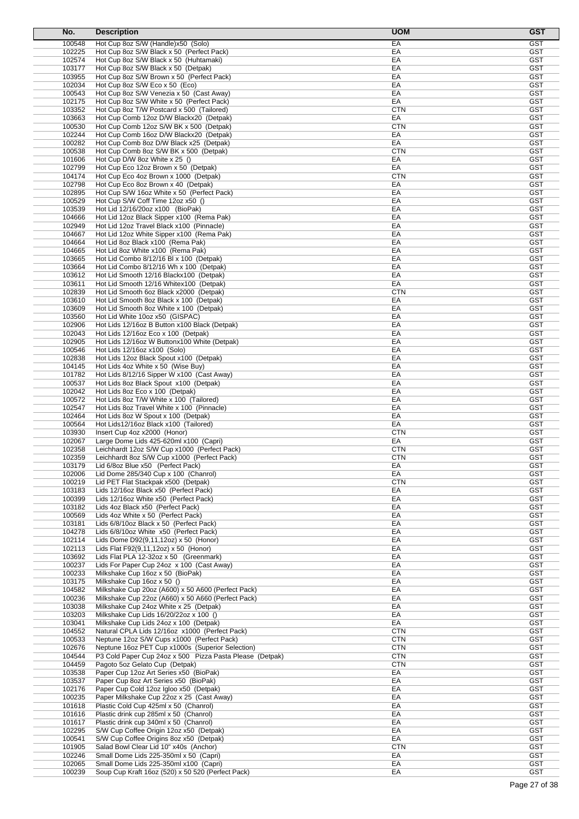| No.              | <b>Description</b>                                                                             | <b>UOM</b>               | <b>GST</b>               |
|------------------|------------------------------------------------------------------------------------------------|--------------------------|--------------------------|
| 100548           | Hot Cup 8oz S/W (Handle)x50 (Solo)                                                             | EA                       | <b>GST</b>               |
| 102225           | Hot Cup 8oz S/W Black x 50 (Perfect Pack)                                                      | EA                       | <b>GST</b>               |
| 102574           | Hot Cup 8oz S/W Black x 50 (Huhtamaki)                                                         | EA                       | <b>GST</b>               |
| 103177           | Hot Cup 8oz S/W Black x 50 (Detpak)                                                            | EA                       | GST                      |
| 103955<br>102034 | Hot Cup 8oz S/W Brown x 50 (Perfect Pack)<br>Hot Cup 8oz S/W Eco x 50 (Eco)                    | EA<br>EA                 | <b>GST</b><br><b>GST</b> |
| 100543           | Hot Cup 8oz S/W Venezia x 50 (Cast Away)                                                       | EA                       | <b>GST</b>               |
| 102175           | Hot Cup 8oz S/W White x 50 (Perfect Pack)                                                      | EA                       | <b>GST</b>               |
| 103352           | Hot Cup 8oz T/W Postcard x 500 (Tailored)                                                      | <b>CTN</b>               | <b>GST</b>               |
| 103663           | Hot Cup Comb 12oz D/W Blackx20 (Detpak)                                                        | EA                       | <b>GST</b>               |
| 100530           | Hot Cup Comb 12oz S/W BK x 500 (Detpak)                                                        | <b>CTN</b>               | <b>GST</b>               |
| 102244           | Hot Cup Comb 16oz D/W Blackx20 (Detpak)                                                        | EA                       | <b>GST</b>               |
| 100282<br>100538 | Hot Cup Comb 8oz D/W Black x25 (Detpak)<br>Hot Cup Comb 8oz S/W BK x 500 (Detpak)              | EA<br><b>CTN</b>         | <b>GST</b><br><b>GST</b> |
| 101606           | Hot Cup D/W 8oz White x 25 ()                                                                  | EA                       | <b>GST</b>               |
| 102799           | Hot Cup Eco 12oz Brown x 50 (Detpak)                                                           | EA                       | <b>GST</b>               |
| 104174           | Hot Cup Eco 4oz Brown x 1000 (Detpak)                                                          | <b>CTN</b>               | <b>GST</b>               |
| 102798           | Hot Cup Eco 8oz Brown x 40 (Detpak)                                                            | EA                       | <b>GST</b>               |
| 102895           | Hot Cup S/W 16oz White x 50 (Perfect Pack)                                                     | EA                       | <b>GST</b>               |
| 100529<br>103539 | Hot Cup S/W Coff Time 12oz x50 ()<br>Hot Lid 12/16/20oz x100 (BioPak)                          | EA<br>EA                 | <b>GST</b><br><b>GST</b> |
| 104666           | Hot Lid 12oz Black Sipper x100 (Rema Pak)                                                      | EA                       | <b>GST</b>               |
| 102949           | Hot Lid 12oz Travel Black x100 (Pinnacle)                                                      | EA                       | <b>GST</b>               |
| 104667           | Hot Lid 12oz White Sipper x100 (Rema Pak)                                                      | EA                       | <b>GST</b>               |
| 104664           | Hot Lid 8oz Black x100 (Rema Pak)                                                              | EA                       | <b>GST</b>               |
| 104665           | Hot Lid 8oz White x100 (Rema Pak)                                                              | EA                       | <b>GST</b>               |
| 103665           | Hot Lid Combo 8/12/16 Bl x 100 (Detpak)                                                        | EA                       | <b>GST</b>               |
| 103664<br>103612 | Hot Lid Combo 8/12/16 Wh x 100 (Detpak)<br>Hot Lid Smooth 12/16 Blackx100 (Detpak)             | EA<br>EA                 | <b>GST</b><br><b>GST</b> |
| 103611           | Hot Lid Smooth 12/16 Whitex100 (Detpak)                                                        | EA                       | <b>GST</b>               |
| 102839           | Hot Lid Smooth 6oz Black x2000 (Detpak)                                                        | <b>CTN</b>               | <b>GST</b>               |
| 103610           | Hot Lid Smooth 8oz Black x 100 (Detpak)                                                        | EA                       | <b>GST</b>               |
| 103609           | Hot Lid Smooth 8oz White x 100 (Detpak)                                                        | EA                       | <b>GST</b>               |
| 103560           | Hot Lid White 10oz x50 (GISPAC)                                                                | EA                       | <b>GST</b>               |
| 102906<br>102043 | Hot Lids 12/16oz B Button x100 Black (Detpak)                                                  | EA<br>EA                 | <b>GST</b><br><b>GST</b> |
| 102905           | Hot Lids 12/16oz Eco x 100 (Detpak)<br>Hot Lids 12/16oz W Buttonx100 White (Detpak)            | EA                       | <b>GST</b>               |
| 100546           | Hot Lids 12/16oz x100 (Solo)                                                                   | EA                       | <b>GST</b>               |
| 102838           | Hot Lids 12oz Black Spout x100 (Detpak)                                                        | EA                       | <b>GST</b>               |
| 104145           | Hot Lids 4oz White x 50 (Wise Buy)                                                             | EA                       | <b>GST</b>               |
| 101782           | Hot Lids 8/12/16 Sipper W x100 (Cast Away)                                                     | EA                       | <b>GST</b>               |
| 100537           | Hot Lids 8oz Black Spout x100 (Detpak)                                                         | EA                       | <b>GST</b>               |
| 102042<br>100572 | Hot Lids 8oz Eco x 100 (Detpak)<br>Hot Lids 8oz T/W White x 100 (Tailored)                     | EA<br>EA                 | <b>GST</b><br><b>GST</b> |
| 102547           | Hot Lids 8oz Travel White x 100 (Pinnacle)                                                     | EA                       | <b>GST</b>               |
| 102464           | Hot Lids 8oz W Spout x 100 (Detpak)                                                            | EA                       | <b>GST</b>               |
| 100564           | Hot Lids12/16oz Black x100 (Tailored)                                                          | EA                       | <b>GST</b>               |
| 103930           | Insert Cup 4oz x2000 (Honor)                                                                   | <b>CTN</b>               | <b>GST</b>               |
| 102067           | Large Dome Lids 425-620ml x100 (Capri)                                                         | EA                       | <b>GST</b>               |
| 102358<br>102359 | Leichhardt 12oz S/W Cup x1000 (Perfect Pack)<br>Leichhardt 8oz S/W Cup x1000 (Perfect Pack)    | <b>CTN</b>               | <b>GST</b><br><b>GST</b> |
| 103179           | Lid 6/8oz Blue x50 (Perfect Pack)                                                              | <b>CTN</b><br>EA         | GST                      |
| 102006           | Lid Dome 285/340 Cup x 100 (Chanrol)                                                           | EA                       | <b>GST</b>               |
| 100219           | Lid PET Flat Stackpak x500 (Detpak)                                                            | <b>CTN</b>               | <b>GST</b>               |
| 103183           | Lids 12/16oz Black x50 (Perfect Pack)                                                          | EA                       | <b>GST</b>               |
| 100399           | Lids 12/16oz White x50 (Perfect Pack)                                                          | EA                       | <b>GST</b>               |
| 103182           | Lids 4oz Black x50 (Perfect Pack)                                                              | EA                       | <b>GST</b>               |
| 100569<br>103181 | Lids 4oz White x 50 (Perfect Pack)<br>Lids 6/8/10oz Black x 50 (Perfect Pack)                  | EA<br>EA                 | <b>GST</b><br><b>GST</b> |
| 104278           | Lids 6/8/10oz White x50 (Perfect Pack)                                                         | EA                       | <b>GST</b>               |
| 102114           | Lids Dome D92(9,11,12oz) x 50 (Honor)                                                          | EA                       | <b>GST</b>               |
| 102113           | Lids Flat F92(9,11,12oz) x 50 (Honor)                                                          | EA                       | <b>GST</b>               |
| 103692           | Lids Flat PLA 12-32oz x 50 (Greenmark)                                                         | EA                       | <b>GST</b>               |
| 100237           | Lids For Paper Cup 24oz x 100 (Cast Away)                                                      | EA                       | <b>GST</b>               |
| 100233           | Milkshake Cup 16oz x 50 (BioPak)<br>Milkshake Cup 16oz x 50 ()                                 | EA                       | <b>GST</b><br><b>GST</b> |
| 103175<br>104582 | Milkshake Cup 20oz (A600) x 50 A600 (Perfect Pack)                                             | EA<br>EA                 | <b>GST</b>               |
| 100236           | Milkshake Cup 22oz (A660) x 50 A660 (Perfect Pack)                                             | EA                       | <b>GST</b>               |
| 103038           | Milkshake Cup 24oz White x 25 (Detpak)                                                         | EA                       | <b>GST</b>               |
| 103203           | Milkshake Cup Lids 16/20/22oz x 100 ()                                                         | EA                       | <b>GST</b>               |
| 103041           | Milkshake Cup Lids 24oz x 100 (Detpak)                                                         | EA                       | <b>GST</b>               |
| 104552           | Natural CPLA Lids 12/16oz x1000 (Perfect Pack)                                                 | <b>CTN</b>               | <b>GST</b>               |
| 100533<br>102676 | Neptune 12oz S/W Cups x1000 (Perfect Pack)<br>Neptune 16oz PET Cup x1000s (Superior Selection) | <b>CTN</b><br><b>CTN</b> | <b>GST</b><br><b>GST</b> |
| 104544           | P3 Cold Paper Cup 24oz x 500 Pizza Pasta Please (Detpak)                                       | <b>CTN</b>               | <b>GST</b>               |
| 104459           | Pagoto 5oz Gelato Cup (Detpak)                                                                 | <b>CTN</b>               | <b>GST</b>               |
| 103538           | Paper Cup 12oz Art Series x50 (BioPak)                                                         | EA                       | <b>GST</b>               |
| 103537           | Paper Cup 8oz Art Series x50 (BioPak)                                                          | EA                       | <b>GST</b>               |
| 102176           | Paper Cup Cold 12oz Igloo x50 (Detpak)                                                         | EA                       | <b>GST</b>               |
| 100235           | Paper Milkshake Cup 22oz x 25 (Cast Away)                                                      | EA                       | <b>GST</b>               |
| 101618<br>101616 | Plastic Cold Cup 425ml x 50 (Chanrol)<br>Plastic drink cup 285ml x 50 (Chanrol)                | EA<br>EA                 | <b>GST</b><br><b>GST</b> |
| 101617           | Plastic drink cup 340ml x 50 (Chanrol)                                                         | EA                       | <b>GST</b>               |
| 102295           | S/W Cup Coffee Origin 12oz x50 (Detpak)                                                        | EA                       | <b>GST</b>               |
| 100541           | S/W Cup Coffee Origins 8oz x50 (Detpak)                                                        | EA                       | <b>GST</b>               |
| 101905           | Salad Bowl Clear Lid 10" x40s (Anchor)                                                         | <b>CTN</b>               | <b>GST</b>               |
| 102246           | Small Dome Lids 225-350ml x 50 (Capri)                                                         | EA                       | <b>GST</b>               |
| 102065<br>100239 | Small Dome Lids 225-350ml x100 (Capri)<br>Soup Cup Kraft 16oz (520) x 50 520 (Perfect Pack)    | EA<br>EA                 | <b>GST</b><br><b>GST</b> |
|                  |                                                                                                |                          |                          |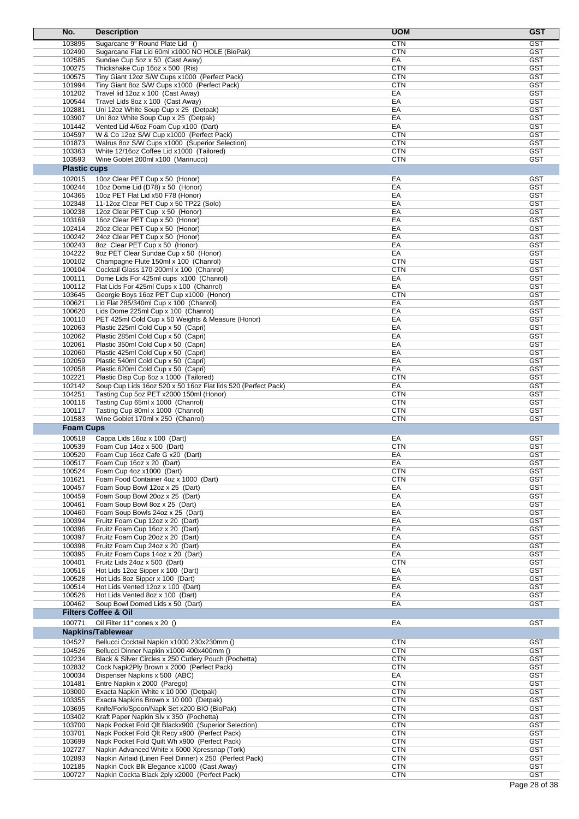| No.                 | <b>Description</b>                                                                             | <b>UOM</b>               | <b>GST</b>               |
|---------------------|------------------------------------------------------------------------------------------------|--------------------------|--------------------------|
| 103895              | Sugarcane 9" Round Plate Lid ()                                                                | <b>CTN</b>               | <b>GST</b>               |
| 102490              | Sugarcane Flat Lid 60ml x1000 NO HOLE (BioPak)                                                 | <b>CTN</b>               | <b>GST</b>               |
| 102585              | Sundae Cup 5oz x 50 (Cast Away)                                                                | EA                       | <b>GST</b>               |
| 100275              | Thickshake Cup 16oz x 500 (Ris)                                                                | <b>CTN</b>               | GST                      |
| 100575              | Tiny Giant 12oz S/W Cups x1000 (Perfect Pack)                                                  | <b>CTN</b>               | <b>GST</b>               |
| 101994              | Tiny Giant 8oz S/W Cups x1000 (Perfect Pack)                                                   | <b>CTN</b>               | <b>GST</b>               |
| 101202              | Travel lid 12oz x 100 (Cast Away)                                                              | EA                       | <b>GST</b>               |
| 100544              | Travel Lids 8oz x 100 (Cast Away)                                                              | EA<br>EA                 | <b>GST</b>               |
| 102881<br>103907    | Uni 12oz White Soup Cup x 25 (Detpak)<br>Uni 8oz White Soup Cup x 25 (Detpak)                  | EA                       | <b>GST</b><br><b>GST</b> |
| 101442              | Vented Lid 4/6oz Foam Cup x100 (Dart)                                                          | EA                       | GST                      |
| 104597              | W & Co 12oz S/W Cup x1000 (Perfect Pack)                                                       | <b>CTN</b>               | <b>GST</b>               |
| 101873              | Walrus 8oz S/W Cups x1000 (Superior Selection)                                                 | <b>CTN</b>               | <b>GST</b>               |
| 103363              | White 12/16oz Coffee Lid x1000 (Tailored)                                                      | <b>CTN</b>               | <b>GST</b>               |
| 103593              | Wine Goblet 200ml x100 (Marinucci)                                                             | <b>CTN</b>               | <b>GST</b>               |
| <b>Plastic cups</b> |                                                                                                |                          |                          |
| 102015              | 10oz Clear PET Cup x 50 (Honor)                                                                | EA                       | <b>GST</b>               |
| 100244              | 10oz Dome Lid (D78) x 50 (Honor)                                                               | EA                       | <b>GST</b>               |
| 104365              | 10oz PET Flat Lid x50 F78 (Honor)                                                              | EA                       | <b>GST</b>               |
| 102348              | 11-12oz Clear PET Cup x 50 TP22 (Solo)                                                         | EA                       | <b>GST</b>               |
| 100238              | 12oz Clear PET Cup x 50 (Honor)                                                                | EA                       | <b>GST</b>               |
| 103169              | 16oz Clear PET Cup x 50 (Honor)                                                                | EA                       | <b>GST</b>               |
| 102414              | 20oz Clear PET Cup x 50 (Honor)                                                                | EA                       | <b>GST</b>               |
| 100242              | 24oz Clear PET Cup x 50 (Honor)<br>8oz Clear PET Cup x 50 (Honor)                              | EA                       | <b>GST</b><br><b>GST</b> |
| 100243<br>104222    | 9oz PET Clear Sundae Cup x 50 (Honor)                                                          | EA<br>EA                 | <b>GST</b>               |
| 100102              | Champagne Flute 150ml x 100 (Chanrol)                                                          | <b>CTN</b>               | <b>GST</b>               |
| 100104              | Cocktail Glass 170-200ml x 100 (Chanrol)                                                       | <b>CTN</b>               | <b>GST</b>               |
| 100111              | Dome Lids For 425ml cups x100 (Chanrol)                                                        | EA                       | <b>GST</b>               |
| 100112              | Flat Lids For 425ml Cups x 100 (Chanrol)                                                       | EA                       | <b>GST</b>               |
| 103645              | Georgie Boys 16oz PET Cup x1000 (Honor)                                                        | <b>CTN</b>               | <b>GST</b>               |
| 100621              | Lid Flat 285/340ml Cup x 100 (Chanrol)                                                         | EA                       | <b>GST</b>               |
| 100620              | Lids Dome 225ml Cup x 100 (Chanrol)                                                            | EA                       | <b>GST</b>               |
| 100110              | PET 425ml Cold Cup x 50 Weights & Measure (Honor)                                              | EA                       | <b>GST</b>               |
| 102063              | Plastic 225ml Cold Cup x 50 (Capri)                                                            | EA                       | <b>GST</b>               |
| 102062              | Plastic 285ml Cold Cup x 50 (Capri)                                                            | EA                       | <b>GST</b>               |
| 102061              | Plastic 350ml Cold Cup x 50 (Capri)                                                            | EA                       | <b>GST</b>               |
| 102060              | Plastic 425ml Cold Cup x 50 (Capri)                                                            | EA                       | <b>GST</b>               |
| 102059              | Plastic 540ml Cold Cup x 50 (Capri)                                                            | EA                       | <b>GST</b>               |
| 102058<br>102221    | Plastic 620ml Cold Cup x 50 (Capri)<br>Plastic Disp Cup 6oz x 1000 (Tailored)                  | EA<br><b>CTN</b>         | <b>GST</b><br><b>GST</b> |
| 102142              | Soup Cup Lids 16oz 520 x 50 16oz Flat lids 520 (Perfect Pack)                                  | EA                       | <b>GST</b>               |
| 104251              | Tasting Cup 5oz PET x2000 150ml (Honor)                                                        | <b>CTN</b>               | <b>GST</b>               |
| 100116              | Tasting Cup 65ml x 1000 (Chanrol)                                                              | <b>CTN</b>               | <b>GST</b>               |
| 100117              | Tasting Cup 80ml x 1000 (Chanrol)                                                              | <b>CTN</b>               | <b>GST</b>               |
| 101583              | Wine Goblet 170ml x 250 (Chanrol)                                                              | <b>CTN</b>               | <b>GST</b>               |
| <b>Foam Cups</b>    |                                                                                                |                          |                          |
| 100518              | Cappa Lids 16oz x 100 (Dart)                                                                   | EA                       | <b>GST</b>               |
| 100539              | Foam Cup 14oz x 500 (Dart)                                                                     | <b>CTN</b>               | <b>GST</b>               |
| 100520              | Foam Cup 16oz Cafe G x20 (Dart)                                                                | EA                       | <b>GST</b>               |
| 100517              | Foam Cup 16oz x 20 (Dart)                                                                      | EА                       | <b>GST</b>               |
| 100524              | Foam Cup 4oz x1000 (Dart)                                                                      | <b>CTN</b>               | <b>GST</b>               |
| 101621              | Foam Food Container 4oz x 1000 (Dart)                                                          | <b>CTN</b>               | <b>GST</b>               |
| 100457              | Foam Soup Bowl 12oz x 25 (Dart)                                                                | EA                       | <b>GST</b>               |
| 100459              | Foam Soup Bowl 20oz x 25 (Dart)                                                                | EA                       | <b>GST</b>               |
| 100461              | Foam Soup Bowl 8oz x 25 (Dart)                                                                 | EA                       | <b>GST</b>               |
| 100460              | Foam Soup Bowls 24oz x 25 (Dart)                                                               | EA                       | <b>GST</b>               |
| 100394              | Fruitz Foam Cup 12oz x 20 (Dart)                                                               | EA                       | <b>GST</b><br><b>GST</b> |
| 100396<br>100397    | Fruitz Foam Cup 16oz x 20 (Dart)<br>Fruitz Foam Cup 20oz x 20 (Dart)                           | EA<br>EA                 | <b>GST</b>               |
| 100398              | Fruitz Foam Cup 24oz x 20 (Dart)                                                               | EA                       | <b>GST</b>               |
| 100395              | Fruitz Foam Cups 14oz x 20 (Dart)                                                              | EA                       | <b>GST</b>               |
| 100401              | Fruitz Lids 24oz x 500 (Dart)                                                                  | <b>CTN</b>               | <b>GST</b>               |
| 100516              | Hot Lids 12oz Sipper x 100 (Dart)                                                              | EA                       | <b>GST</b>               |
| 100528              | Hot Lids 8oz Sipper x 100 (Dart)                                                               | EA                       | <b>GST</b>               |
| 100514              | Hot Lids Vented 12oz x 100 (Dart)                                                              | EA                       | <b>GST</b>               |
| 100526              | Hot Lids Vented 8oz x 100 (Dart)                                                               | EA                       | <b>GST</b>               |
| 100462              | Soup Bowl Domed Lids x 50 (Dart)                                                               | EA                       | <b>GST</b>               |
|                     | <b>Filters Coffee &amp; Oil</b>                                                                |                          |                          |
| 100771              | Oil Filter 11" cones x 20 ()                                                                   | EA                       | <b>GST</b>               |
|                     | <b>Napkins/Tablewear</b>                                                                       |                          |                          |
| 104527              | Bellucci Cocktail Napkin x1000 230x230mm ()                                                    | <b>CTN</b>               | <b>GST</b>               |
| 104526              | Bellucci Dinner Napkin x1000 400x400mm ()                                                      | <b>CTN</b>               | <b>GST</b>               |
| 102234              | Black & Silver Circles x 250 Cutlery Pouch (Pochetta)                                          | <b>CTN</b>               | <b>GST</b>               |
| 102832              | Cock Napk2Ply Brown x 2000 (Perfect Pack)                                                      | <b>CTN</b>               | <b>GST</b>               |
| 100034              | Dispenser Napkins x 500 (ABC)                                                                  | EA                       | <b>GST</b>               |
| 101481              | Entre Napkin x 2000 (Parego)                                                                   | <b>CTN</b>               | <b>GST</b>               |
| 103000              | Exacta Napkin White x 10 000 (Detpak)                                                          | <b>CTN</b>               | <b>GST</b>               |
| 103355              | Exacta Napkins Brown x 10 000 (Detpak)                                                         | <b>CTN</b>               | <b>GST</b>               |
| 103695              | Knife/Fork/Spoon/Napk Set x200 BIO (BioPak)                                                    | <b>CTN</b>               | <b>GST</b>               |
| 103402              | Kraft Paper Napkin Slv x 350 (Pochetta)                                                        | <b>CTN</b>               | <b>GST</b>               |
| 103700              | Napk Pocket Fold Qlt Blackx900 (Superior Selection)                                            | <b>CTN</b>               | <b>GST</b>               |
| 103701<br>103699    | Napk Pocket Fold Qlt Recy x900 (Perfect Pack)<br>Napk Pocket Fold Quilt Wh x900 (Perfect Pack) | <b>CTN</b><br><b>CTN</b> | <b>GST</b><br><b>GST</b> |
| 102727              | Napkin Advanced White x 6000 Xpressnap (Tork)                                                  | <b>CTN</b>               | <b>GST</b>               |
| 102893              | Napkin Airlaid (Linen Feel Dinner) x 250 (Perfect Pack)                                        | <b>CTN</b>               | <b>GST</b>               |
| 102185              | Napkin Cock Blk Elegance x1000 (Cast Away)                                                     | <b>CTN</b>               | <b>GST</b>               |
| 100727              | Napkin Cockta Black 2ply x2000 (Perfect Pack)                                                  | CTN                      | <b>GST</b>               |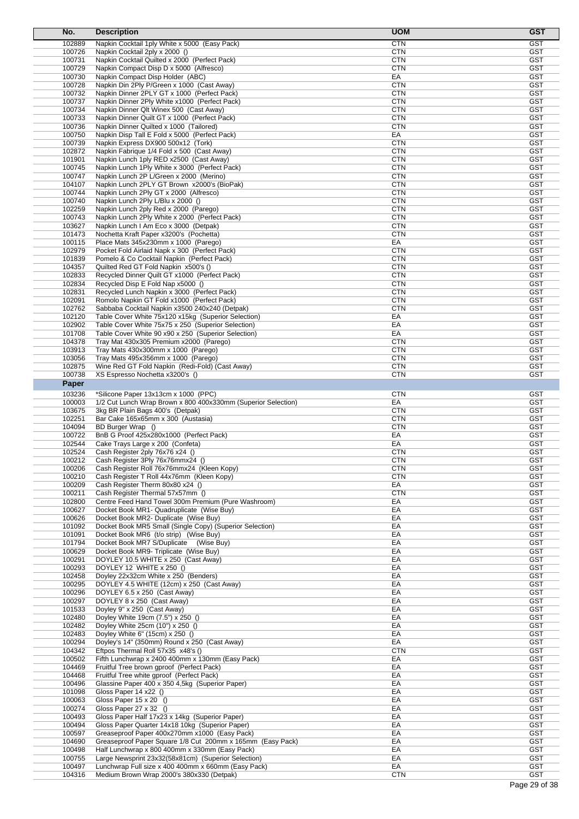| No.              | <b>Description</b>                                                                                         | <b>UOM</b>               | <b>GST</b>               |
|------------------|------------------------------------------------------------------------------------------------------------|--------------------------|--------------------------|
| 102889           | Napkin Cocktail 1ply White x 5000 (Easy Pack)                                                              | <b>CTN</b>               | <b>GST</b>               |
| 100726           | Napkin Cocktail 2ply x 2000 ()                                                                             | <b>CTN</b>               | <b>GST</b>               |
| 100731           | Napkin Cocktail Quilted x 2000 (Perfect Pack)                                                              | <b>CTN</b>               | <b>GST</b>               |
| 100729           | Napkin Compact Disp D x 5000 (Alfresco)                                                                    | <b>CTN</b>               | <b>GST</b>               |
| 100730           | Napkin Compact Disp Holder (ABC)                                                                           | EA                       | <b>GST</b>               |
| 100728           | Napkin Din 2Ply P/Green x 1000 (Cast Away)                                                                 | <b>CTN</b>               | <b>GST</b>               |
| 100732           | Napkin Dinner 2PLY GT x 1000 (Perfect Pack)                                                                | <b>CTN</b>               | <b>GST</b>               |
| 100737           | Napkin Dinner 2Ply White x1000 (Perfect Pack)                                                              | <b>CTN</b>               | <b>GST</b>               |
| 100734<br>100733 | Napkin Dinner Qlt Winex 500 (Cast Away)<br>Napkin Dinner Quilt GT x 1000 (Perfect Pack)                    | <b>CTN</b><br><b>CTN</b> | <b>GST</b><br><b>GST</b> |
| 100736           | Napkin Dinner Quilted x 1000 (Tailored)                                                                    | <b>CTN</b>               | <b>GST</b>               |
| 100750           | Napkin Disp Tall E Fold x 5000 (Perfect Pack)                                                              | EA                       | <b>GST</b>               |
| 100739           | Napkin Express DX900 500x12 (Tork)                                                                         | <b>CTN</b>               | <b>GST</b>               |
| 102872           | Napkin Fabrique 1/4 Fold x 500 (Cast Away)                                                                 | <b>CTN</b>               | <b>GST</b>               |
| 101901           | Napkin Lunch 1ply RED x2500 (Cast Away)                                                                    | <b>CTN</b>               | <b>GST</b>               |
| 100745           | Napkin Lunch 1Ply White x 3000 (Perfect Pack)                                                              | <b>CTN</b>               | <b>GST</b>               |
| 100747           | Napkin Lunch 2P L/Green x 2000 (Merino)                                                                    | <b>CTN</b>               | <b>GST</b>               |
| 104107           | Napkin Lunch 2PLY GT Brown x2000's (BioPak)                                                                | <b>CTN</b>               | <b>GST</b>               |
| 100744<br>100740 | Napkin Lunch 2Ply GT x 2000 (Alfresco)<br>Napkin Lunch 2Ply L/Blu x 2000 ()                                | <b>CTN</b><br><b>CTN</b> | <b>GST</b><br><b>GST</b> |
| 102259           | Napkin Lunch 2ply Red x 2000 (Parego)                                                                      | <b>CTN</b>               | <b>GST</b>               |
| 100743           | Napkin Lunch 2Ply White x 2000 (Perfect Pack)                                                              | <b>CTN</b>               | <b>GST</b>               |
| 103627           | Napkin Lunch I Am Eco x 3000 (Detpak)                                                                      | <b>CTN</b>               | <b>GST</b>               |
| 101473           | Nochetta Kraft Paper x3200's (Pochetta)                                                                    | <b>CTN</b>               | <b>GST</b>               |
| 100115           | Place Mats 345x230mm x 1000 (Parego)                                                                       | EA                       | <b>GST</b>               |
| 102979           | Pocket Fold Airlaid Napk x 300 (Perfect Pack)                                                              | <b>CTN</b>               | <b>GST</b>               |
| 101839           | Pomelo & Co Cocktail Napkin (Perfect Pack)                                                                 | <b>CTN</b>               | <b>GST</b>               |
| 104357           | Quilted Red GT Fold Napkin x500's ()                                                                       | <b>CTN</b>               | <b>GST</b>               |
| 102833           | Recycled Dinner Quilt GT x1000 (Perfect Pack)                                                              | <b>CTN</b>               | <b>GST</b>               |
| 102834<br>102831 | Recycled Disp E Fold Nap x5000 ()<br>Recycled Lunch Napkin x 3000 (Perfect Pack)                           | <b>CTN</b><br><b>CTN</b> | <b>GST</b><br><b>GST</b> |
| 102091           | Romolo Napkin GT Fold x1000 (Perfect Pack)                                                                 | <b>CTN</b>               | <b>GST</b>               |
| 102762           | Sabbaba Cocktail Napkin x3500 240x240 (Detpak)                                                             | <b>CTN</b>               | <b>GST</b>               |
| 102120           | Table Cover White 75x120 x15kg (Superior Selection)                                                        | EA                       | <b>GST</b>               |
| 102902           | Table Cover White 75x75 x 250 (Superior Selection)                                                         | EA                       | <b>GST</b>               |
| 101708           | Table Cover White 90 x90 x 250 (Superior Selection)                                                        | EA                       | <b>GST</b>               |
| 104378           | Tray Mat 430x305 Premium x2000 (Parego)                                                                    | <b>CTN</b>               | <b>GST</b>               |
| 103913           | Tray Mats 430x300mm x 1000 (Parego)                                                                        | <b>CTN</b>               | <b>GST</b>               |
| 103056           | Tray Mats 495x356mm x 1000 (Parego)                                                                        | <b>CTN</b>               | <b>GST</b>               |
| 102875           | Wine Red GT Fold Napkin (Redi-Fold) (Cast Away)                                                            | <b>CTN</b>               | <b>GST</b>               |
| 100738           | XS Espresso Nochetta x3200's ()                                                                            | <b>CTN</b>               | <b>GST</b>               |
| Paper            |                                                                                                            |                          |                          |
| 103236           | *Silicone Paper 13x13cm x 1000 (PPC)                                                                       | <b>CTN</b>               | <b>GST</b>               |
| 100003<br>103675 | 1/2 Cut Lunch Wrap Brown x 800 400x330mm (Superior Selection)<br>3kg BR Plain Bags 400's (Detpak)          | EA<br><b>CTN</b>         | <b>GST</b><br><b>GST</b> |
| 102251           | Bar Cake 165x65mm x 300 (Austasia)                                                                         | <b>CTN</b>               | <b>GST</b>               |
| 104094           | BD Burger Wrap ()                                                                                          | <b>CTN</b>               | <b>GST</b>               |
| 100722           | BnB G Proof 425x280x1000 (Perfect Pack)                                                                    | EA                       | <b>GST</b>               |
| 102544           | Cake Trays Large x 200 (Confeta)                                                                           | EA                       | <b>GST</b>               |
| 102524           | Cash Register 2ply 76x76 x24 ()                                                                            | <b>CTN</b>               | <b>GST</b>               |
| 100212           | Cash Register 3Ply 76x76mmx24 ()                                                                           | CTN                      | <b>GST</b>               |
| 100206           | Cash Register Roll 76x76mmx24 (Kleen Kopy)                                                                 | <b>CTN</b>               | <b>GST</b>               |
| 100210           | Cash Register T Roll 44x76mm (Kleen Kopy)                                                                  | CTN                      | <b>GST</b>               |
| 100209           | Cash Register Therm 80x80 x24 ()<br>Cash Register Thermal 57x57mm ()                                       | EA<br><b>CTN</b>         | <b>GST</b>               |
| 100211<br>102800 | Centre Feed Hand Towel 300m Premium (Pure Washroom)                                                        | EA                       | <b>GST</b><br><b>GST</b> |
| 100627           | Docket Book MR1- Quadruplicate (Wise Buy)                                                                  | EA                       | <b>GST</b>               |
| 100626           | Docket Book MR2- Duplicate (Wise Buy)                                                                      | EA                       | <b>GST</b>               |
| 101092           | Docket Book MR5 Small (Single Copy) (Superior Selection)                                                   | EA                       | <b>GST</b>               |
| 101091           | Docket Book MR6 (t/o strip) (Wise Buy)                                                                     | EA                       | <b>GST</b>               |
| 101794           | Docket Book MR7 S/Duplicate (Wise Buy)                                                                     | EA                       | <b>GST</b>               |
| 100629           | Docket Book MR9- Triplicate (Wise Buy)                                                                     | EA                       | <b>GST</b>               |
| 100291           | DOYLEY 10.5 WHITE x 250 (Cast Away)                                                                        | EA                       | <b>GST</b>               |
| 100293           | DOYLEY 12 WHITE x 250 ()                                                                                   | EA                       | <b>GST</b>               |
| 102458<br>100295 | Doyley 22x32cm White x 250 (Benders)<br>DOYLEY 4.5 WHITE (12cm) x 250 (Cast Away)                          | EA<br>EA                 | <b>GST</b><br><b>GST</b> |
| 100296           | DOYLEY 6.5 x 250 (Cast Away)                                                                               | EA                       | GST                      |
| 100297           | DOYLEY 8 x 250 (Cast Away)                                                                                 | EA                       | <b>GST</b>               |
| 101533           | Doyley 9" x 250 (Cast Away)                                                                                | EA                       | <b>GST</b>               |
| 102480           | Doyley White 19cm (7.5") x 250 ()                                                                          | EA                       | <b>GST</b>               |
| 102482           | Doyley White 25cm (10") x 250 ()                                                                           | EA                       | <b>GST</b>               |
| 102483           | Doyley White 6" (15cm) x 250 ()                                                                            | EA                       | <b>GST</b>               |
| 100294           | Doyley's 14" (350mm) Round x 250 (Cast Away)                                                               | EA                       | <b>GST</b>               |
| 104342           | Eftpos Thermal Roll 57x35 x48's ()                                                                         | <b>CTN</b>               | <b>GST</b>               |
| 100502           | Fifth Lunchwrap x 2400 400mm x 130mm (Easy Pack)                                                           | EA                       | <b>GST</b>               |
| 104469<br>104468 | Fruitful Tree brown gproof (Perfect Pack)<br>Fruitful Tree white gproof (Perfect Pack)                     | EA<br>EA                 | <b>GST</b><br><b>GST</b> |
| 100496           | Glassine Paper 400 x 350 4,5kg (Superior Paper)                                                            | EA                       | <b>GST</b>               |
| 101098           | Gloss Paper 14 x22 ()                                                                                      | EA                       | GST                      |
| 100063           | Gloss Paper $15 \times 20$ ()                                                                              | EA                       | <b>GST</b>               |
| 100274           | Gloss Paper 27 x 32 ()                                                                                     | EA                       | <b>GST</b>               |
| 100493           | Gloss Paper Half 17x23 x 14kg (Superior Paper)                                                             | EA                       | <b>GST</b>               |
| 100494           | Gloss Paper Quarter 14x18 10kg (Superior Paper)                                                            | EA                       | <b>GST</b>               |
| 100597           | Greaseproof Paper 400x270mm x1000 (Easy Pack)                                                              | EA                       | <b>GST</b>               |
| 104690           | Greaseproof Paper Square 1/8 Cut 200mm x 165mm (Easy Pack)                                                 | EA                       | <b>GST</b>               |
| 100498           | Half Lunchwrap x 800 400mm x 330mm (Easy Pack)                                                             | EA                       | <b>GST</b>               |
| 100755<br>100497 | Large Newsprint 23x32(58x81cm) (Superior Selection)<br>Lunchwrap Full size x 400 400mm x 660mm (Easy Pack) | EA<br>EA                 | <b>GST</b><br><b>GST</b> |
| 104316           | Medium Brown Wrap 2000's 380x330 (Detpak)                                                                  | <b>CTN</b>               | <b>GST</b>               |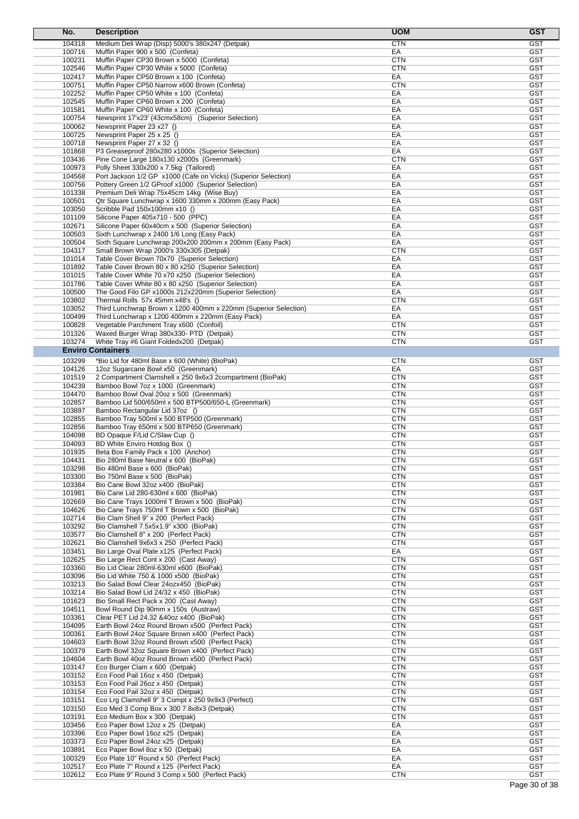| No.              | <b>Description</b>                                                                                  | <b>UOM</b>               | <b>GST</b>               |
|------------------|-----------------------------------------------------------------------------------------------------|--------------------------|--------------------------|
| 104318           | Medium Deli Wrap (Disp) 5000's 380x247 (Detpak)                                                     | <b>CTN</b>               | <b>GST</b>               |
| 100716           | Muffin Paper 900 x 500 (Confeta)                                                                    | EA                       | <b>GST</b>               |
| 100231           | Muffin Paper CP30 Brown x 5000 (Confeta)                                                            | <b>CTN</b>               | <b>GST</b>               |
| 102546           | Muffin Paper CP30 White x 5000 (Confeta)                                                            | <b>CTN</b>               | GST                      |
| 102417           | Muffin Paper CP50 Brown x 100 (Confeta)                                                             | EA                       | <b>GST</b>               |
| 100751           | Muffin Paper CP50 Narrow x600 Brown (Confeta)                                                       | <b>CTN</b>               | <b>GST</b>               |
| 102252           | Muffin Paper CP50 White x 100 (Confeta)                                                             | EA                       | <b>GST</b>               |
| 102545           | Muffin Paper CP60 Brown x 200 (Confeta)                                                             | EA                       | <b>GST</b>               |
| 101581           | Muffin Paper CP60 White x 100 (Confeta)                                                             | EA                       | <b>GST</b><br><b>GST</b> |
| 100754<br>100062 | Newsprint 17'x23' (43cmx58cm) (Superior Selection)<br>Newsprint Paper 23 x27 ()                     | EA<br>EA                 | <b>GST</b>               |
| 100725           | Newsprint Paper 25 x 25 ()                                                                          | EA                       | <b>GST</b>               |
| 100718           | Newsprint Paper 27 x 32 ()                                                                          | EA                       | <b>GST</b>               |
| 101868           | P3 Greaseproof 280x280 x1000s (Superior Selection)                                                  | EA                       | <b>GST</b>               |
| 103436           | Pine Cone Large 180x130 x2000s (Greenmark)                                                          | <b>CTN</b>               | <b>GST</b>               |
| 100973           | Polly Sheet 330x200 x 7.5kg (Tailored)                                                              | EA                       | <b>GST</b>               |
| 104568           | Port Jackson 1/2 GP x1000 (Cafe on Vicks) (Superior Selection)                                      | EA                       | <b>GST</b>               |
| 100756           | Pottery Green 1/2 GProof x1000 (Superior Selection)                                                 | EA                       | <b>GST</b>               |
| 101338           | Premium Deli Wrap 75x45cm 14kg (Wise Buy)                                                           | EA                       | <b>GST</b>               |
| 100501           | Qtr Square Lunchwrap x 1600 330mm x 200mm (Easy Pack)                                               | EA                       | <b>GST</b>               |
| 103050           | Scribble Pad 150x100mm x10 ()                                                                       | EA                       | <b>GST</b>               |
| 101109<br>102671 | Silicone Paper 405x710 - 500 (PPC)<br>Silicone Paper 60x40cm x 500 (Superior Selection)             | EA<br>EA                 | <b>GST</b><br><b>GST</b> |
| 100503           | Sixth Lunchwrap x 2400 1/6 Long (Easy Pack)                                                         | EA                       | <b>GST</b>               |
| 100504           | Sixth Square Lunchwrap 200x200 200mm x 200mm (Easy Pack)                                            | EA                       | <b>GST</b>               |
| 104317           | Small Brown Wrap 2000's 330x305 (Detpak)                                                            | <b>CTN</b>               | <b>GST</b>               |
| 101014           | Table Cover Brown 70x70 (Superior Selection)                                                        | EA                       | <b>GST</b>               |
| 101892           | Table Cover Brown 80 x 80 x250 (Superior Selection)                                                 | EA                       | <b>GST</b>               |
| 101015           | Table Cover White 70 x70 x250 (Superior Selection)                                                  | EA                       | <b>GST</b>               |
| 101786           | Table Cover White 80 x 80 x250 (Superior Selection)                                                 | EA                       | <b>GST</b>               |
| 100500           | The Good Filo GP x1000s 212x220mm (Superior Selection)                                              | EA                       | <b>GST</b>               |
| 103802           | Thermal Rolls 57x 45mm x48's ()                                                                     | <b>CTN</b>               | <b>GST</b>               |
| 103052           | Third Lunchwrap Brown x 1200 400mm x 220mm (Superior Selection)                                     | EA                       | <b>GST</b>               |
| 100499           | Third Lunchwrap x 1200 400mm x 220mm (Easy Pack)                                                    | EA                       | <b>GST</b>               |
| 100828           | Vegetable Parchment Tray x600 (Confoil)                                                             | <b>CTN</b>               | <b>GST</b>               |
| 101326           | Waxed Burger Wrap 380x330- PTD (Detpak)                                                             | <b>CTN</b>               | <b>GST</b>               |
| 103274           | White Tray #6 Giant Foldedx200 (Detpak)                                                             | <b>CTN</b>               | <b>GST</b>               |
|                  | <b>Enviro Containers</b>                                                                            |                          |                          |
| 103299           | *Bio Lid for 480ml Base x 600 (White) (BioPak)                                                      | <b>CTN</b>               | <b>GST</b>               |
| 104126           | 12oz Sugarcane Bowl x50 (Greenmark)                                                                 | EA                       | <b>GST</b>               |
| 101519           | 2 Compartment Clamshell x 250 9x6x3 2compartment (BioPak)                                           | <b>CTN</b>               | <b>GST</b>               |
| 104239           | Bamboo Bowl 7oz x 1000 (Greenmark)                                                                  | <b>CTN</b><br><b>CTN</b> | <b>GST</b><br><b>GST</b> |
| 104470<br>102857 | Bamboo Bowl Oval 20oz x 500 (Greenmark)<br>Bamboo Lid 500/650ml x 500 BTP500/650-L (Greenmark)      | <b>CTN</b>               | <b>GST</b>               |
| 103897           | Bamboo Rectangular Lid 37oz ()                                                                      | <b>CTN</b>               | <b>GST</b>               |
| 102855           | Bamboo Tray 500ml x 500 BTP500 (Greenmark)                                                          | <b>CTN</b>               | <b>GST</b>               |
| 102856           | Bamboo Tray 650ml x 500 BTP650 (Greenmark)                                                          | <b>CTN</b>               | <b>GST</b>               |
| 104098           | BD Opaque F/Lid C/Slaw Cup ()                                                                       | <b>CTN</b>               | <b>GST</b>               |
| 104093           | BD White Enviro Hotdog Box ()                                                                       | <b>CTN</b>               | <b>GST</b>               |
| 101935           | Beta Box Family Pack x 100 (Anchor)                                                                 | <b>CTN</b>               | <b>GST</b>               |
| 104431           | Bio 280ml Base Neutral x 600 (BioPak)                                                               | CTN                      | <b>GST</b>               |
| 103298           | Bio 480ml Base x 600 (BioPak)                                                                       | <b>CTN</b>               | <b>GST</b>               |
| 103300           | Bio 750ml Base x 500 (BioPak)                                                                       | <b>CTN</b>               | <b>GST</b>               |
| 103384           | Bio Cane Bowl 32oz x400 (BioPak)                                                                    | <b>CTN</b>               | <b>GST</b>               |
| 101981           | Bio Cane Lid 280-630ml x 600 (BioPak)                                                               | <b>CTN</b>               | <b>GST</b>               |
| 102669           | Bio Cane Trays 1000ml T Brown x 500 (BioPak)                                                        | <b>CTN</b>               | <b>GST</b>               |
| 104626           | Bio Cane Trays 750ml T Brown x 500 (BioPak)                                                         | <b>CTN</b>               | <b>GST</b>               |
| 102714<br>103292 | Bio Clam Shell 9" x 200 (Perfect Pack)<br>Bio Clamshell 7.5x5x1.9" x300 (BioPak)                    | <b>CTN</b><br><b>CTN</b> | <b>GST</b><br><b>GST</b> |
| 103577           | Bio Clamshell 8" x 200 (Perfect Pack)                                                               | <b>CTN</b>               | <b>GST</b>               |
| 102621           | Bio Clamshell 9x6x3 x 250 (Perfect Pack)                                                            | <b>CTN</b>               | <b>GST</b>               |
| 103451           | Bio Large Oval Plate x125 (Perfect Pack)                                                            | EA                       | <b>GST</b>               |
| 102625           | Bio Large Rect Cont x 200 (Cast Away)                                                               | <b>CTN</b>               | <b>GST</b>               |
| 103360           | Bio Lid Clear 280ml-630ml x600 (BioPak)                                                             | <b>CTN</b>               | <b>GST</b>               |
| 103096           | Bio Lid White 750 & 1000 x500 (BioPak)                                                              | <b>CTN</b>               | <b>GST</b>               |
| 103213           | Bio Salad Bowl Clear 24ozx450 (BioPak)                                                              | <b>CTN</b>               | <b>GST</b>               |
| 103214           | Bio Salad Bowl Lid 24/32 x 450 (BioPak)                                                             | <b>CTN</b>               | <b>GST</b>               |
| 101623           | Bio Small Rect Pack x 200 (Cast Away)                                                               | <b>CTN</b>               | <b>GST</b>               |
| 104511           | Bowl Round Dip 90mm x 150s (Austraw)                                                                | <b>CTN</b>               | <b>GST</b>               |
| 103361           | Clear PET Lid 24,32 & 400 x 400 (BioPak)                                                            | <b>CTN</b>               | <b>GST</b>               |
| 104095           | Earth Bowl 24oz Round Brown x500 (Perfect Pack)                                                     | <b>CTN</b>               | <b>GST</b>               |
| 100361<br>104603 | Earth Bowl 24oz Square Brown x400 (Perfect Pack)<br>Earth Bowl 32oz Round Brown x500 (Perfect Pack) | <b>CTN</b><br><b>CTN</b> | <b>GST</b><br><b>GST</b> |
| 100379           | Earth Bowl 32oz Square Brown x400 (Perfect Pack)                                                    | <b>CTN</b>               | <b>GST</b>               |
| 104604           | Earth Bowl 40oz Round Brown x500 (Perfect Pack)                                                     | <b>CTN</b>               | <b>GST</b>               |
| 103147           | Eco Burger Clam x 600 (Detpak)                                                                      | <b>CTN</b>               | <b>GST</b>               |
| 103152           | Eco Food Pail 16oz x 450 (Detpak)                                                                   | <b>CTN</b>               | <b>GST</b>               |
| 103153           | Eco Food Pail 26oz x 450 (Detpak)                                                                   | <b>CTN</b>               | <b>GST</b>               |
| 103154           | Eco Food Pail 32oz x 450 (Detpak)                                                                   | <b>CTN</b>               | <b>GST</b>               |
| 103151           | Eco Lrg Clamshell 9" 3 Compt x 250 9x9x3 (Perfect)                                                  | <b>CTN</b>               | <b>GST</b>               |
| 103150           | Eco Med 3 Comp Box x 300 7.8x8x3 (Detpak)                                                           | <b>CTN</b>               | <b>GST</b>               |
| 103191           | Eco Medium Box x 300 (Detpak)                                                                       | <b>CTN</b>               | <b>GST</b>               |
| 103456           | Eco Paper Bowl 12oz x 25 (Detpak)                                                                   | EA                       | <b>GST</b>               |
| 103396           | Eco Paper Bowl 16oz x25 (Detpak)                                                                    | EA                       | <b>GST</b>               |
| 103373           | Eco Paper Bowl 24oz x25 (Detpak)                                                                    | EA                       | <b>GST</b>               |
| 103891           | Eco Paper Bowl 8oz x 50 (Detpak)                                                                    | EA                       | <b>GST</b>               |
| 100329           | Eco Plate 10" Round x 50 (Perfect Pack)                                                             | EA                       | <b>GST</b>               |
| 102517<br>102612 | Eco Plate 7" Round x 125 (Perfect Pack)<br>Eco Plate 9" Round 3 Comp x 500 (Perfect Pack)           | EA<br><b>CTN</b>         | <b>GST</b><br><b>GST</b> |
|                  |                                                                                                     |                          |                          |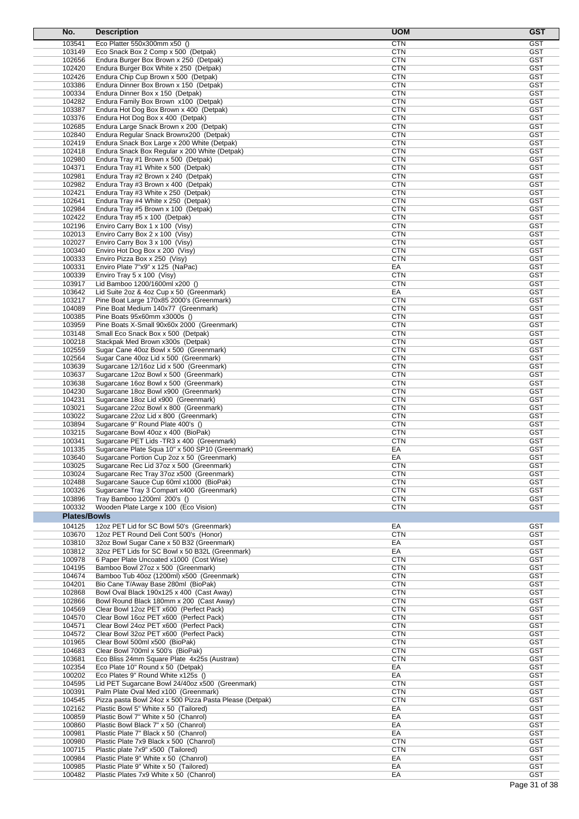| No.                 | <b>Description</b>                                                                     | <b>UOM</b>               | <b>GST</b>               |
|---------------------|----------------------------------------------------------------------------------------|--------------------------|--------------------------|
| 103541              | Eco Platter 550x300mm x50 ()                                                           | CTN                      | <b>GST</b>               |
| 103149              | Eco Snack Box 2 Comp x 500 (Detpak)                                                    | CTN                      | <b>GST</b>               |
| 102656              | Endura Burger Box Brown x 250 (Detpak)                                                 | <b>CTN</b>               | <b>GST</b>               |
| 102420              | Endura Burger Box White x 250 (Detpak)                                                 | CTN                      | GST                      |
| 102426              | Endura Chip Cup Brown x 500 (Detpak)                                                   | CTN                      | <b>GST</b>               |
| 103386              | Endura Dinner Box Brown x 150 (Detpak)                                                 | <b>CTN</b>               | <b>GST</b>               |
| 100334              | Endura Dinner Box x 150 (Detpak)                                                       | <b>CTN</b>               | <b>GST</b>               |
| 104282<br>103387    | Endura Family Box Brown x100 (Detpak)                                                  | <b>CTN</b><br><b>CTN</b> | <b>GST</b><br><b>GST</b> |
| 103376              | Endura Hot Dog Box Brown x 400 (Detpak)<br>Endura Hot Dog Box x 400 (Detpak)           | <b>CTN</b>               | <b>GST</b>               |
| 102685              | Endura Large Snack Brown x 200 (Detpak)                                                | CTN                      | <b>GST</b>               |
| 102840              | Endura Regular Snack Brownx200 (Detpak)                                                | <b>CTN</b>               | <b>GST</b>               |
| 102419              | Endura Snack Box Large x 200 White (Detpak)                                            | <b>CTN</b>               | <b>GST</b>               |
| 102418              | Endura Snack Box Regular x 200 White (Detpak)                                          | <b>CTN</b>               | <b>GST</b>               |
| 102980              | Endura Tray #1 Brown x 500 (Detpak)                                                    | <b>CTN</b>               | <b>GST</b>               |
| 104371              | Endura Tray #1 White x 500 (Detpak)                                                    | CTN                      | <b>GST</b>               |
| 102981              | Endura Tray #2 Brown x 240 (Detpak)                                                    | <b>CTN</b>               | <b>GST</b>               |
| 102982              | Endura Tray #3 Brown x 400 (Detpak)                                                    | CTN                      | <b>GST</b>               |
| 102421              | Endura Tray #3 White x 250 (Detpak)                                                    | <b>CTN</b>               | <b>GST</b>               |
| 102641              | Endura Tray #4 White x 250 (Detpak)                                                    | <b>CTN</b>               | <b>GST</b>               |
| 102984              | Endura Tray #5 Brown x 100 (Detpak)                                                    | <b>CTN</b>               | <b>GST</b>               |
| 102422<br>102196    | Endura Tray #5 x 100 (Detpak)<br>Enviro Carry Box 1 x 100 (Visy)                       | <b>CTN</b><br>CTN        | <b>GST</b><br><b>GST</b> |
| 102013              | Enviro Carry Box 2 x 100 (Visy)                                                        | CTN                      | <b>GST</b>               |
| 102027              | Enviro Carry Box 3 x 100 (Visy)                                                        | CTN                      | <b>GST</b>               |
| 100340              | Enviro Hot Dog Box x 200 (Visy)                                                        | <b>CTN</b>               | <b>GST</b>               |
| 100333              | Enviro Pizza Box x 250 (Visy)                                                          | <b>CTN</b>               | <b>GST</b>               |
| 100331              | Enviro Plate 7"x9" x 125 (NaPac)                                                       | EA                       | <b>GST</b>               |
| 100339              | Enviro Tray 5 x 100 (Visy)                                                             | <b>CTN</b>               | <b>GST</b>               |
| 103917              | Lid Bamboo 1200/1600ml x200 ()                                                         | <b>CTN</b>               | <b>GST</b>               |
| 103642              | Lid Suite 2oz & 4oz Cup x 50 (Greenmark)                                               | EA                       | <b>GST</b>               |
| 103217              | Pine Boat Large 170x85 2000's (Greenmark)                                              | <b>CTN</b>               | <b>GST</b>               |
| 104089              | Pine Boat Medium 140x77 (Greenmark)                                                    | <b>CTN</b>               | <b>GST</b>               |
| 100385              | Pine Boats 95x60mm x3000s ()                                                           | <b>CTN</b>               | <b>GST</b>               |
| 103959              | Pine Boats X-Small 90x60x 2000 (Greenmark)                                             | CTN                      | <b>GST</b>               |
| 103148              | Small Eco Snack Box x 500 (Detpak)                                                     | CTN<br><b>CTN</b>        | <b>GST</b><br><b>GST</b> |
| 100218<br>102559    | Stackpak Med Brown x300s (Detpak)<br>Sugar Cane 40oz Bowl x 500 (Greenmark)            | <b>CTN</b>               | <b>GST</b>               |
| 102564              | Sugar Cane 40oz Lid x 500 (Greenmark)                                                  | <b>CTN</b>               | <b>GST</b>               |
| 103639              | Sugarcane 12/16oz Lid x 500 (Greenmark)                                                | CTN                      | <b>GST</b>               |
| 103637              | Sugarcane 12oz Bowl x 500 (Greenmark)                                                  | <b>CTN</b>               | GST                      |
| 103638              | Sugarcane 16oz Bowl x 500 (Greenmark)                                                  | CTN                      | <b>GST</b>               |
| 104230              | Sugarcane 18oz Bowl x900 (Greenmark)                                                   | CTN                      | <b>GST</b>               |
| 104231              | Sugarcane 18oz Lid x900 (Greenmark)                                                    | <b>CTN</b>               | <b>GST</b>               |
| 103021              | Sugarcane 22oz Bowl x 800 (Greenmark)                                                  | <b>CTN</b>               | <b>GST</b>               |
| 103022              | Sugarcane 22oz Lid x 800 (Greenmark)                                                   | <b>CTN</b>               | <b>GST</b>               |
| 103894              | Sugarcane 9" Round Plate 400's ()                                                      | <b>CTN</b>               | <b>GST</b>               |
| 103215              | Sugarcane Bowl 40oz x 400 (BioPak)                                                     | CTN                      | <b>GST</b>               |
| 100341              | Sugarcane PET Lids - TR3 x 400 (Greenmark)                                             | CTN                      | <b>GST</b>               |
| 101335              | Sugarcane Plate Squa 10" x 500 SP10 (Greenmark)                                        | EA                       | <b>GST</b>               |
| 103640<br>103025    | Sugarcane Portion Cup 2oz x 50 (Greenmark)<br>Sugarcane Rec Lid 37oz x 500 (Greenmark) | EA<br>CTN                | <b>GST</b><br>GST        |
| 103024              | Sugarcane Rec Tray 37oz x500 (Greenmark)                                               | <b>CTN</b>               | <b>GST</b>               |
| 102488              | Sugarcane Sauce Cup 60ml x1000 (BioPak)                                                | CTN                      | <b>GST</b>               |
| 100326              | Sugarcane Tray 3 Compart x400 (Greenmark)                                              | <b>CTN</b>               | <b>GST</b>               |
| 103896              | Tray Bamboo 1200ml 200's ()                                                            | <b>CTN</b>               | <b>GST</b>               |
| 100332              | Wooden Plate Large x 100 (Eco Vision)                                                  | <b>CTN</b>               | <b>GST</b>               |
| <b>Plates/Bowls</b> |                                                                                        |                          |                          |
| 104125              | 12oz PET Lid for SC Bowl 50's (Greenmark)                                              | EA                       | <b>GST</b>               |
| 103670              | 12oz PET Round Deli Cont 500's (Honor)                                                 | <b>CTN</b>               | <b>GST</b>               |
| 103810              | 32oz Bowl Sugar Cane x 50 B32 (Greenmark)                                              | EA                       | <b>GST</b>               |
| 103812              | 32oz PET Lids for SC Bowl x 50 B32L (Greenmark)                                        | EA                       | <b>GST</b>               |
| 100978              | 6 Paper Plate Uncoated x1000 (Cost Wise)                                               | <b>CTN</b>               | <b>GST</b>               |
| 104195              | Bamboo Bowl 27oz x 500 (Greenmark)                                                     | <b>CTN</b>               | <b>GST</b>               |
| 104674              | Bamboo Tub 40oz (1200ml) x500 (Greenmark)                                              | <b>CTN</b>               | <b>GST</b>               |
| 104201              | Bio Cane T/Away Base 280ml (BioPak)                                                    | <b>CTN</b>               | <b>GST</b>               |
| 102868              | Bowl Oval Black 190x125 x 400 (Cast Away)                                              | <b>CTN</b>               | <b>GST</b>               |
| 102866              | Bowl Round Black 180mm x 200 (Cast Away)                                               | <b>CTN</b>               | <b>GST</b>               |
| 104569<br>104570    | Clear Bowl 12oz PET x600 (Perfect Pack)<br>Clear Bowl 16oz PET x600 (Perfect Pack)     | <b>CTN</b><br><b>CTN</b> | <b>GST</b><br><b>GST</b> |
| 104571              | Clear Bowl 24oz PET x600 (Perfect Pack)                                                | <b>CTN</b>               | <b>GST</b>               |
| 104572              | Clear Bowl 32oz PET x600 (Perfect Pack)                                                | <b>CTN</b>               | <b>GST</b>               |
| 101965              | Clear Bowl 500ml x500 (BioPak)                                                         | <b>CTN</b>               | <b>GST</b>               |
| 104683              | Clear Bowl 700ml x 500's (BioPak)                                                      | <b>CTN</b>               | <b>GST</b>               |
| 103681              | Eco Bliss 24mm Square Plate 4x25s (Austraw)                                            | <b>CTN</b>               | <b>GST</b>               |
| 102354              | Eco Plate 10" Round x 50 (Detpak)                                                      | EA                       | <b>GST</b>               |
| 100202              | Eco Plates 9" Round White x125s ()                                                     | EA                       | <b>GST</b>               |
| 104595              | Lid PET Sugarcane Bowl 24/40oz x500 (Greenmark)                                        | <b>CTN</b>               | <b>GST</b>               |
| 100391              | Palm Plate Oval Med x100 (Greenmark)                                                   | <b>CTN</b>               | <b>GST</b>               |
| 104545              | Pizza pasta Bowl 24oz x 500 Pizza Pasta Please (Detpak)                                | <b>CTN</b>               | <b>GST</b>               |
| 102162              | Plastic Bowl 5" White x 50 (Tailored)                                                  | EA                       | <b>GST</b>               |
| 100859              | Plastic Bowl 7" White x 50 (Chanrol)                                                   | EA                       | <b>GST</b>               |
| 100860              | Plastic Bowl Black 7" x 50 (Chanrol)                                                   | EA                       | <b>GST</b><br><b>GST</b> |
| 100981<br>100980    | Plastic Plate 7" Black x 50 (Chanrol)<br>Plastic Plate 7x9 Black x 500 (Chanrol)       | EA<br><b>CTN</b>         | <b>GST</b>               |
| 100715              | Plastic plate 7x9" x500 (Tailored)                                                     | <b>CTN</b>               | <b>GST</b>               |
| 100984              | Plastic Plate 9" White x 50 (Chanrol)                                                  | EA                       | <b>GST</b>               |
| 100985              | Plastic Plate 9" White x 50 (Tailored)                                                 | EA                       | <b>GST</b>               |
| 100482              | Plastic Plates 7x9 White x 50 (Chanrol)                                                | EA                       | GST                      |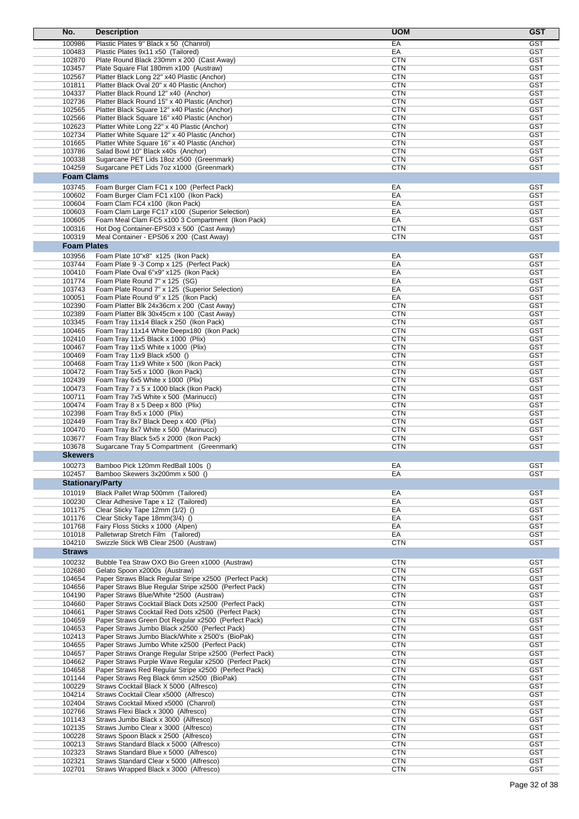| No.                     | <b>Description</b>                                                                                               | <b>UOM</b>               | <b>GST</b>               |
|-------------------------|------------------------------------------------------------------------------------------------------------------|--------------------------|--------------------------|
| 100986                  | Plastic Plates 9" Black x 50 (Chanrol)                                                                           | EA                       | <b>GST</b>               |
| 100483                  | Plastic Plates 9x11 x50 (Tailored)                                                                               | EA                       | <b>GST</b>               |
| 102870                  | Plate Round Black 230mm x 200 (Cast Away)                                                                        | <b>CTN</b>               | <b>GST</b>               |
| 103457<br>102567        | Plate Square Flat 180mm x100 (Austraw)                                                                           | <b>CTN</b><br><b>CTN</b> | <b>GST</b><br><b>GST</b> |
| 101811                  | Platter Black Long 22" x40 Plastic (Anchor)<br>Platter Black Oval 20" x 40 Plastic (Anchor)                      | <b>CTN</b>               | <b>GST</b>               |
| 104337                  | Platter Black Round 12" x40 (Anchor)                                                                             | <b>CTN</b>               | <b>GST</b>               |
| 102736                  | Platter Black Round 15" x 40 Plastic (Anchor)                                                                    | <b>CTN</b>               | <b>GST</b>               |
| 102565                  | Platter Black Square 12" x40 Plastic (Anchor)                                                                    | <b>CTN</b>               | <b>GST</b>               |
| 102566                  | Platter Black Square 16" x40 Plastic (Anchor)                                                                    | <b>CTN</b>               | <b>GST</b>               |
| 102623                  | Platter White Long 22" x 40 Plastic (Anchor)                                                                     | <b>CTN</b>               | <b>GST</b>               |
| 102734<br>101665        | Platter White Square 12" x 40 Plastic (Anchor)<br>Platter White Square 16" x 40 Plastic (Anchor)                 | <b>CTN</b><br><b>CTN</b> | <b>GST</b><br><b>GST</b> |
| 103786                  | Salad Bowl 10" Black x40s (Anchor)                                                                               | <b>CTN</b>               | <b>GST</b>               |
| 100338                  | Sugarcane PET Lids 18oz x500 (Greenmark)                                                                         | <b>CTN</b>               | <b>GST</b>               |
| 104259                  | Sugarcane PET Lids 7oz x1000 (Greenmark)                                                                         | <b>CTN</b>               | <b>GST</b>               |
| <b>Foam Clams</b>       |                                                                                                                  |                          |                          |
| 103745                  | Foam Burger Clam FC1 x 100 (Perfect Pack)                                                                        | EA                       | <b>GST</b>               |
| 100602                  | Foam Burger Clam FC1 x100 (Ikon Pack)                                                                            | EA                       | <b>GST</b>               |
| 100604                  | Foam Clam FC4 x100 (Ikon Pack)                                                                                   | EA                       | <b>GST</b>               |
| 100603                  | Foam Clam Large FC17 x100 (Superior Selection)                                                                   | EA                       | <b>GST</b>               |
| 100605                  | Foam Meal Clam FC5 x100 3 Compartment (Ikon Pack)                                                                | EA                       | <b>GST</b>               |
| 100316<br>100319        | Hot Dog Container-EPS03 x 500 (Cast Away)<br>Meal Container - EPS06 x 200 (Cast Away)                            | <b>CTN</b><br><b>CTN</b> | <b>GST</b><br><b>GST</b> |
| <b>Foam Plates</b>      |                                                                                                                  |                          |                          |
|                         |                                                                                                                  |                          |                          |
| 103956<br>103744        | Foam Plate 10"x8" x125 (Ikon Pack)<br>Foam Plate 9 -3 Comp x 125 (Perfect Pack)                                  | EA<br>EA                 | <b>GST</b><br><b>GST</b> |
| 100410                  | Foam Plate Oval 6"x9" x125 (Ikon Pack)                                                                           | EA                       | <b>GST</b>               |
| 101774                  | Foam Plate Round 7" x 125 (SG)                                                                                   | EA                       | <b>GST</b>               |
| 103743                  | Foam Plate Round 7" x 125 (Superior Selection)                                                                   | EA                       | <b>GST</b>               |
| 100051                  | Foam Plate Round 9" x 125 (Ikon Pack)                                                                            | EA                       | <b>GST</b>               |
| 102390                  | Foam Platter Blk 24x36cm x 200 (Cast Away)                                                                       | <b>CTN</b>               | <b>GST</b>               |
| 102389                  | Foam Platter Blk 30x45cm x 100 (Cast Away)                                                                       | <b>CTN</b>               | GST                      |
| 103345                  | Foam Tray 11x14 Black x 250 (Ikon Pack)                                                                          | <b>CTN</b>               | <b>GST</b>               |
| 100465                  | Foam Tray 11x14 White Deepx180 (Ikon Pack)                                                                       | <b>CTN</b>               | <b>GST</b>               |
| 102410                  | Foam Tray 11x5 Black x 1000 (Plix)                                                                               | <b>CTN</b>               | <b>GST</b>               |
| 100467                  | Foam Tray 11x5 White x 1000 (Plix)                                                                               | <b>CTN</b>               | <b>GST</b>               |
| 100469                  | Foam Tray 11x9 Black x500 ()                                                                                     | <b>CTN</b>               | <b>GST</b>               |
| 100468                  | Foam Tray 11x9 White x 500 (Ikon Pack)                                                                           | <b>CTN</b>               | <b>GST</b><br><b>GST</b> |
| 100472<br>102439        | Foam Tray 5x5 x 1000 (Ikon Pack)<br>Foam Tray 6x5 White x 1000 (Plix)                                            | <b>CTN</b><br><b>CTN</b> | <b>GST</b>               |
| 100473                  | Foam Tray 7 x 5 x 1000 black (Ikon Pack)                                                                         | <b>CTN</b>               | <b>GST</b>               |
| 100711                  | Foam Tray 7x5 White x 500 (Marinucci)                                                                            | <b>CTN</b>               | <b>GST</b>               |
| 100474                  | Foam Tray 8 x 5 Deep x 800 (Plix)                                                                                | <b>CTN</b>               | <b>GST</b>               |
| 102398                  | Foam Tray 8x5 x 1000 (Plix)                                                                                      | <b>CTN</b>               | <b>GST</b>               |
| 102449                  | Foam Tray 8x7 Black Deep x 400 (Plix)                                                                            | <b>CTN</b>               | <b>GST</b>               |
| 100470                  | Foam Tray 8x7 White x 500 (Marinucci)                                                                            | <b>CTN</b>               | <b>GST</b>               |
| 103677                  | Foam Tray Black 5x5 x 2000 (Ikon Pack)                                                                           | <b>CTN</b>               | <b>GST</b>               |
| 103678                  | Sugarcane Tray 5 Compartment (Greenmark)                                                                         | <b>CTN</b>               | <b>GST</b>               |
| <b>Skewers</b>          |                                                                                                                  |                          |                          |
| 100273                  | Bamboo Pick 120mm RedBall 100s ()                                                                                | EA                       | GST                      |
| 102457                  | Bamboo Skewers 3x200mm x 500 ()                                                                                  | EA                       | <b>GST</b>               |
| <b>Stationary/Party</b> |                                                                                                                  |                          |                          |
| 101019                  | Black Pallet Wrap 500mm (Tailored)                                                                               | EA                       | <b>GST</b>               |
| 100230                  | Clear Adhesive Tape x 12 (Tailored)                                                                              | EA                       | <b>GST</b>               |
| 101175                  | Clear Sticky Tape 12mm (1/2) ()                                                                                  | EA                       | <b>GST</b>               |
| 101176                  | Clear Sticky Tape 18mm(3/4) ()                                                                                   | EA                       | <b>GST</b>               |
| 101768<br>101018        | Fairy Floss Sticks x 1000 (Alpen)<br>Palletwrap Stretch Film (Tailored)                                          | EA<br>EA                 | <b>GST</b><br><b>GST</b> |
| 104210                  | Swizzle Stick WB Clear 2500 (Austraw)                                                                            | <b>CTN</b>               | <b>GST</b>               |
| <b>Straws</b>           |                                                                                                                  |                          |                          |
| 100232                  | Bubble Tea Straw OXO Bio Green x1000 (Austraw)                                                                   | <b>CTN</b>               | <b>GST</b>               |
| 102680                  | Gelato Spoon x2000s (Austraw)                                                                                    | <b>CTN</b>               | <b>GST</b>               |
| 104654                  | Paper Straws Black Regular Stripe x2500 (Perfect Pack)                                                           | <b>CTN</b>               | <b>GST</b>               |
| 104656                  | Paper Straws Blue Regular Stripe x2500 (Perfect Pack)                                                            | <b>CTN</b>               | <b>GST</b>               |
| 104190                  | Paper Straws Blue/White *2500 (Austraw)                                                                          | <b>CTN</b>               | <b>GST</b>               |
| 104660                  | Paper Straws Cocktail Black Dots x2500 (Perfect Pack)                                                            | <b>CTN</b>               | <b>GST</b>               |
| 104661                  | Paper Straws Cocktail Red Dots x2500 (Perfect Pack)                                                              | <b>CTN</b>               | <b>GST</b>               |
| 104659                  | Paper Straws Green Dot Regular x2500 (Perfect Pack)                                                              | <b>CTN</b>               | <b>GST</b>               |
| 104653                  | Paper Straws Jumbo Black x2500 (Perfect Pack)                                                                    | <b>CTN</b>               | <b>GST</b>               |
| 102413                  | Paper Straws Jumbo Black/White x 2500's (BioPak)                                                                 | <b>CTN</b>               | <b>GST</b>               |
| 104655                  | Paper Straws Jumbo White x2500 (Perfect Pack)                                                                    | <b>CTN</b>               | <b>GST</b>               |
| 104657<br>104662        | Paper Straws Orange Regular Stripe x2500 (Perfect Pack)<br>Paper Straws Purple Wave Regular x2500 (Perfect Pack) | <b>CTN</b><br><b>CTN</b> | <b>GST</b><br><b>GST</b> |
| 104658                  | Paper Straws Red Regular Stripe x2500 (Perfect Pack)                                                             | <b>CTN</b>               | <b>GST</b>               |
| 101144                  | Paper Straws Reg Black 6mm x2500 (BioPak)                                                                        | <b>CTN</b>               | <b>GST</b>               |
| 100229                  | Straws Cocktail Black X 5000 (Alfresco)                                                                          | <b>CTN</b>               | <b>GST</b>               |
| 104214                  | Straws Cocktail Clear x5000 (Alfresco)                                                                           | <b>CTN</b>               | <b>GST</b>               |
| 102404                  | Straws Cocktail Mixed x5000 (Chanrol)                                                                            | <b>CTN</b>               | <b>GST</b>               |
| 102766                  | Straws Flexi Black x 3000 (Alfresco)                                                                             | <b>CTN</b>               | <b>GST</b>               |
| 101143                  | Straws Jumbo Black x 3000 (Alfresco)                                                                             | <b>CTN</b>               | <b>GST</b>               |
| 102135                  | Straws Jumbo Clear x 3000 (Alfresco)                                                                             | <b>CTN</b>               | <b>GST</b>               |
| 100228                  | Straws Spoon Black x 2500 (Alfresco)                                                                             | <b>CTN</b>               | <b>GST</b>               |
| 100213                  | Straws Standard Black x 5000 (Alfresco)                                                                          | <b>CTN</b>               | <b>GST</b>               |
| 102323<br>102321        | Straws Standard Blue x 5000 (Alfresco)<br>Straws Standard Clear x 5000 (Alfresco)                                | <b>CTN</b><br><b>CTN</b> | <b>GST</b><br><b>GST</b> |
| 102701                  | Straws Wrapped Black x 3000 (Alfresco)                                                                           | <b>CTN</b>               | GST                      |
|                         |                                                                                                                  |                          |                          |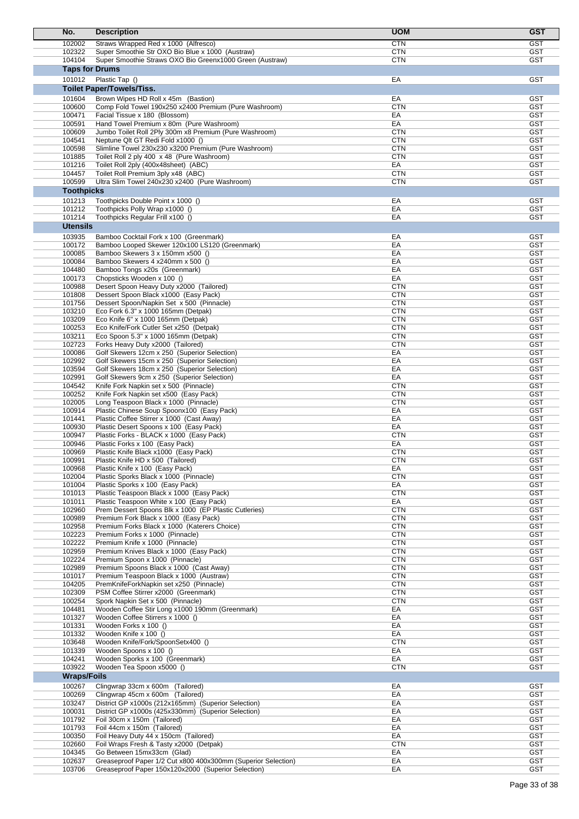| No.                   | <b>Description</b>                                                                                | <b>UOM</b>               | <b>GST</b>               |
|-----------------------|---------------------------------------------------------------------------------------------------|--------------------------|--------------------------|
| 102002                | Straws Wrapped Red x 1000 (Alfresco)                                                              | <b>CTN</b>               | <b>GST</b>               |
| 102322                | Super Smoothie Str OXO Bio Blue x 1000 (Austraw)                                                  | <b>CTN</b>               | <b>GST</b>               |
| 104104                | Super Smoothie Straws OXO Bio Greenx1000 Green (Austraw)                                          | <b>CTN</b>               | <b>GST</b>               |
| <b>Taps for Drums</b> |                                                                                                   |                          |                          |
| 101012                | Plastic Tap ()                                                                                    | EA                       | <b>GST</b>               |
|                       | <b>Toilet Paper/Towels/Tiss.</b>                                                                  |                          |                          |
| 101604                | Brown Wipes HD Roll x 45m (Bastion)                                                               | EA                       | <b>GST</b>               |
| 100600<br>100471      | Comp Fold Towel 190x250 x2400 Premium (Pure Washroom)<br>Facial Tissue x 180 (Blossom)            | <b>CTN</b><br>EA         | <b>GST</b><br><b>GST</b> |
| 100591                | Hand Towel Premium x 80m (Pure Washroom)                                                          | EA                       | <b>GST</b>               |
| 100609                | Jumbo Toilet Roll 2Ply 300m x8 Premium (Pure Washroom)                                            | <b>CTN</b>               | <b>GST</b>               |
| 104541                | Neptune QIt GT Redi Fold x1000 ()                                                                 | <b>CTN</b>               | <b>GST</b>               |
| 100598                | Slimline Towel 230x230 x3200 Premium (Pure Washroom)                                              | <b>CTN</b>               | <b>GST</b>               |
| 101885<br>101216      | Toilet Roll 2 ply 400 x 48 (Pure Washroom)<br>Toilet Roll 2ply (400x48sheet) (ABC)                | <b>CTN</b><br>EA         | <b>GST</b><br><b>GST</b> |
| 104457                | Toilet Roll Premium 3ply x48 (ABC)                                                                | <b>CTN</b>               | <b>GST</b>               |
| 100599                | Ultra Slim Towel 240x230 x2400 (Pure Washroom)                                                    | <b>CTN</b>               | GST                      |
| <b>Toothpicks</b>     |                                                                                                   |                          |                          |
| 101213                | Toothpicks Double Point x 1000 ()                                                                 | EA                       | <b>GST</b>               |
| 101212                | Toothpicks Polly Wrap x1000 ()                                                                    | EA                       | <b>GST</b>               |
| 101214                | Toothpicks Regular Frill x100 ()                                                                  | EA                       | <b>GST</b>               |
| <b>Utensils</b>       |                                                                                                   |                          |                          |
| 103935<br>100172      | Bamboo Cocktail Fork x 100 (Greenmark)<br>Bamboo Looped Skewer 120x100 LS120 (Greenmark)          | EA<br>EA                 | <b>GST</b><br><b>GST</b> |
| 100085                | Bamboo Skewers 3 x 150mm x500 ()                                                                  | EA                       | <b>GST</b>               |
| 100084                | Bamboo Skewers 4 x240mm x 500 ()                                                                  | EA                       | <b>GST</b>               |
| 104480                | Bamboo Tongs x20s (Greenmark)                                                                     | EA                       | <b>GST</b>               |
| 100173                | Chopsticks Wooden x 100 ()                                                                        | EA                       | GST                      |
| 100988                | Desert Spoon Heavy Duty x2000 (Tailored)                                                          | <b>CTN</b>               | <b>GST</b>               |
| 101808<br>101756      | Dessert Spoon Black x1000 (Easy Pack)<br>Dessert Spoon/Napkin Set x 500 (Pinnacle)                | <b>CTN</b><br><b>CTN</b> | <b>GST</b><br><b>GST</b> |
| 103210                | Eco Fork 6.3" x 1000 165mm (Detpak)                                                               | <b>CTN</b>               | <b>GST</b>               |
| 103209                | Eco Knife 6" x 1000 165mm (Detpak)                                                                | <b>CTN</b>               | <b>GST</b>               |
| 100253                | Eco Knife/Fork Cutler Set x250 (Detpak)                                                           | <b>CTN</b>               | GST                      |
| 103211                | Eco Spoon 5.3" x 1000 165mm (Detpak)                                                              | <b>CTN</b>               | <b>GST</b>               |
| 102723<br>100086      | Forks Heavy Duty x2000 (Tailored)<br>Golf Skewers 12cm x 250 (Superior Selection)                 | <b>CTN</b><br>EA         | <b>GST</b><br><b>GST</b> |
| 102992                | Golf Skewers 15cm x 250 (Superior Selection)                                                      | EA                       | <b>GST</b>               |
| 103594                | Golf Skewers 18cm x 250 (Superior Selection)                                                      | EA                       | <b>GST</b>               |
| 102991                | Golf Skewers 9cm x 250 (Superior Selection)                                                       | EA                       | GST                      |
| 104542                | Knife Fork Napkin set x 500 (Pinnacle)                                                            | <b>CTN</b>               | <b>GST</b>               |
| 100252<br>102005      | Knife Fork Napkin set x500 (Easy Pack)                                                            | <b>CTN</b><br><b>CTN</b> | <b>GST</b><br><b>GST</b> |
| 100914                | Long Teaspoon Black x 1000 (Pinnacle)<br>Plastic Chinese Soup Spoonx100 (Easy Pack)               | EA                       | <b>GST</b>               |
| 101441                | Plastic Coffee Stirrer x 1000 (Cast Away)                                                         | EA                       | <b>GST</b>               |
| 100930                | Plastic Desert Spoons x 100 (Easy Pack)                                                           | EA                       | <b>GST</b>               |
| 100947                | Plastic Forks - BLACK x 1000 (Easy Pack)                                                          | <b>CTN</b>               | <b>GST</b>               |
| 100946                | Plastic Forks x 100 (Easy Pack)                                                                   | EA                       | <b>GST</b>               |
| 100969<br>100991      | Plastic Knife Black x1000 (Easy Pack)<br>Plastic Knife HD x 500 (Tailored)                        | <b>CTN</b><br><b>CTN</b> | <b>GST</b><br>GST        |
| 100968                | Plastic Knife x 100 (Easy Pack)                                                                   | EA                       | <b>GST</b>               |
| 102004                | Plastic Sporks Black x 1000 (Pinnacle)                                                            | <b>CTN</b>               | <b>GST</b>               |
| 101004                | Plastic Sporks x 100 (Easy Pack)                                                                  | EA                       | <b>GST</b>               |
| 101013                | Plastic Teaspoon Black x 1000 (Easy Pack)                                                         | <b>CTN</b>               | <b>GST</b>               |
| 101011<br>102960      | Plastic Teaspoon White x 100 (Easy Pack)<br>Prem Dessert Spoons Blk x 1000 (EP Plastic Cutleries) | EA<br><b>CTN</b>         | <b>GST</b><br><b>GST</b> |
| 100989                | Premium Fork Black x 1000 (Easy Pack)                                                             | <b>CTN</b>               | <b>GST</b>               |
| 102958                | Premium Forks Black x 1000 (Katerers Choice)                                                      | <b>CTN</b>               | <b>GST</b>               |
| 102223                | Premium Forks x 1000 (Pinnacle)                                                                   | <b>CTN</b>               | <b>GST</b>               |
| 102222                | Premium Knife x 1000 (Pinnacle)                                                                   | <b>CTN</b>               | <b>GST</b>               |
| 102959<br>102224      | Premium Knives Black x 1000 (Easy Pack)<br>Premium Spoon x 1000 (Pinnacle)                        | <b>CTN</b><br><b>CTN</b> | <b>GST</b><br><b>GST</b> |
| 102989                | Premium Spoons Black x 1000 (Cast Away)                                                           | <b>CTN</b>               | <b>GST</b>               |
| 101017                | Premium Teaspoon Black x 1000 (Austraw)                                                           | <b>CTN</b>               | <b>GST</b>               |
| 104205                | PremKnifeForkNapkin set x250 (Pinnacle)                                                           | <b>CTN</b>               | <b>GST</b>               |
| 102309                | PSM Coffee Stirrer x2000 (Greenmark)                                                              | <b>CTN</b>               | <b>GST</b>               |
| 100254                | Spork Napkin Set x 500 (Pinnacle)                                                                 | <b>CTN</b>               | <b>GST</b><br><b>GST</b> |
| 104481<br>101327      | Wooden Coffee Stir Long x1000 190mm (Greenmark)<br>Wooden Coffee Stirrers x 1000 ()               | EA<br>EA                 | <b>GST</b>               |
| 101331                | Wooden Forks x 100 ()                                                                             | EA                       | <b>GST</b>               |
| 101332                | Wooden Knife x 100 ()                                                                             | EA                       | <b>GST</b>               |
| 103648                | Wooden Knife/Fork/SpoonSetx400 ()                                                                 | <b>CTN</b>               | <b>GST</b>               |
| 101339                | Wooden Spoons x 100 ()                                                                            | EA                       | <b>GST</b>               |
| 104241<br>103922      | Wooden Sporks x 100 (Greenmark)<br>Wooden Tea Spoon x5000 ()                                      | EA<br><b>CTN</b>         | <b>GST</b><br><b>GST</b> |
| <b>Wraps/Foils</b>    |                                                                                                   |                          |                          |
| 100267                | Clingwrap 33cm x 600m (Tailored)                                                                  | EA                       | <b>GST</b>               |
| 100269                | Clingwrap 45cm x 600m (Tailored)                                                                  | EA                       | <b>GST</b>               |
| 103247                | District GP x1000s (212x165mm) (Superior Selection)                                               | EA                       | <b>GST</b>               |
| 100031                | District GP x1000s (425x330mm) (Superior Selection)                                               | EA                       | <b>GST</b>               |
| 101792                | Foil 30cm x 150m (Tailored)                                                                       | EA                       | <b>GST</b>               |
| 101793<br>100350      | Foil 44cm x 150m (Tailored)<br>Foil Heavy Duty 44 x 150cm (Tailored)                              | EA<br>EA                 | <b>GST</b><br><b>GST</b> |
| 102660                | Foil Wraps Fresh & Tasty x2000 (Detpak)                                                           | <b>CTN</b>               | <b>GST</b>               |
| 104345                | Go Between 15mx33cm (Glad)                                                                        | EA                       | <b>GST</b>               |
| 102637                | Greaseproof Paper 1/2 Cut x800 400x300mm (Superior Selection)                                     | EA                       | <b>GST</b>               |
| 103706                | Greaseproof Paper 150x120x2000 (Superior Selection)                                               | EA                       | <b>GST</b>               |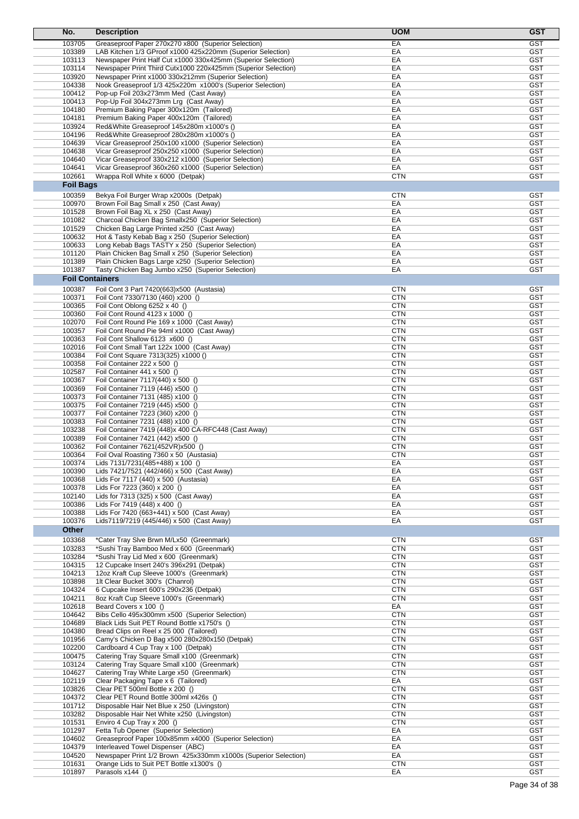| No.                    | <b>Description</b>                                                                                           | <b>UOM</b>               | <b>GST</b>               |
|------------------------|--------------------------------------------------------------------------------------------------------------|--------------------------|--------------------------|
| 103705                 | Greaseproof Paper 270x270 x800 (Superior Selection)                                                          | EA                       | <b>GST</b>               |
| 103389                 | LAB Kitchen 1/3 GProof x1000 425x220mm (Superior Selection)                                                  | EA                       | GST                      |
| 103113                 | Newspaper Print Half Cut x1000 330x425mm (Superior Selection)                                                | EA                       | <b>GST</b>               |
| 103114                 | Newspaper Print Third Cutx1000 220x425mm (Superior Selection)                                                | EA                       | <b>GST</b>               |
| 103920                 | Newspaper Print x1000 330x212mm (Superior Selection)                                                         | EA                       | <b>GST</b>               |
| 104338                 | Nook Greaseproof 1/3 425x220m x1000's (Superior Selection)                                                   | EA                       | <b>GST</b>               |
| 100412                 | Pop-up Foil 203x273mm Med (Cast Away)                                                                        | EA                       | <b>GST</b><br><b>GST</b> |
| 100413<br>104180       | Pop-Up Foil 304x273mm Lrg (Cast Away)<br>Premium Baking Paper 300x120m (Tailored)                            | EA<br>EA                 | <b>GST</b>               |
| 104181                 | Premium Baking Paper 400x120m (Tailored)                                                                     | EA                       | GST                      |
| 103924                 | Red&White Greaseproof 145x280m x1000's ()                                                                    | EA                       | <b>GST</b>               |
| 104196                 | Red&White Greaseproof 280x280m x1000's ()                                                                    | EA                       | <b>GST</b>               |
| 104639                 | Vicar Greaseproof 250x100 x1000 (Superior Selection)                                                         | EA                       | <b>GST</b>               |
| 104638                 | Vicar Greaseproof 250x250 x1000 (Superior Selection)                                                         | EA                       | <b>GST</b>               |
| 104640                 | Vicar Greaseproof 330x212 x1000 (Superior Selection)                                                         | EA                       | <b>GST</b>               |
| 104641                 | Vicar Greaseproof 360x260 x1000 (Superior Selection)                                                         | EA                       | GST                      |
| 102661                 | Wrappa Roll White x 6000 (Detpak)                                                                            | <b>CTN</b>               | <b>GST</b>               |
| <b>Foil Bags</b>       |                                                                                                              |                          |                          |
| 100359                 | Bekya Foil Burger Wrap x2000s (Detpak)                                                                       | <b>CTN</b>               | <b>GST</b>               |
| 100970                 | Brown Foil Bag Small x 250 (Cast Away)                                                                       | EA                       | <b>GST</b>               |
| 101528                 | Brown Foil Bag XL x 250 (Cast Away)                                                                          | EA                       | <b>GST</b>               |
| 101082<br>101529       | Charcoal Chicken Bag Smallx250 (Superior Selection)                                                          | EA<br>EA                 | <b>GST</b><br><b>GST</b> |
| 100632                 | Chicken Bag Large Printed x250 (Cast Away)<br>Hot & Tasty Kebab Bag x 250 (Superior Selection)               | EA                       | <b>GST</b>               |
| 100633                 | Long Kebab Bags TASTY x 250 (Superior Selection)                                                             | EA                       | <b>GST</b>               |
| 101120                 | Plain Chicken Bag Small x 250 (Superior Selection)                                                           | EA                       | <b>GST</b>               |
| 101389                 | Plain Chicken Bags Large x250 (Superior Selection)                                                           | EA                       | <b>GST</b>               |
| 101387                 | Tasty Chicken Bag Jumbo x250 (Superior Selection)                                                            | EA                       | GST                      |
| <b>Foil Containers</b> |                                                                                                              |                          |                          |
| 100387                 | Foil Cont 3 Part 7420(663)x500 (Austasia)                                                                    | <b>CTN</b>               | GST                      |
| 100371                 | Foil Cont 7330/7130 (460) x200 ()                                                                            | <b>CTN</b>               | <b>GST</b>               |
| 100365                 | Foil Cont Oblong 6252 x 40 ()                                                                                | <b>CTN</b>               | <b>GST</b>               |
| 100360                 | Foil Cont Round 4123 x 1000 ()                                                                               | <b>CTN</b>               | GST                      |
| 102070                 | Foil Cont Round Pie 169 x 1000 (Cast Away)                                                                   | <b>CTN</b>               | <b>GST</b>               |
| 100357                 | Foil Cont Round Pie 94ml x1000 (Cast Away)                                                                   | <b>CTN</b>               | <b>GST</b>               |
| 100363                 | Foil Cont Shallow 6123 x600 ()                                                                               | <b>CTN</b>               | <b>GST</b>               |
| 102016                 | Foil Cont Small Tart 122x 1000 (Cast Away)                                                                   | <b>CTN</b>               | <b>GST</b>               |
| 100384<br>100358       | Foil Cont Square 7313(325) x1000 ()<br>Foil Container 222 x 500 ()                                           | <b>CTN</b><br><b>CTN</b> | <b>GST</b><br><b>GST</b> |
| 102587                 | Foil Container 441 x 500 ()                                                                                  | CTN                      | <b>GST</b>               |
| 100367                 | Foil Container 7117(440) x 500 ()                                                                            | <b>CTN</b>               | <b>GST</b>               |
| 100369                 | Foil Container 7119 (446) x500 ()                                                                            | <b>CTN</b>               | <b>GST</b>               |
| 100373                 | Foil Container 7131 (485) x100 ()                                                                            | <b>CTN</b>               | <b>GST</b>               |
| 100375                 | Foil Container 7219 (445) x500 ()                                                                            | <b>CTN</b>               | <b>GST</b>               |
| 100377                 | Foil Container 7223 (360) x200 ()                                                                            | <b>CTN</b>               | <b>GST</b>               |
| 100383                 | Foil Container 7231 (488) x100 ()                                                                            | <b>CTN</b>               | <b>GST</b>               |
| 103238                 | Foil Container 7419 (448)x 400 CA-RFC448 (Cast Away)                                                         | <b>CTN</b>               | <b>GST</b>               |
| 100389                 | Foil Container 7421 (442) x500 ()                                                                            | <b>CTN</b><br><b>CTN</b> | <b>GST</b><br><b>GST</b> |
| 100362<br>100364       | Foil Container 7621(452VR)x500 ()<br>Foil Oval Roasting 7360 x 50 (Austasia)                                 | <b>CTN</b>               | <b>GST</b>               |
| 100374                 | Lids 7131/7231(485+488) x 100 ()                                                                             | EA                       | <b>GST</b>               |
| 100390                 | Lids 7421/7521 (442/466) x 500 (Cast Away)                                                                   | EA                       | GST                      |
| 100368                 | Lids For 7117 (440) x 500 (Austasia)                                                                         | EA                       | <b>GST</b>               |
| 100378                 | Lids For 7223 (360) x 200 ()                                                                                 | EA                       | GST                      |
| 102140                 | Lids for 7313 (325) x 500 (Cast Away)                                                                        | EA                       | <b>GST</b>               |
| 100386                 | Lids For 7419 (448) x 400 ()                                                                                 | EA                       | <b>GST</b>               |
| 100388                 | Lids For 7420 (663+441) x 500 (Cast Away)                                                                    | EA                       | <b>GST</b>               |
| 100376                 | Lids7119/7219 (445/446) x 500 (Cast Away)                                                                    | EA                       | <b>GST</b>               |
| Other                  |                                                                                                              |                          |                          |
| 103368                 | *Cater Tray Sive Brwn M/Lx50 (Greenmark)                                                                     | <b>CTN</b>               | <b>GST</b>               |
| 103283                 | *Sushi Tray Bamboo Med x 600 (Greenmark)                                                                     | <b>CTN</b>               | <b>GST</b>               |
| 103284                 | *Sushi Tray Lid Med x 600 (Greenmark)                                                                        | <b>CTN</b>               | <b>GST</b>               |
| 104315<br>104213       | 12 Cupcake Insert 240's 396x291 (Detpak)<br>12oz Kraft Cup Sleeve 1000's (Greenmark)                         | <b>CTN</b><br><b>CTN</b> | <b>GST</b><br><b>GST</b> |
| 103898                 | 1lt Clear Bucket 300's (Chanrol)                                                                             | <b>CTN</b>               | <b>GST</b>               |
| 104324                 | 6 Cupcake Insert 600's 290x236 (Detpak)                                                                      | <b>CTN</b>               | <b>GST</b>               |
| 104211                 | 8oz Kraft Cup Sleeve 1000's (Greenmark)                                                                      | <b>CTN</b>               | <b>GST</b>               |
| 102618                 | Beard Covers x 100 ()                                                                                        | EA                       | <b>GST</b>               |
| 104642                 | Bibs Cello 495x300mm x500 (Superior Selection)                                                               | <b>CTN</b>               | <b>GST</b>               |
| 104689                 | Black Lids Suit PET Round Bottle x1750's ()                                                                  | <b>CTN</b>               | <b>GST</b>               |
| 104380                 | Bread Clips on Reel x 25 000 (Tailored)                                                                      | <b>CTN</b>               | <b>GST</b>               |
| 101956                 | Camy's Chicken D Bag x500 280x280x150 (Detpak)                                                               | <b>CTN</b>               | <b>GST</b>               |
| 102200                 | Cardboard 4 Cup Tray x 100 (Detpak)                                                                          | <b>CTN</b>               | <b>GST</b>               |
| 100475<br>103124       | Catering Tray Square Small x100 (Greenmark)                                                                  | <b>CTN</b><br><b>CTN</b> | <b>GST</b><br><b>GST</b> |
| 104627                 | Catering Tray Square Small x100 (Greenmark)<br>Catering Tray White Large x50 (Greenmark)                     | <b>CTN</b>               | <b>GST</b>               |
| 102119                 | Clear Packaging Tape x 6 (Tailored)                                                                          | EA                       | <b>GST</b>               |
| 103826                 | Clear PET 500ml Bottle x 200 ()                                                                              | <b>CTN</b>               | <b>GST</b>               |
| 104372                 | Clear PET Round Bottle 300ml x426s ()                                                                        | <b>CTN</b>               | <b>GST</b>               |
| 101712                 | Disposable Hair Net Blue x 250 (Livingston)                                                                  | <b>CTN</b>               | <b>GST</b>               |
| 103282                 | Disposable Hair Net White x250 (Livingston)                                                                  | <b>CTN</b>               | <b>GST</b>               |
| 101531                 | Enviro 4 Cup Tray x 200 ()                                                                                   | <b>CTN</b>               | <b>GST</b>               |
| 101297                 | Fetta Tub Opener (Superior Selection)                                                                        | EA                       | <b>GST</b>               |
| 104602                 | Greaseproof Paper 100x85mm x4000 (Superior Selection)                                                        | EA                       | <b>GST</b>               |
| 104379                 | Interleaved Towel Dispenser (ABC)                                                                            | EA                       | <b>GST</b>               |
| 104520<br>101631       | Newspaper Print 1/2 Brown 425x330mm x1000s (Superior Selection)<br>Orange Lids to Suit PET Bottle x1300's () | EA<br><b>CTN</b>         | <b>GST</b><br><b>GST</b> |
| 101897                 | Parasols x144 ()                                                                                             | ЕA                       | <b>GST</b>               |
|                        |                                                                                                              |                          |                          |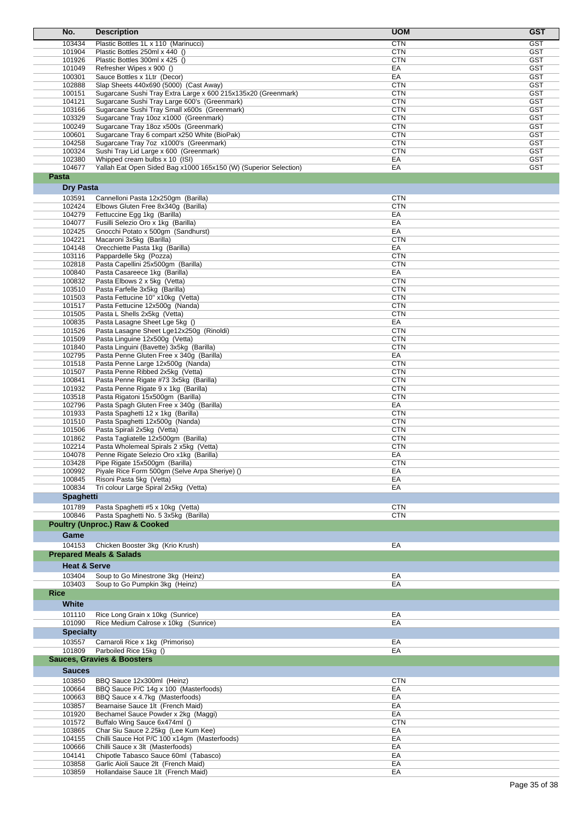| No.                     | <b>Description</b>                                                                                            | <b>UOM</b>               | <b>GST</b>               |
|-------------------------|---------------------------------------------------------------------------------------------------------------|--------------------------|--------------------------|
| 103434                  | Plastic Bottles 1L x 110 (Marinucci)                                                                          | <b>CTN</b>               | <b>GST</b>               |
| 101904                  | Plastic Bottles 250ml x 440 ()                                                                                | <b>CTN</b>               | <b>GST</b>               |
| 101926                  | Plastic Bottles 300ml x 425 ()                                                                                | <b>CTN</b>               | <b>GST</b>               |
| 101049                  | Refresher Wipes x 900 ()                                                                                      | EA                       | <b>GST</b>               |
| 100301                  | Sauce Bottles x 1Ltr (Decor)                                                                                  | EA                       | <b>GST</b>               |
| 102888                  | Slap Sheets 440x690 (5000) (Cast Away)                                                                        | <b>CTN</b>               | <b>GST</b>               |
| 100151<br>104121        | Sugarcane Sushi Tray Extra Large x 600 215x135x20 (Greenmark)<br>Sugarcane Sushi Tray Large 600's (Greenmark) | <b>CTN</b><br><b>CTN</b> | <b>GST</b><br><b>GST</b> |
| 103166                  | Sugarcane Sushi Tray Small x600s (Greenmark)                                                                  | <b>CTN</b>               | <b>GST</b>               |
| 103329                  | Sugarcane Tray 10oz x1000 (Greenmark)                                                                         | <b>CTN</b>               | <b>GST</b>               |
| 100249                  | Sugarcane Tray 18oz x500s (Greenmark)                                                                         | <b>CTN</b>               | <b>GST</b>               |
| 100601                  | Sugarcane Tray 6 compart x250 White (BioPak)                                                                  | <b>CTN</b>               | <b>GST</b>               |
| 104258                  | Sugarcane Tray 7oz x1000's (Greenmark)                                                                        | <b>CTN</b>               | <b>GST</b>               |
| 100324                  | Sushi Tray Lid Large x 600 (Greenmark)                                                                        | <b>CTN</b>               | <b>GST</b>               |
| 102380<br>104677        | Whipped cream bulbs x 10 (ISI)                                                                                | EA                       | <b>GST</b>               |
| Pasta                   | Yallah Eat Open Sided Bag x1000 165x150 (W) (Superior Selection)                                              | EA                       | <b>GST</b>               |
|                         |                                                                                                               |                          |                          |
| <b>Dry Pasta</b>        |                                                                                                               |                          |                          |
| 103591                  | Cannelloni Pasta 12x250gm (Barilla)                                                                           | <b>CTN</b>               |                          |
| 102424<br>104279        | Elbows Gluten Free 8x340g (Barilla)<br>Fettuccine Egg 1kg (Barilla)                                           | <b>CTN</b><br>EA         |                          |
| 104077                  | Fusilli Selezio Oro x 1kg (Barilla)                                                                           | EA                       |                          |
| 102425                  | Gnocchi Potato x 500gm (Sandhurst)                                                                            | EA                       |                          |
| 104221                  | Macaroni 3x5kg (Barilla)                                                                                      | <b>CTN</b>               |                          |
| 104148                  | Orecchiette Pasta 1kg (Barilla)                                                                               | EA                       |                          |
| 103116                  | Pappardelle 5kg (Pozza)                                                                                       | <b>CTN</b>               |                          |
| 102818                  | Pasta Capellini 25x500gm (Barilla)                                                                            | <b>CTN</b>               |                          |
| 100840                  | Pasta Casareece 1kg (Barilla)                                                                                 | EA                       |                          |
| 100832                  | Pasta Elbows 2 x 5kg (Vetta)                                                                                  | <b>CTN</b>               |                          |
| 103510<br>101503        | Pasta Farfelle 3x5kg (Barilla)<br>Pasta Fettucine 10" x10kg (Vetta)                                           | <b>CTN</b><br><b>CTN</b> |                          |
| 101517                  | Pasta Fettucine 12x500g (Nanda)                                                                               | <b>CTN</b>               |                          |
| 101505                  | Pasta L Shells 2x5kg (Vetta)                                                                                  | <b>CTN</b>               |                          |
| 100835                  | Pasta Lasagne Sheet Lge 5kg ()                                                                                | EA                       |                          |
| 101526                  | Pasta Lasagne Sheet Lge12x250g (Rinoldi)                                                                      | <b>CTN</b>               |                          |
| 101509                  | Pasta Linguine 12x500g (Vetta)                                                                                | <b>CTN</b>               |                          |
| 101840                  | Pasta Linguini (Bavette) 3x5kg (Barilla)                                                                      | <b>CTN</b>               |                          |
| 102795                  | Pasta Penne Gluten Free x 340g (Barilla)                                                                      | EA                       |                          |
| 101518                  | Pasta Penne Large 12x500g (Nanda)                                                                             | <b>CTN</b>               |                          |
| 101507<br>100841        | Pasta Penne Ribbed 2x5kg (Vetta)<br>Pasta Penne Rigate #73 3x5kg (Barilla)                                    | <b>CTN</b><br><b>CTN</b> |                          |
| 101932                  | Pasta Penne Rigate 9 x 1kg (Barilla)                                                                          | <b>CTN</b>               |                          |
| 103518                  | Pasta Rigatoni 15x500gm (Barilla)                                                                             | <b>CTN</b>               |                          |
| 102796                  | Pasta Spagh Gluten Free x 340g (Barilla)                                                                      | EA                       |                          |
| 101933                  | Pasta Spaghetti 12 x 1kg (Barilla)                                                                            | <b>CTN</b>               |                          |
| 101510                  | Pasta Spaghetti 12x500g (Nanda)                                                                               | <b>CTN</b>               |                          |
| 101506                  | Pasta Spirali 2x5kg (Vetta)                                                                                   | <b>CTN</b>               |                          |
| 101862                  | Pasta Tagliatelle 12x500gm (Barilla)                                                                          | <b>CTN</b>               |                          |
| 102214<br>104078        | Pasta Wholemeal Spirals 2 x5kg (Vetta)                                                                        | <b>CTN</b>               |                          |
| 103428                  | Penne Rigate Selezio Oro x1kg (Barilla)<br>Pipe Rigate 15x500gm (Barilla)                                     | EA<br><b>CTN</b>         |                          |
| 100992                  | Piyale Rice Form 500gm (Selve Arpa Sheriye) ()                                                                | EA                       |                          |
| 100845                  | Risoni Pasta 5kg (Vetta)                                                                                      | EA                       |                          |
| 100834                  | Tri colour Large Spiral 2x5kg (Vetta)                                                                         | EA                       |                          |
| <b>Spaghetti</b>        |                                                                                                               |                          |                          |
| 101789                  | Pasta Spaghetti #5 x 10kg (Vetta)                                                                             | <b>CTN</b>               |                          |
| 100846                  | Pasta Spaghetti No. 5 3x5kg (Barilla)                                                                         | <b>CTN</b>               |                          |
|                         | <b>Poultry (Unproc.) Raw &amp; Cooked</b>                                                                     |                          |                          |
| Game                    |                                                                                                               |                          |                          |
| 104153                  | Chicken Booster 3kg (Krio Krush)                                                                              | EA                       |                          |
|                         | <b>Prepared Meals &amp; Salads</b>                                                                            |                          |                          |
| <b>Heat &amp; Serve</b> |                                                                                                               |                          |                          |
| 103404                  | Soup to Go Minestrone 3kg (Heinz)                                                                             | EA                       |                          |
| 103403                  | Soup to Go Pumpkin 3kg (Heinz)                                                                                | EA                       |                          |
| <b>Rice</b>             |                                                                                                               |                          |                          |
| White                   |                                                                                                               |                          |                          |
| 101110                  | Rice Long Grain x 10kg (Sunrice)                                                                              | EA                       |                          |
| 101090                  | Rice Medium Calrose x 10kg (Sunrice)                                                                          | EA                       |                          |
| <b>Specialty</b>        |                                                                                                               |                          |                          |
| 103557                  | Carnaroli Rice x 1kg (Primoriso)                                                                              | EA                       |                          |
| 101809                  | Parboiled Rice 15kg ()                                                                                        | EA                       |                          |
|                         | <b>Sauces, Gravies &amp; Boosters</b>                                                                         |                          |                          |
| <b>Sauces</b>           |                                                                                                               |                          |                          |
| 103850                  | BBQ Sauce 12x300ml (Heinz)                                                                                    | <b>CTN</b>               |                          |
| 100664                  | BBQ Sauce P/C 14g x 100 (Masterfoods)                                                                         | EA                       |                          |
| 100663                  | BBQ Sauce x 4.7kg (Masterfoods)                                                                               | EA                       |                          |
| 103857                  | Bearnaise Sauce 1lt (French Maid)                                                                             | EA                       |                          |
| 101920                  | Bechamel Sauce Powder x 2kg (Maggi)                                                                           | EA                       |                          |
| 101572                  | Buffalo Wing Sauce 6x474ml ()                                                                                 | <b>CTN</b>               |                          |
| 103865                  | Char Siu Sauce 2.25kg (Lee Kum Kee)                                                                           | EA                       |                          |
| 104155                  | Chilli Sauce Hot P/C 100 x14gm (Masterfoods)                                                                  | EA                       |                          |
| 100666<br>104141        | Chilli Sauce x 3lt (Masterfoods)<br>Chipotle Tabasco Sauce 60ml (Tabasco)                                     | EA<br>EA                 |                          |
| 103858                  | Garlic Aioli Sauce 2lt (French Maid)                                                                          | EA                       |                          |
| 103859                  | Hollandaise Sauce 1lt (French Maid)                                                                           | EA                       |                          |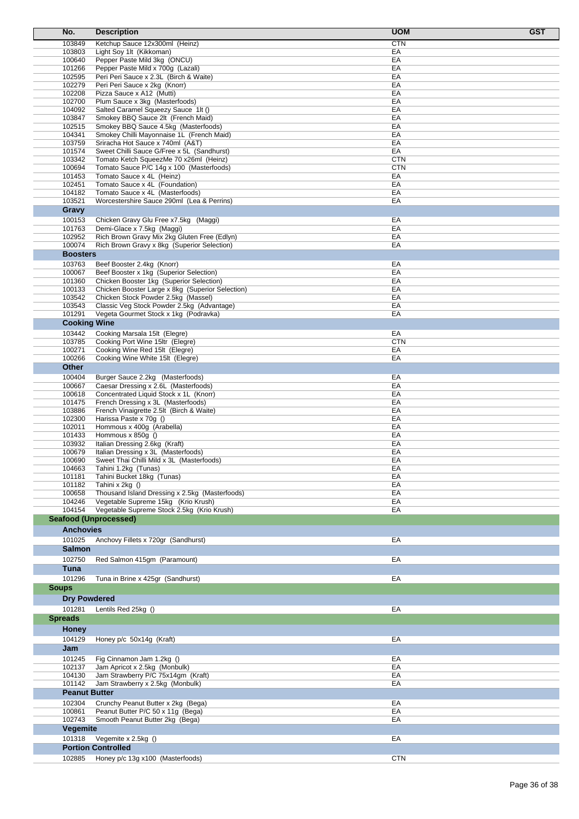| No.                   | <b>Description</b>                                                                  | <b>UOM</b><br><b>GST</b> |
|-----------------------|-------------------------------------------------------------------------------------|--------------------------|
| 103849                | Ketchup Sauce 12x300ml (Heinz)                                                      | <b>CTN</b>               |
| 103803                | Light Soy 1lt (Kikkoman)                                                            | EA                       |
| 100640                | Pepper Paste Mild 3kg (ONCU)                                                        | EA<br>EA                 |
| 101266<br>102595      | Pepper Paste Mild x 700g (Lazali)<br>Peri Peri Sauce x 2.3L (Birch & Waite)         | EA                       |
| 102279                | Peri Peri Sauce x 2kg (Knorr)                                                       | EA                       |
| 102208                | Pizza Sauce x A12 (Mutti)                                                           | EA                       |
| 102700                | Plum Sauce x 3kg (Masterfoods)                                                      | EA                       |
| 104092                | Salted Caramel Squeezy Sauce 1lt ()                                                 | EA                       |
| 103847<br>102515      | Smokey BBQ Sauce 2lt (French Maid)                                                  | EA<br>EA                 |
| 104341                | Smokey BBQ Sauce 4.5kg (Masterfoods)<br>Smokey Chilli Mayonnaise 1L (French Maid)   | EA                       |
| 103759                | Sriracha Hot Sauce x 740ml (A&T)                                                    | EA                       |
| 101574                | Sweet Chilli Sauce G/Free x 5L (Sandhurst)                                          | EA                       |
| 103342                | Tomato Ketch SqueezMe 70 x26ml (Heinz)                                              | <b>CTN</b>               |
| 100694                | Tomato Sauce P/C 14g x 100 (Masterfoods)                                            | <b>CTN</b>               |
| 101453<br>102451      | Tomato Sauce x 4L (Heinz)<br>Tomato Sauce x 4L (Foundation)                         | EA<br>EA                 |
| 104182                | Tomato Sauce x 4L (Masterfoods)                                                     | EA                       |
| 103521                | Worcestershire Sauce 290ml (Lea & Perrins)                                          | EA                       |
| Gravy                 |                                                                                     |                          |
| 100153                | Chicken Gravy Glu Free x7.5kg (Maggi)                                               | EA                       |
| 101763                | Demi-Glace x 7.5kg (Maggi)                                                          | EA                       |
| 102952                | Rich Brown Gravy Mix 2kg Gluten Free (Edlyn)                                        | EA                       |
| 100074                | Rich Brown Gravy x 8kg (Superior Selection)                                         | EA                       |
| <b>Boosters</b>       |                                                                                     |                          |
| 103763                | Beef Booster 2.4kg (Knorr)                                                          | EA                       |
| 100067<br>101360      | Beef Booster x 1kg (Superior Selection)<br>Chicken Booster 1kg (Superior Selection) | EA<br>EA                 |
| 100133                | Chicken Booster Large x 8kg (Superior Selection)                                    | EA                       |
| 103542                | Chicken Stock Powder 2.5kg (Massel)                                                 | EA                       |
| 103543                | Classic Veg Stock Powder 2.5kg (Advantage)                                          | EA                       |
| 101291                | Vegeta Gourmet Stock x 1kg (Podravka)                                               | EA                       |
| <b>Cooking Wine</b>   |                                                                                     |                          |
| 103442                | Cooking Marsala 15lt (Elegre)                                                       | EA                       |
| 103785                | Cooking Port Wine 15ltr (Elegre)                                                    | <b>CTN</b>               |
| 100271<br>100266      | Cooking Wine Red 15lt (Elegre)<br>Cooking Wine White 15lt (Elegre)                  | EA<br>EA                 |
| Other                 |                                                                                     |                          |
| 100404                | Burger Sauce 2.2kg (Masterfoods)                                                    | EA                       |
| 100667                | Caesar Dressing x 2.6L (Masterfoods)                                                | EA                       |
| 100618                | Concentrated Liquid Stock x 1L (Knorr)                                              | EA                       |
| 101475                | French Dressing x 3L (Masterfoods)                                                  | EA                       |
| 103886                | French Vinaigrette 2.5lt (Birch & Waite)                                            | EA                       |
| 102300                | Harissa Paste x 70g ()                                                              | EA                       |
| 102011<br>101433      | Hommous x 400g (Arabella)<br>Hommous x 850g ()                                      | EA<br>EA                 |
| 103932                | Italian Dressing 2.6kg (Kraft)                                                      | EA                       |
| 100679                | Italian Dressing x 3L (Masterfoods)                                                 | EA                       |
| 100690                | Sweet Thai Chilli Mild x 3L (Masterfoods)                                           | EA                       |
| 104663                | Tahini 1.2kg (Tunas)                                                                | EA                       |
| 101181<br>101182      | Tahini Bucket 18kg (Tunas)<br>Tahini x 2kg ()                                       | EA<br>EA                 |
| 100658                | Thousand Island Dressing x 2.5kg (Masterfoods)                                      | EA                       |
| 104246                | Vegetable Supreme 15kg (Krio Krush)                                                 | EA                       |
| 104154                | Vegetable Supreme Stock 2.5kg (Krio Krush)                                          | EA                       |
| Seafood (Unprocessed) |                                                                                     |                          |
| <b>Anchovies</b>      |                                                                                     |                          |
| 101025                | Anchovy Fillets x 720gr (Sandhurst)                                                 | EA                       |
| <b>Salmon</b>         |                                                                                     |                          |
| 102750                | Red Salmon 415qm (Paramount)                                                        | EA                       |
| Tuna                  |                                                                                     |                          |
| 101296                | Tuna in Brine x 425qr (Sandhurst)                                                   | EA                       |
| <b>Soups</b>          |                                                                                     |                          |
| <b>Dry Powdered</b>   |                                                                                     |                          |
| 101281                | Lentils Red 25kg ()                                                                 | EA                       |
| <b>Spreads</b>        |                                                                                     |                          |
| <b>Honey</b>          |                                                                                     |                          |
| 104129                | Honey p/c 50x14g (Kraft)                                                            | EA                       |
| Jam                   |                                                                                     |                          |
| 101245                | Fig Cinnamon Jam 1.2kg ()                                                           | EA                       |
| 102137                | Jam Apricot x 2.5kg (Monbulk)                                                       | EA                       |
| 104130                | Jam Strawberry P/C 75x14gm (Kraft)                                                  | EA                       |
| 101142                | Jam Strawberry x 2.5kg (Monbulk)                                                    | EA                       |
| <b>Peanut Butter</b>  |                                                                                     |                          |
| 102304                | Crunchy Peanut Butter x 2kg (Bega)                                                  | EA                       |
| 100861<br>102743      | Peanut Butter P/C 50 x 11g (Bega)                                                   | EA                       |
| Vegemite              | Smooth Peanut Butter 2kg (Bega)                                                     | EA                       |
| 101318                | Vegemite x 2.5kg ()                                                                 | EA                       |
|                       | <b>Portion Controlled</b>                                                           |                          |
| 102885                | Honey p/c 13g x100 (Masterfoods)                                                    | <b>CTN</b>               |
|                       |                                                                                     |                          |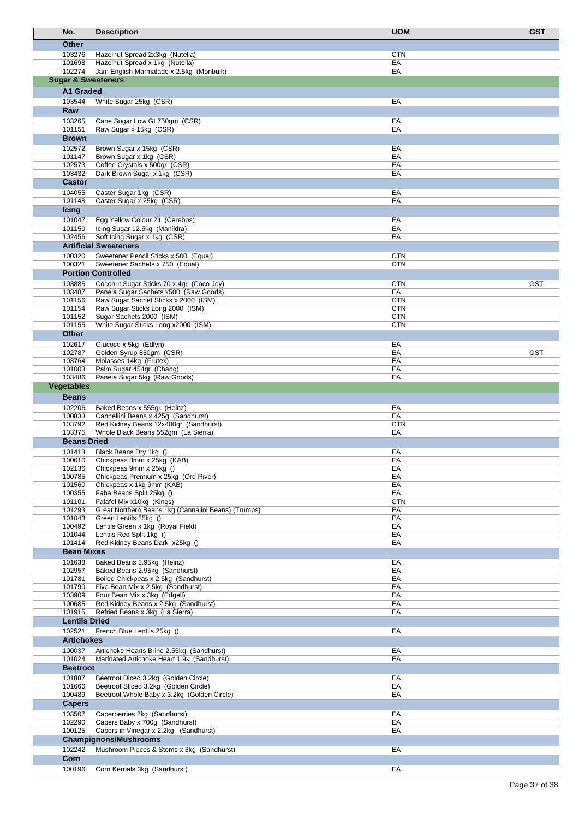| No.               | <b>Description</b>                                                            | <b>UOM</b>               | <b>GST</b> |
|-------------------|-------------------------------------------------------------------------------|--------------------------|------------|
| <b>Other</b>      |                                                                               |                          |            |
| 103276            | Hazelnut Spread 2x3kg (Nutella)                                               | <b>CTN</b>               |            |
| 101698            | Hazelnut Spread x 1kg (Nutella)                                               | EA                       |            |
| 102274            | Jam English Marmalade x 2.5kg (Monbulk)                                       | EA                       |            |
|                   | <b>Sugar &amp; Sweeteners</b>                                                 |                          |            |
|                   | A1 Graded                                                                     |                          |            |
| 103544            | White Sugar 25kg (CSR)                                                        | EA                       |            |
| Raw               |                                                                               |                          |            |
| 103265            | Cane Sugar Low GI 750gm (CSR)                                                 | EA                       |            |
| 101151            | Raw Sugar x 15kg (CSR)                                                        | EA                       |            |
| <b>Brown</b>      |                                                                               |                          |            |
| 102572<br>101147  | Brown Sugar x 15kg (CSR)<br>Brown Sugar x 1kg (CSR)                           | EA<br>EA                 |            |
| 102573            | Coffee Crystals x 500gr (CSR)                                                 | EA                       |            |
| 103432            | Dark Brown Sugar x 1kg (CSR)                                                  | EA                       |            |
| <b>Castor</b>     |                                                                               |                          |            |
| 104055            | Caster Sugar 1kg (CSR)                                                        | EA                       |            |
| 101148            | Caster Sugar x 25kg (CSR)                                                     | EA                       |            |
| <b>Icing</b>      |                                                                               |                          |            |
| 101047<br>101150  | Egg Yellow Colour 2lt (Cerebos)<br>Icing Sugar 12.5kg (Manildra)              | EA<br>EA                 |            |
| 102456            | Soft Icing Sugar x 1kg (CSR)                                                  | EA                       |            |
|                   | <b>Artificial Sweeteners</b>                                                  |                          |            |
| 100320            | Sweetener Pencil Sticks x 500 (Equal)                                         | <b>CTN</b>               |            |
| 100321            | Sweetener Sachets x 750 (Equal)                                               | <b>CTN</b>               |            |
|                   | <b>Portion Controlled</b>                                                     |                          |            |
| 103885            | Coconut Sugar Sticks 70 x 4gr (Coco Joy)                                      | <b>CTN</b>               | <b>GST</b> |
| 103487            | Panela Sugar Sachets x500 (Raw Goods)                                         | EA                       |            |
| 101156<br>101154  | Raw Sugar Sachet Sticks x 2000 (ISM)<br>Raw Sugar Sticks Long 2000 (ISM)      | <b>CTN</b><br><b>CTN</b> |            |
| 101152            | Sugar Sachets 2000 (ISM)                                                      | <b>CTN</b>               |            |
| 101155            | White Sugar Sticks Long x2000 (ISM)                                           | <b>CTN</b>               |            |
| Other             |                                                                               |                          |            |
| 102617            | Glucose x 5kg (Edlyn)                                                         | EA                       |            |
| 102787            | Golden Syrup 850gm (CSR)                                                      | EA                       | <b>GST</b> |
| 103764<br>101003  | Molasses 14kg (Frutex)<br>Palm Sugar 454gr (Chang)                            | EA<br>EA                 |            |
| 103486            | Panela Sugar 5kg (Raw Goods)                                                  | EA                       |            |
| <b>Vegetables</b> |                                                                               |                          |            |
| <b>Beans</b>      |                                                                               |                          |            |
| 102206            | Baked Beans x 555gr (Heinz)                                                   | EA                       |            |
| 100833            | Cannellini Beans x 425g (Sandhurst)                                           | EA                       |            |
| 103792            | Red Kidney Beans 12x400gr (Sandhurst)                                         | <b>CTN</b>               |            |
| 103375            | Whole Black Beans 552gm (La Sierra)<br><b>Beans Dried</b>                     | EA                       |            |
| 101413            |                                                                               | EA                       |            |
| 100610            | Black Beans Dry 1kg ()<br>Chickpeas 8mm x 25kg (KAB)                          | EА                       |            |
| 102136            | Chickpeas 9mm x 25kg ()                                                       | EA                       |            |
| 100785            | Chickpeas Premium x 25kg (Ord River)                                          | EA                       |            |
| 101560            | Chickpeas x 1kg 9mm (KAB)                                                     | EA                       |            |
| 100355<br>101101  | Faba Beans Split 25kg ()<br>Falafel Mix x10kg (Kings)                         | EA<br><b>CTN</b>         |            |
| 101293            | Great Northern Beans 1kg (Cannalini Beans) (Trumps)                           | EA                       |            |
| 101043            | Green Lentils 25kg ()                                                         | EA                       |            |
| 100492            | Lentils Green x 1kg (Royal Field)                                             | EA                       |            |
| 101044<br>101414  | Lentils Red Split 1kg ()<br>Red Kidney Beans Dark x25kg ()                    | EA<br>EA                 |            |
|                   | <b>Bean Mixes</b>                                                             |                          |            |
| 101638            | Baked Beans 2.95kg (Heinz)                                                    | EA                       |            |
| 102957            | Baked Beans 2.95kg (Sandhurst)                                                | EA                       |            |
| 101781            | Boiled Chickpeas x 2.5kg (Sandhurst)                                          | EA                       |            |
| 101790            | Five Bean Mix x 2.5kg (Sandhurst)                                             | EA                       |            |
| 103909<br>100685  | Four Bean Mix x 3kg (Edgell)<br>Red Kidney Beans x 2.5kg (Sandhurst)          | EA<br>EA                 |            |
| 101915            | Refried Beans x 3kg (La Sierra)                                               | EA                       |            |
|                   | <b>Lentils Dried</b>                                                          |                          |            |
| 102521            | French Blue Lentils 25kg ()                                                   | EA                       |            |
|                   | <b>Artichokes</b>                                                             |                          |            |
| 100037            | Artichoke Hearts Brine 2.55kg (Sandhurst)                                     | EA                       |            |
| 101024            | Marinated Artichoke Heart 1.9k (Sandhurst)                                    | EA                       |            |
| <b>Beetroot</b>   |                                                                               |                          |            |
| 101887<br>101666  | Beetroot Diced 3.2kg (Golden Circle)<br>Beetroot Sliced 3.2kg (Golden Circle) | EA<br>EA                 |            |
| 100489            | Beetroot Whole Baby x 3.2kg (Golden Circle)                                   | EA                       |            |
| <b>Capers</b>     |                                                                               |                          |            |
| 103507            | Caperberries 2kg (Sandhurst)                                                  | EA                       |            |
| 102290            | Capers Baby x 700g (Sandhurst)                                                | EA                       |            |
| 100125            | Capers in Vinegar x 2.2kg (Sandhurst)                                         | EA                       |            |
|                   | <b>Champignons/Mushrooms</b>                                                  |                          |            |
| 102242<br>Corn    | Mushroom Pieces & Stems x 3kg (Sandhurst)                                     | EA                       |            |
|                   |                                                                               | EA                       |            |
| 100196            | Corn Kernals 3kg (Sandhurst)                                                  |                          |            |